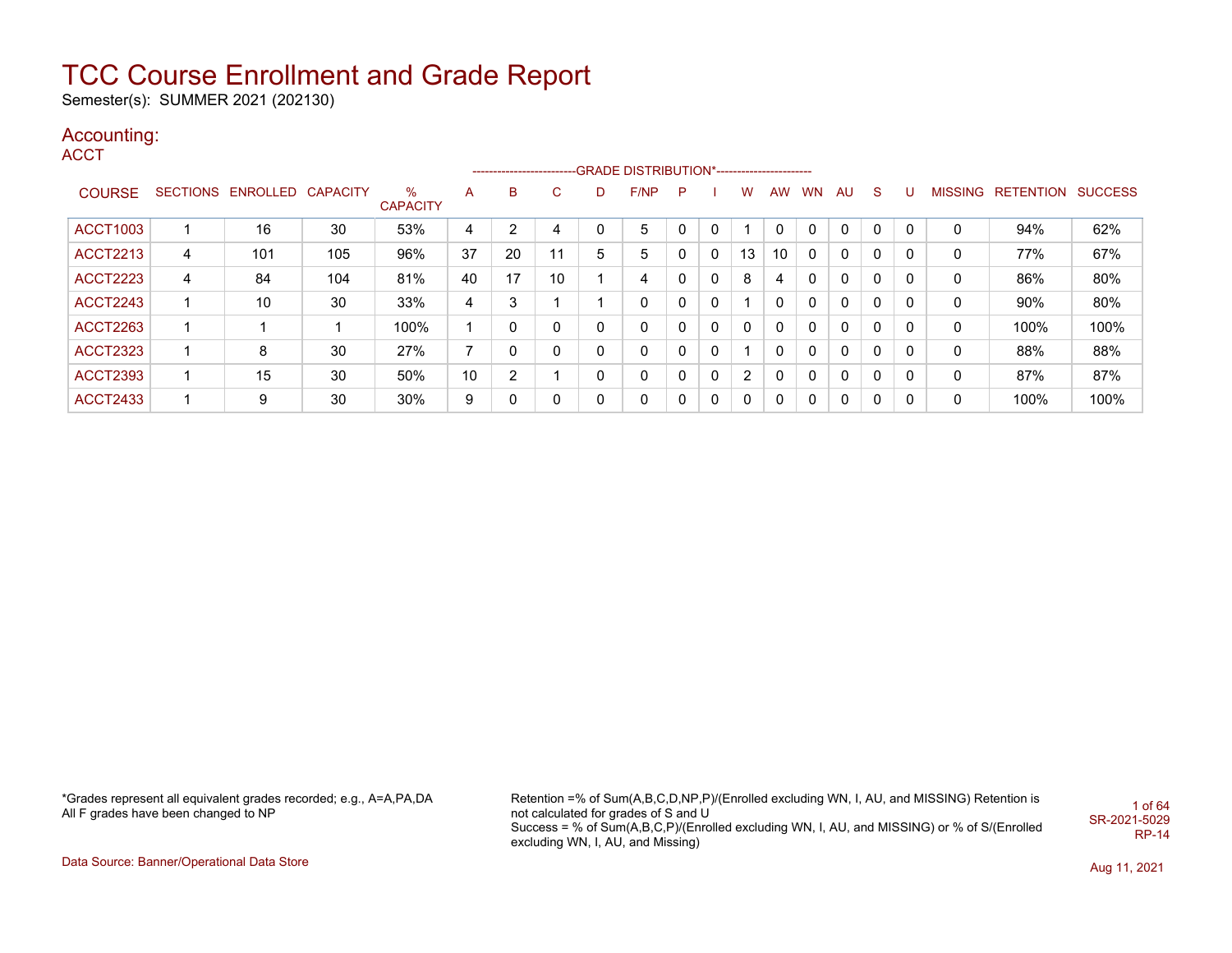Semester(s): SUMMER 2021 (202130)

### Accounting:

**ACCT** 

|                 |   |                            |     |                      |                 |    |    |              | --------------------------GRADE DISTRIBUTION*---------------------- |    |              |          |           |           |           |              |   |   |                           |      |
|-----------------|---|----------------------------|-----|----------------------|-----------------|----|----|--------------|---------------------------------------------------------------------|----|--------------|----------|-----------|-----------|-----------|--------------|---|---|---------------------------|------|
| <b>COURSE</b>   |   | SECTIONS ENROLLED CAPACITY |     | %<br><b>CAPACITY</b> | A               | B  | C. | D            | F/NP                                                                | P. |              | w        | <b>AW</b> | <b>WN</b> | <b>AU</b> | <sub>S</sub> | U |   | MISSING RETENTION SUCCESS |      |
| <b>ACCT1003</b> |   | 16                         | 30  | 53%                  | 4               | 2  | 4  | 0            | 5                                                                   |    | 0            |          |           |           | 0         | 0            |   | 0 | 94%                       | 62%  |
| <b>ACCT2213</b> | 4 | 101                        | 105 | 96%                  | 37              | 20 | 11 | 5            | 5                                                                   |    | 0            | 13       | 10        | 0         | 0         | 0            | 0 | 0 | 77%                       | 67%  |
| <b>ACCT2223</b> | 4 | 84                         | 104 | 81%                  | 40              | 17 | 10 |              | 4                                                                   | 0  | 0            | 8        | 4         | 0         | 0         | 0            | 0 | 0 | 86%                       | 80%  |
| <b>ACCT2243</b> |   | 10                         | 30  | 33%                  | 4               | 3  |    |              | 0                                                                   | 0  | 0            |          | 0         | 0         | 0         | 0            | 0 | 0 | 90%                       | 80%  |
| <b>ACCT2263</b> | ٠ |                            |     | 100%                 |                 | 0  | 0  | $\mathbf{0}$ | 0                                                                   | 0  | 0            | $\Omega$ | 0         | 0         | 0         | 0            | 0 | 0 | 100%                      | 100% |
| <b>ACCT2323</b> |   | 8                          | 30  | 27%                  | 7               | 0  | 0  | 0            | 0                                                                   | 0  | 0            |          | 0         | 0         | 0         | 0            | 0 | 0 | 88%                       | 88%  |
| <b>ACCT2393</b> |   | 15                         | 30  | 50%                  | 10 <sup>°</sup> | 2  |    | 0            | 0                                                                   | 0  | $\mathbf{0}$ | 2        | 0         | 0         | 0         | 0            | 0 | 0 | 87%                       | 87%  |
| <b>ACCT2433</b> |   | 9                          | 30  | 30%                  | 9               | 0  | 0  | $\Omega$     | 0                                                                   |    | 0            | $\Omega$ | 0         |           | 0         | 0            | 0 | 0 | 100%                      | 100% |

\*Grades represent all equivalent grades recorded; e.g., A=A,PA,DA All F grades have been changed to NP

Retention =% of Sum(A,B,C,D,NP,P)/(Enrolled excluding WN, I, AU, and MISSING) Retention is not calculated for grades of S and U Success = % of Sum(A,B,C,P)/(Enrolled excluding WN, I, AU, and MISSING) or % of S/(Enrolled excluding WN, I, AU, and Missing) 1 of 64 SR-2021-5029 RP-14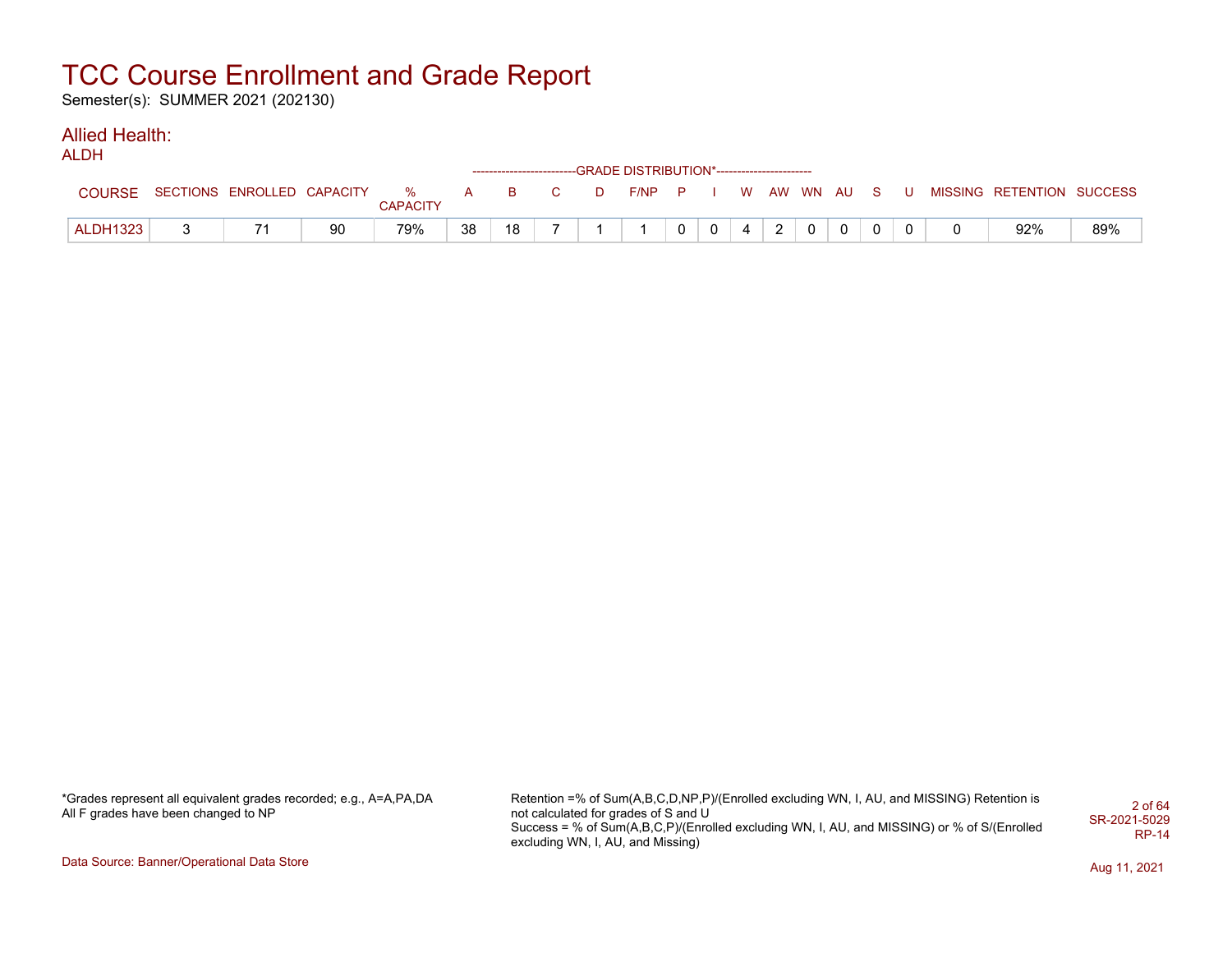Semester(s): SUMMER 2021 (202130)

### Allied Health:

ALDH

|                 |                              |    |          |              |    |   | ------------------------GRADE DISTRIBUTION*----------------------- |       |                |                |                |                |          |          |     |                           |     |
|-----------------|------------------------------|----|----------|--------------|----|---|--------------------------------------------------------------------|-------|----------------|----------------|----------------|----------------|----------|----------|-----|---------------------------|-----|
| <b>COURSE</b>   | SECTIONS ENROLLED CAPACITY % |    | CAPACITY | $\mathbf{A}$ | B  | D | F/NP                                                               | $P-I$ |                |                |                | WAW WN AUS     |          |          | . U | MISSING RETENTION SUCCESS |     |
| <b>ALDH1323</b> |                              | 90 | 79%      | 38           | 18 |   |                                                                    |       | 0 <sup>1</sup> | $\overline{4}$ | $\overline{2}$ | $\overline{0}$ | $\Omega$ | $\Omega$ |     | 92%                       | 89% |

| *Grades represent all equivalent grades recorded; e.g., A=A,PA,DA |  |
|-------------------------------------------------------------------|--|
| All F grades have been changed to NP                              |  |

Retention =% of Sum(A,B,C,D,NP,P)/(Enrolled excluding WN, I, AU, and MISSING) Retention is not calculated for grades of S and U Success = % of Sum(A,B,C,P)/(Enrolled excluding WN, I, AU, and MISSING) or % of S/(Enrolled excluding WN, I, AU, and Missing) 2 of 64 SR-2021-5029 RP-14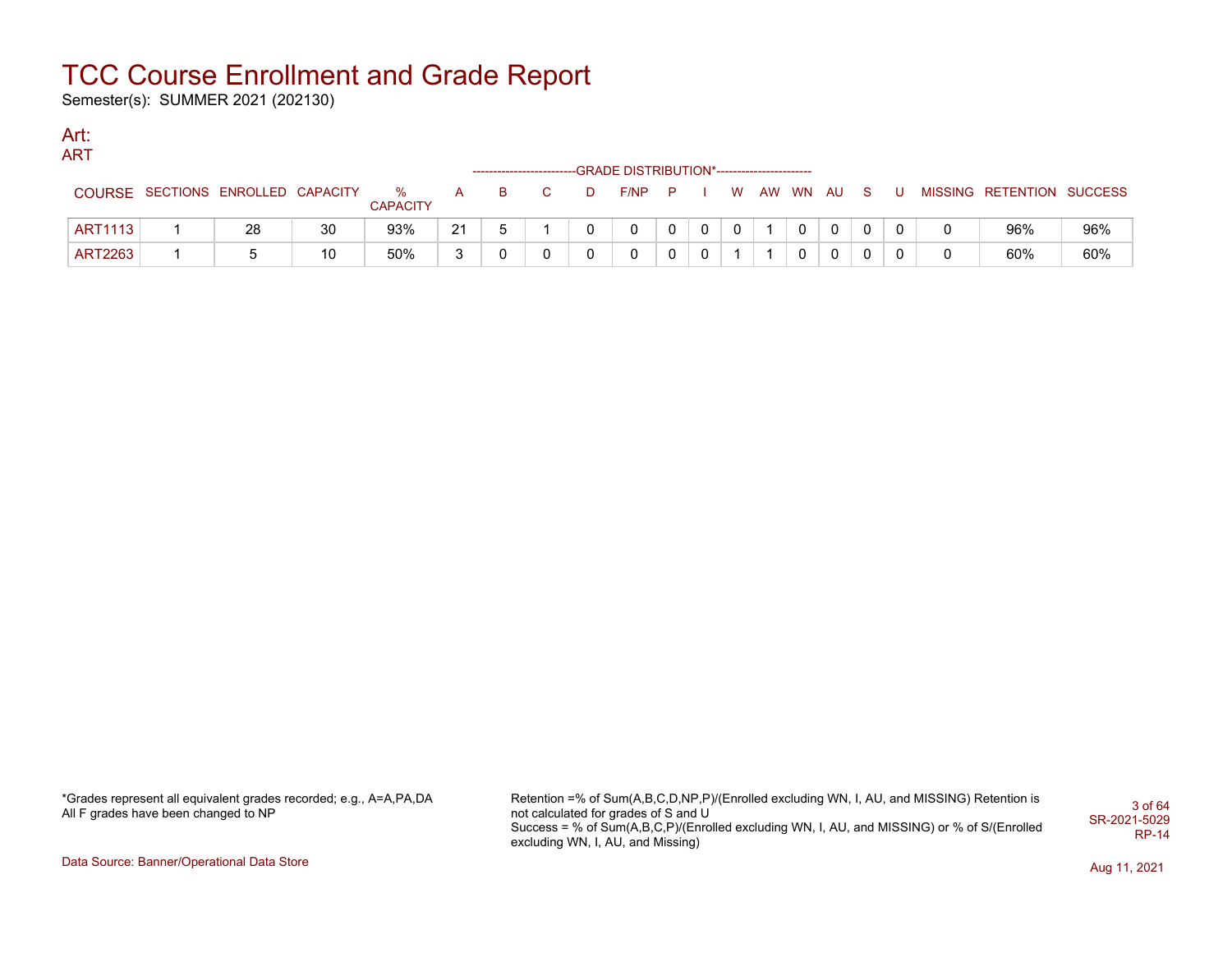Semester(s): SUMMER 2021 (202130)

#### Art: ART

|                |                            |    |                      |              | ------------------------ |  | --GRADE DISTRIBUTION*------------------------ |   |          |          |    |  |                           |     |
|----------------|----------------------------|----|----------------------|--------------|--------------------------|--|-----------------------------------------------|---|----------|----------|----|--|---------------------------|-----|
| COURSE         | SECTIONS ENROLLED CAPACITY |    | %<br><b>CAPACITY</b> | $\mathsf{A}$ | B.                       |  | F/NP                                          | P | <b>W</b> | AW WN AU | S. |  | MISSING RETENTION SUCCESS |     |
| <b>ART1113</b> | 28                         | 30 | 93%                  | 21           |                          |  |                                               |   | 0        |          | 0  |  | 96%                       | 96% |
| <b>ART2263</b> |                            | 10 | 50%                  |              |                          |  |                                               |   |          |          | 0  |  | 60%                       | 60% |

\*Grades represent all equivalent grades recorded; e.g., A=A,PA,DA All F grades have been changed to NP

Retention =% of Sum(A,B,C,D,NP,P)/(Enrolled excluding WN, I, AU, and MISSING) Retention is not calculated for grades of S and U Success = % of Sum(A,B,C,P)/(Enrolled excluding WN, I, AU, and MISSING) or % of S/(Enrolled excluding WN, I, AU, and Missing) 3 of 64 SR-2021-5029 RP-14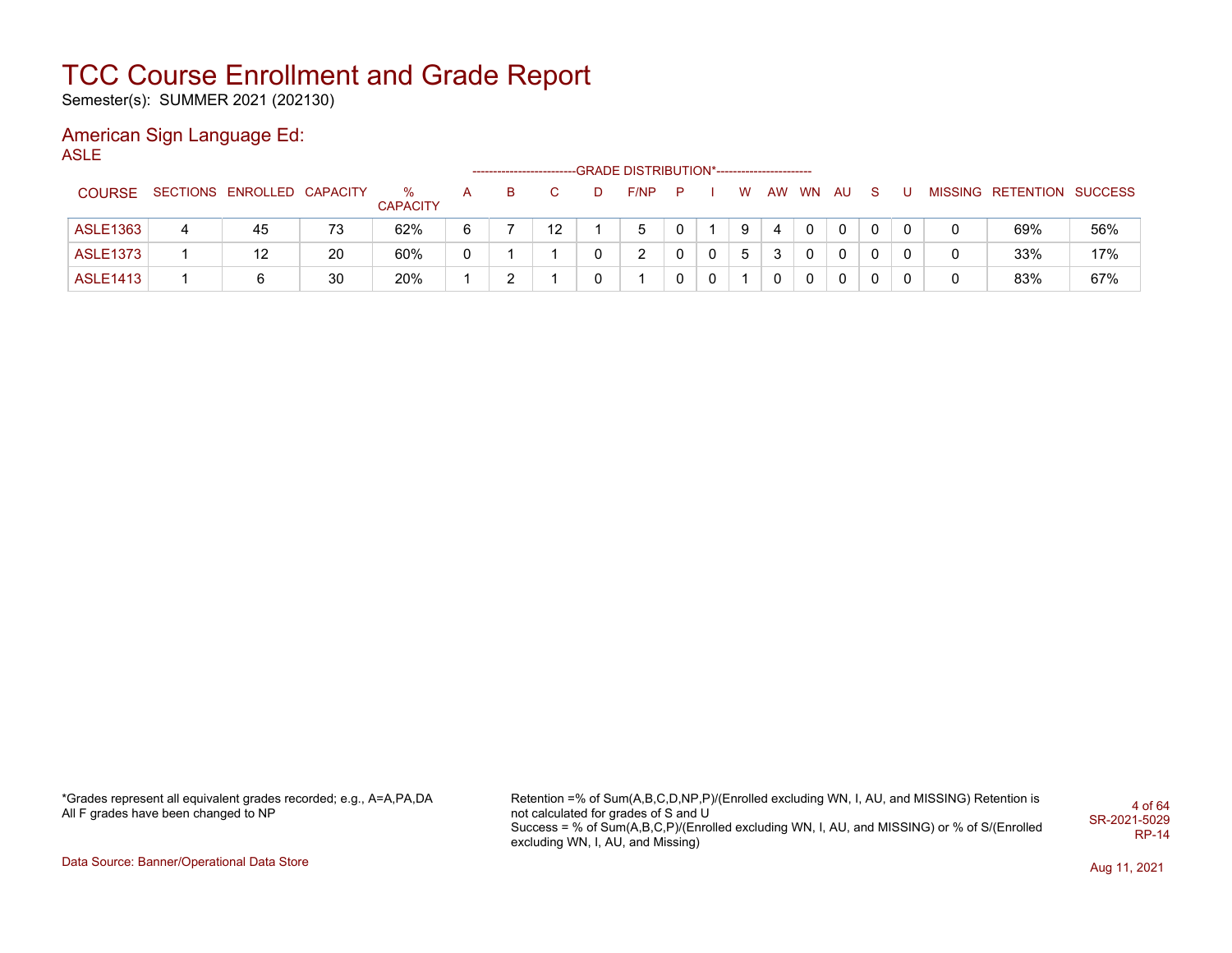Semester(s): SUMMER 2021 (202130)

### American Sign Language Ed:

ASLE

|                 |   |                            |    |                      |   |   |    | --GRADE DISTRIBUTION*----------------------- |   |             |   |    |       |   |    |   |                           |     |
|-----------------|---|----------------------------|----|----------------------|---|---|----|----------------------------------------------|---|-------------|---|----|-------|---|----|---|---------------------------|-----|
| <b>COURSE</b>   |   | SECTIONS ENROLLED CAPACITY |    | %<br><b>CAPACITY</b> | A | в |    | F/NP                                         | P |             | W | AW | WN AU |   | S. |   | MISSING RETENTION SUCCESS |     |
| <b>ASLE1363</b> | 4 | 45                         | 73 | 62%                  | 6 |   | 12 | 5                                            |   |             | 9 | 4  |       | 0 | 0  | 0 | 69%                       | 56% |
| <b>ASLE1373</b> |   | 12                         | 20 | 60%                  | 0 |   |    |                                              |   | 0           | 5 | 3  |       | 0 | 0  |   | 33%                       | 17% |
| <b>ASLE1413</b> |   |                            | 30 | 20%                  |   |   |    |                                              |   | $\mathbf 0$ |   |    |       | 0 | 0  | 0 | 83%                       | 67% |

\*Grades represent all equivalent grades recorded; e.g., A=A,PA,DA All F grades have been changed to NP

Retention =% of Sum(A,B,C,D,NP,P)/(Enrolled excluding WN, I, AU, and MISSING) Retention is not calculated for grades of S and U Success = % of Sum(A,B,C,P)/(Enrolled excluding WN, I, AU, and MISSING) or % of S/(Enrolled excluding WN, I, AU, and Missing) 4 of 64 SR-2021-5029 RP-14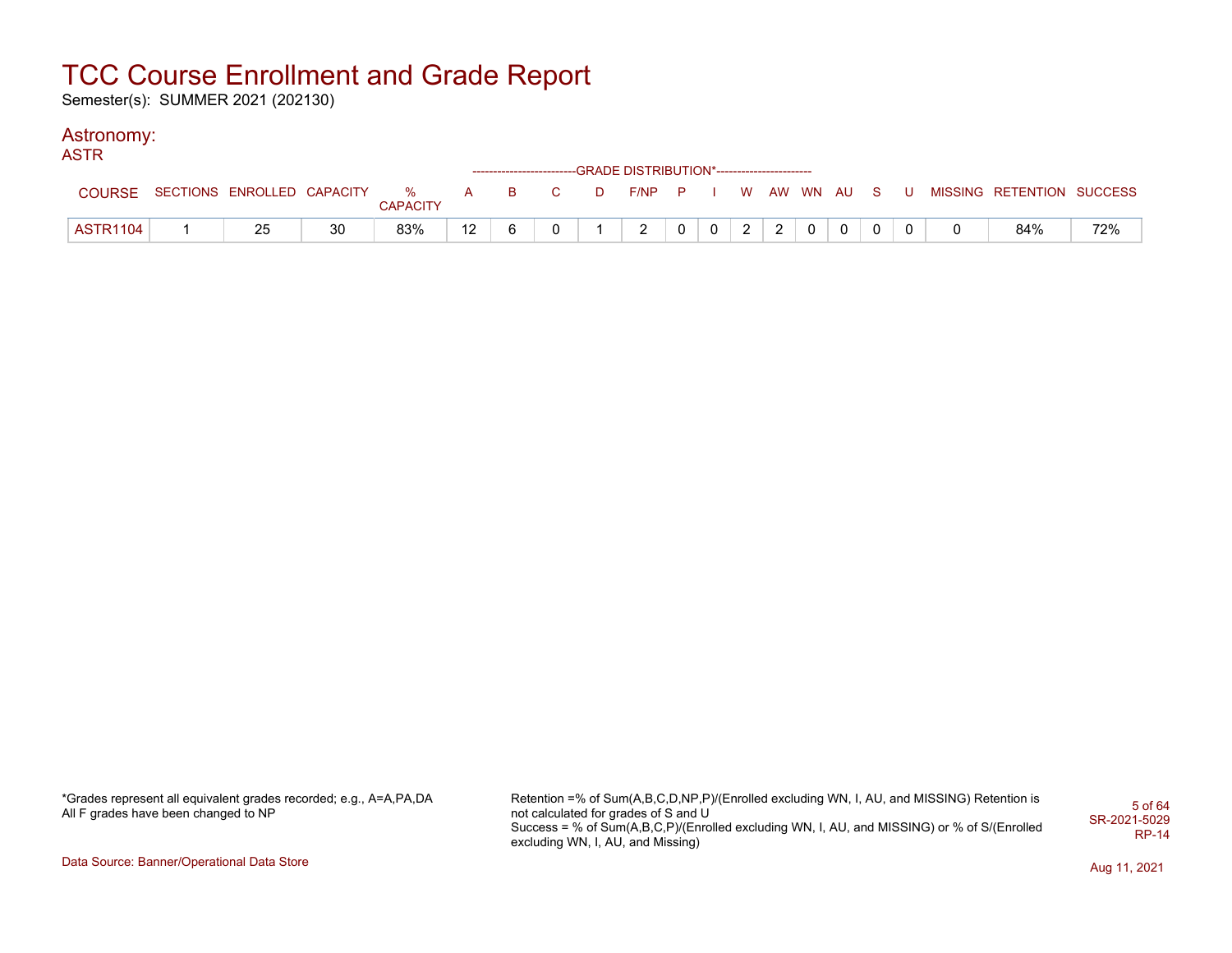Semester(s): SUMMER 2021 (202130)

#### Astronomy:

| ASTR            |                                    |    |                 |    |   |   |          |                                                                    |                |                |   |                |              |          |     |                           |     |
|-----------------|------------------------------------|----|-----------------|----|---|---|----------|--------------------------------------------------------------------|----------------|----------------|---|----------------|--------------|----------|-----|---------------------------|-----|
|                 |                                    |    |                 |    |   |   |          | ------------------------GRADE DISTRIBUTION*----------------------- |                |                |   |                |              |          |     |                           |     |
| <b>COURSE</b>   | SECTIONS ENROLLED CAPACITY % A B C |    | <b>CAPACITY</b> |    |   |   | <b>D</b> | F/NP P I W AW WN AU S                                              |                |                |   |                |              |          | . U | MISSING RETENTION SUCCESS |     |
|                 |                                    |    |                 |    |   |   |          |                                                                    |                |                |   |                |              |          |     |                           |     |
| <b>ASTR1104</b> | 25                                 | 30 | 83%             | 12 | 6 | 0 |          | $\overline{2}$                                                     | 0 <sup>1</sup> | 0 <sup>1</sup> | 2 | $\overline{2}$ | $\mathbf{0}$ | $\Omega$ |     | 84%                       | 72% |

\*Grades represent all equivalent grades recorded; e.g., A=A,PA,DA All F grades have been changed to NP

Retention =% of Sum(A,B,C,D,NP,P)/(Enrolled excluding WN, I, AU, and MISSING) Retention is not calculated for grades of S and U Success = % of Sum(A,B,C,P)/(Enrolled excluding WN, I, AU, and MISSING) or % of S/(Enrolled excluding WN, I, AU, and Missing) 5 of 64 SR-2021-5029 RP-14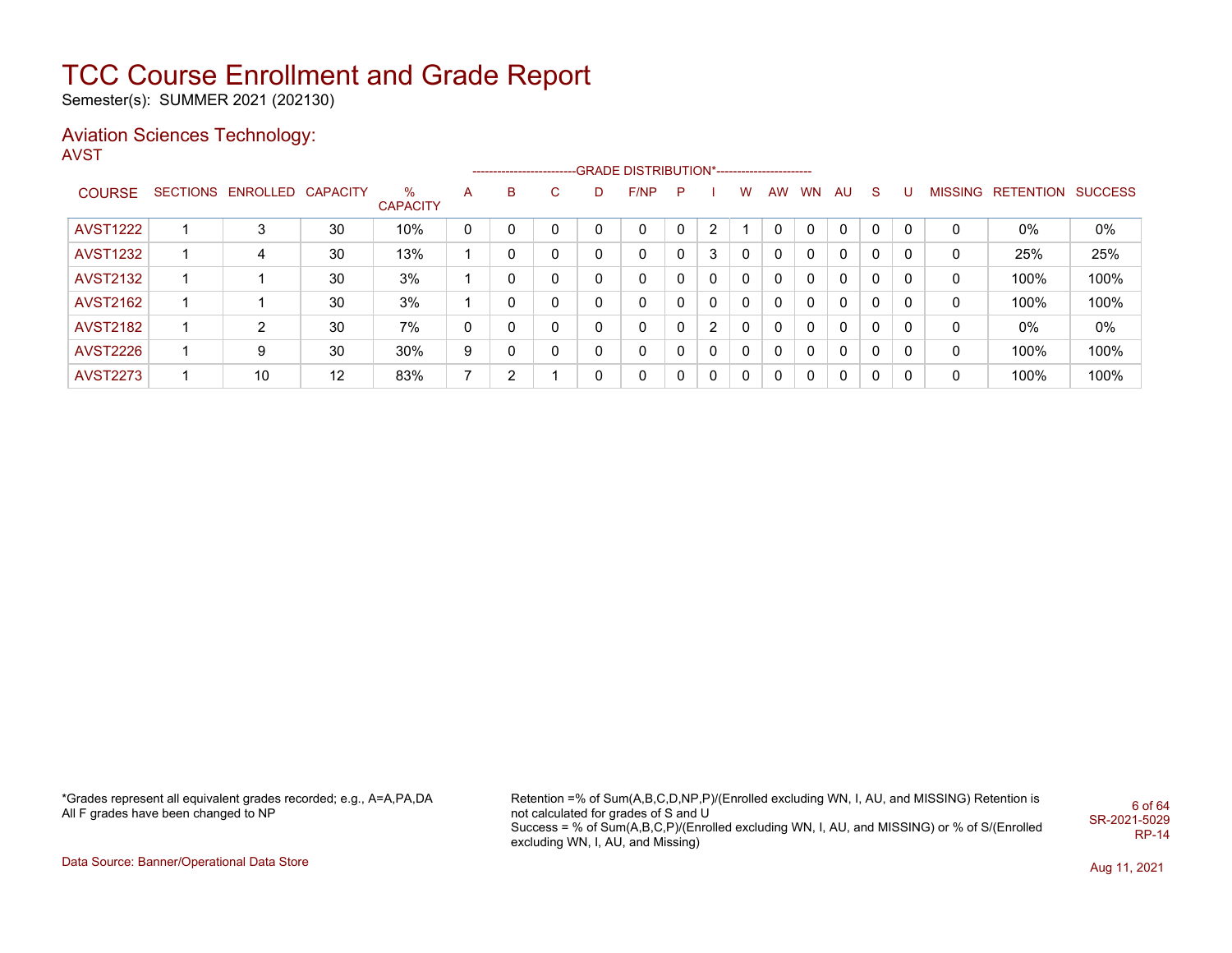Semester(s): SUMMER 2021 (202130)

#### Aviation Sciences Technology: AVST

|                 |                   |                 |                      |   |   |              |          | ------------------------GRADE                DISTRIBUTION*---------------------- |              |          |              |           |           |              |          |   |   |                   |                |
|-----------------|-------------------|-----------------|----------------------|---|---|--------------|----------|----------------------------------------------------------------------------------|--------------|----------|--------------|-----------|-----------|--------------|----------|---|---|-------------------|----------------|
| <b>COURSE</b>   | SECTIONS ENROLLED | <b>CAPACITY</b> | %<br><b>CAPACITY</b> | A | B | C.           | D        | F/NP                                                                             | $\mathsf{P}$ |          | W            | <b>AW</b> | <b>WN</b> | AU           | S.       | U |   | MISSING RETENTION | <b>SUCCESS</b> |
| <b>AVST1222</b> | 3                 | 30              | 10%                  | 0 |   | 0            | 0        | 0                                                                                |              | 2        |              |           | $\Omega$  | 0            | $\Omega$ | 0 | 0 | $0\%$             | 0%             |
| <b>AVST1232</b> | 4                 | 30              | 13%                  |   | 0 | 0            | 0        | 0                                                                                |              | 3        | 0            | 0         | $\Omega$  | 0            | 0        | 0 | 0 | 25%               | 25%            |
| <b>AVST2132</b> |                   | 30              | 3%                   |   | 0 | $\mathbf{0}$ | 0        | 0                                                                                |              | $\Omega$ | 0            | 0         | 0         | $\mathbf{0}$ | 0        | 0 | 0 | 100%              | 100%           |
| <b>AVST2162</b> |                   | 30              | 3%                   |   | 0 | $\mathbf{0}$ | 0        | 0                                                                                |              | $\Omega$ | $\mathbf{0}$ | 0         | $\Omega$  | $\mathbf{0}$ | $\Omega$ | 0 | 0 | 100%              | 100%           |
| <b>AVST2182</b> | 2                 | 30              | 7%                   | 0 | 0 | $\Omega$     | 0        | 0                                                                                |              | 2        | 0            | 0         | $\Omega$  | $\mathbf{0}$ | 0        | 0 | 0 | $0\%$             | 0%             |
| <b>AVST2226</b> | 9                 | 30              | 30%                  | 9 | 0 | $\mathbf{0}$ | $\Omega$ | 0                                                                                |              | $\Omega$ | $\Omega$     | $\Omega$  | $\Omega$  | 0            | 0        | 0 | 0 | 100%              | 100%           |
| <b>AVST2273</b> | 10                | 12              | 83%                  | 7 | 2 |              | 0        | 0                                                                                | $\Omega$     | $\Omega$ | $\Omega$     | 0         | $\Omega$  | 0            | 0        | 0 | 0 | 100%              | 100%           |

\*Grades represent all equivalent grades recorded; e.g., A=A,PA,DA All F grades have been changed to NP

Retention =% of Sum(A,B,C,D,NP,P)/(Enrolled excluding WN, I, AU, and MISSING) Retention is not calculated for grades of S and U Success = % of Sum(A,B,C,P)/(Enrolled excluding WN, I, AU, and MISSING) or % of S/(Enrolled excluding WN, I, AU, and Missing) 6 of 64 SR-2021-5029 RP-14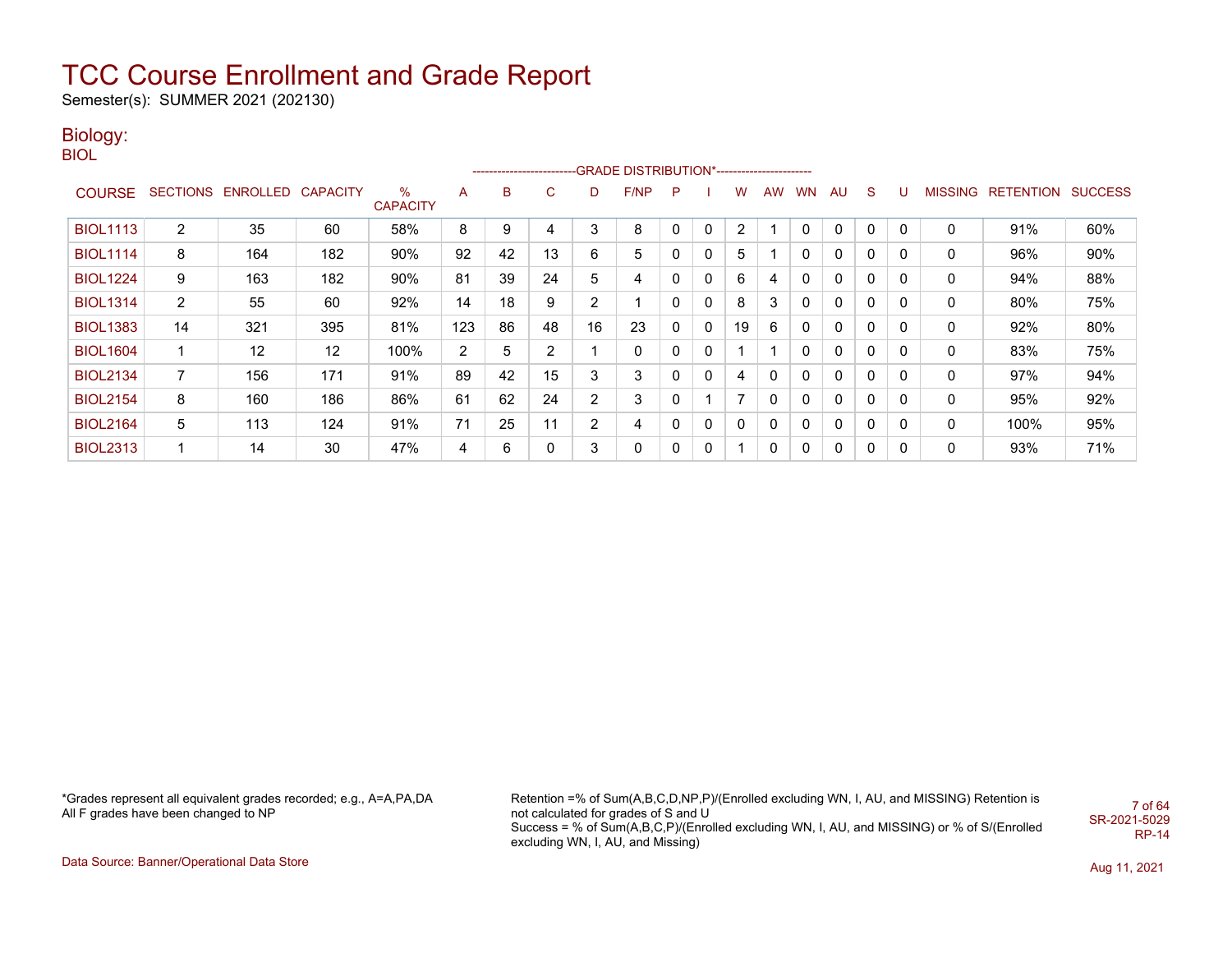Semester(s): SUMMER 2021 (202130)

### Biology:

BIOL

|                 |                |                   |                 |                         |                |    | ------------------------- |    | -GRADE DISTRIBUTION*----------------------- |              |   |    |           |          |              |              |          |                |                  |                |
|-----------------|----------------|-------------------|-----------------|-------------------------|----------------|----|---------------------------|----|---------------------------------------------|--------------|---|----|-----------|----------|--------------|--------------|----------|----------------|------------------|----------------|
| <b>COURSE</b>   |                | SECTIONS ENROLLED | <b>CAPACITY</b> | $\%$<br><b>CAPACITY</b> | A              | B  | C.                        | D  | F/NP                                        | P            |   | w  | <b>AW</b> | WN       | AU           | S            | U        | <b>MISSING</b> | <b>RETENTION</b> | <b>SUCCESS</b> |
| <b>BIOL1113</b> | $\overline{2}$ | 35                | 60              | 58%                     | 8              | 9  |                           | 3  | 8                                           | 0            | 0 | 2  |           | $\Omega$ | $\mathbf{0}$ | $\mathbf{0}$ | 0        | 0              | 91%              | 60%            |
| <b>BIOL1114</b> | 8              | 164               | 182             | 90%                     | 92             | 42 | 13                        | 6  | 5                                           | 0            | 0 | 5  |           | 0        | 0            | $\mathbf{0}$ | 0        | 0              | 96%              | 90%            |
| <b>BIOL1224</b> | 9              | 163               | 182             | 90%                     | 81             | 39 | 24                        | 5  | 4                                           | 0            | 0 | 6  | 4         | 0        | 0            | $\mathbf{0}$ | 0        | 0              | 94%              | 88%            |
| <b>BIOL1314</b> | $\overline{2}$ | 55                | 60              | 92%                     | 14             | 18 | 9                         | 2  |                                             | $\Omega$     | 0 | 8  | 3         | 0        | 0            | $\mathbf{0}$ | $\Omega$ | 0              | 80%              | 75%            |
| <b>BIOL1383</b> | 14             | 321               | 395             | 81%                     | 123            | 86 | 48                        | 16 | 23                                          | $\mathbf{0}$ | 0 | 19 | 6         | 0        | 0            | 0            | 0        | 0              | 92%              | 80%            |
| <b>BIOL1604</b> |                | 12                | 12              | 100%                    | $\overline{2}$ | 5  | 2                         |    | 0                                           | 0            | 0 |    |           | 0        | 0            | 0            | 0        | 0              | 83%              | 75%            |
| <b>BIOL2134</b> | $\overline{7}$ | 156               | 171             | 91%                     | 89             | 42 | 15                        | 3  | 3                                           | 0            | 0 | 4  | 0         | 0        | 0            | $\mathbf{0}$ | 0        | 0              | 97%              | 94%            |
| <b>BIOL2154</b> | 8              | 160               | 186             | 86%                     | 61             | 62 | 24                        | 2  | 3                                           | 0            |   | ⇁  | 0         | 0        | 0            | $\mathbf{0}$ | 0        | $\mathbf{0}$   | 95%              | 92%            |
| <b>BIOL2164</b> | 5              | 113               | 124             | 91%                     | 71             | 25 | 11                        | 2  | 4                                           | 0            | 0 | 0  | 0         | 0        | 0            | $\mathbf{0}$ | 0        | 0              | 100%             | 95%            |
| <b>BIOL2313</b> |                | 14                | 30              | 47%                     | 4              | 6  |                           | 3  | 0                                           | 0            | 0 |    | 0         | 0        | 0            | 0            | 0        | 0              | 93%              | 71%            |

\*Grades represent all equivalent grades recorded; e.g., A=A,PA,DA All F grades have been changed to NP

Retention =% of Sum(A,B,C,D,NP,P)/(Enrolled excluding WN, I, AU, and MISSING) Retention is not calculated for grades of S and U Success = % of Sum(A,B,C,P)/(Enrolled excluding WN, I, AU, and MISSING) or % of S/(Enrolled excluding WN, I, AU, and Missing) 7 of 64 SR-2021-5029 RP-14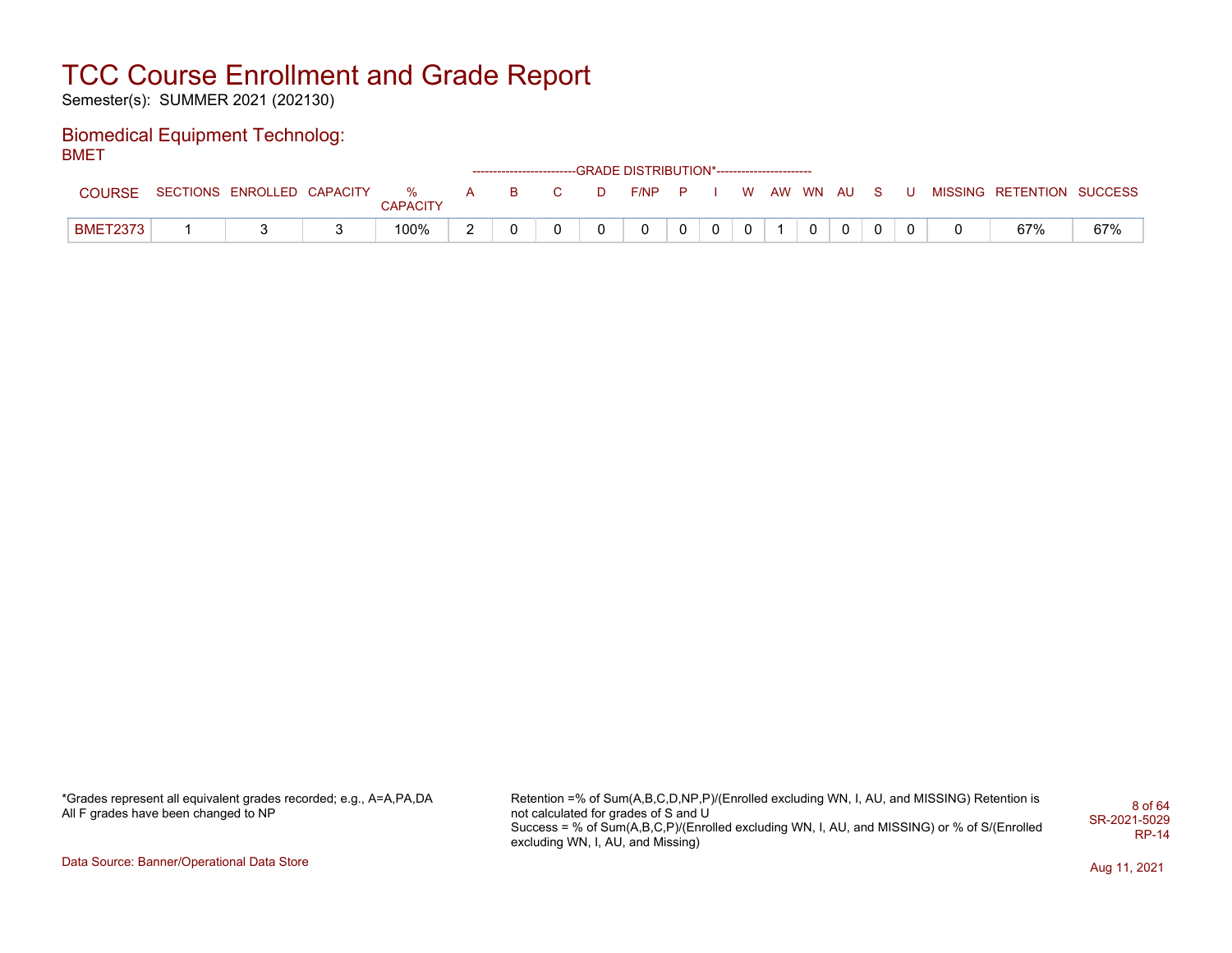Semester(s): SUMMER 2021 (202130)

#### Biomedical Equipment Technolog: BMET

|                 |                            |                      |              |   |              |              | ------------------------GRADE DISTRIBUTION*----------------------- |          |              |          |    |       |              |  |                   |         |
|-----------------|----------------------------|----------------------|--------------|---|--------------|--------------|--------------------------------------------------------------------|----------|--------------|----------|----|-------|--------------|--|-------------------|---------|
| <b>COURSE</b>   | SECTIONS ENROLLED CAPACITY | %<br><b>CAPACITY</b> | $\mathbf{A}$ | B | $\mathbf{C}$ | D            | F/NP                                                               | <b>P</b> |              | <b>W</b> | AW | WN AU |              |  | MISSING RETENTION | SUCCESS |
| <b>BMET2373</b> |                            | 100%                 |              |   |              | <sup>o</sup> | 0                                                                  | 0        | $\mathbf{0}$ |          |    |       | $\mathbf{0}$ |  | 67%               | 67%     |

\*Grades represent all equivalent grades recorded; e.g., A=A,PA,DA All F grades have been changed to NP

Retention =% of Sum(A,B,C,D,NP,P)/(Enrolled excluding WN, I, AU, and MISSING) Retention is not calculated for grades of S and U Success = % of Sum(A,B,C,P)/(Enrolled excluding WN, I, AU, and MISSING) or % of S/(Enrolled excluding WN, I, AU, and Missing) 8 of 64 SR-2021-5029 RP-14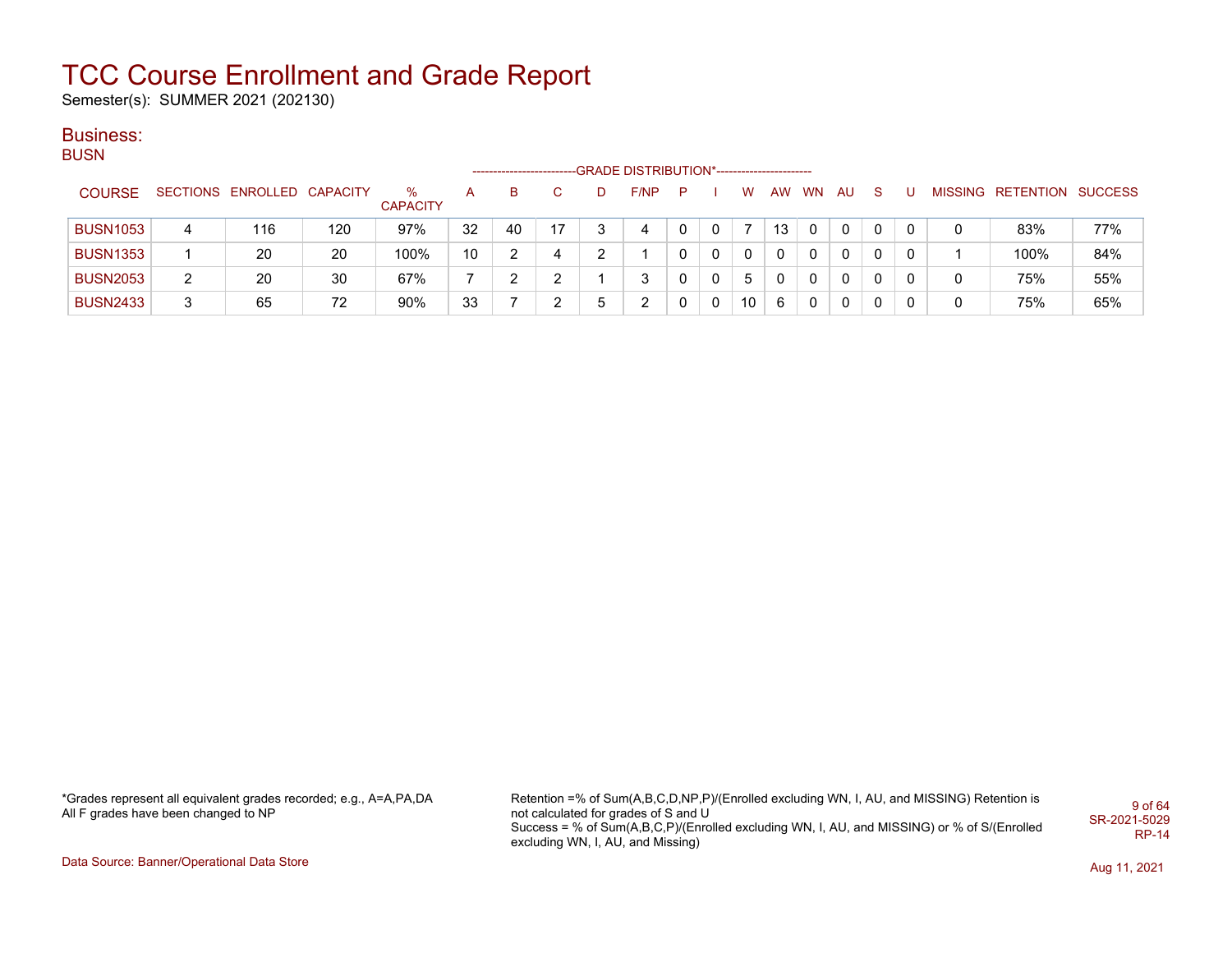Semester(s): SUMMER 2021 (202130)

#### Business: **BUSN**

| ----            |   |                            |     |                      |                 | ------------------------ |               |   | -GRADE DISTRIBUTION*---------------------- |             |   |    |           |              |     |    |   |   |                           |     |
|-----------------|---|----------------------------|-----|----------------------|-----------------|--------------------------|---------------|---|--------------------------------------------|-------------|---|----|-----------|--------------|-----|----|---|---|---------------------------|-----|
| <b>COURSE</b>   |   | SECTIONS ENROLLED CAPACITY |     | ℅<br><b>CAPACITY</b> | A               | B.                       | C.            |   | F/NP                                       | P           |   | w  | <b>AW</b> | <b>WN</b>    | AU. | -S | U |   | MISSING RETENTION SUCCESS |     |
| <b>BUSN1053</b> | 4 | 116                        | 120 | 97%                  | 32              | 40                       | 17            |   | 4                                          | 0           | 0 |    | 13        | 0            | 0   |    |   | 0 | 83%                       | 77% |
| <b>BUSN1353</b> |   | 20                         | 20  | 100%                 | 10 <sup>°</sup> | າ                        | 4             |   |                                            | 0           | 0 |    |           | 0            | 0   |    | 0 |   | 100%                      | 84% |
| <b>BUSN2053</b> | 2 | 20                         | 30  | 67%                  |                 | ົ                        | າ<br><u>_</u> |   | 3                                          | 0           | 0 | 5  |           | $\mathbf{0}$ | 0   |    | 0 | 0 | 75%                       | 55% |
| <b>BUSN2433</b> | 3 | 65                         | 72  | 90%                  | 33              |                          | っ             | 5 |                                            | $\mathbf 0$ | 0 | 10 | 6         | $\mathbf{0}$ | 0   | 0  | 0 | 0 | 75%                       | 65% |

\*Grades represent all equivalent grades recorded; e.g., A=A,PA,DA All F grades have been changed to NP

Retention =% of Sum(A,B,C,D,NP,P)/(Enrolled excluding WN, I, AU, and MISSING) Retention is not calculated for grades of S and U Success = % of Sum(A,B,C,P)/(Enrolled excluding WN, I, AU, and MISSING) or % of S/(Enrolled excluding WN, I, AU, and Missing) 9 of 64 SR-2021-5029 RP-14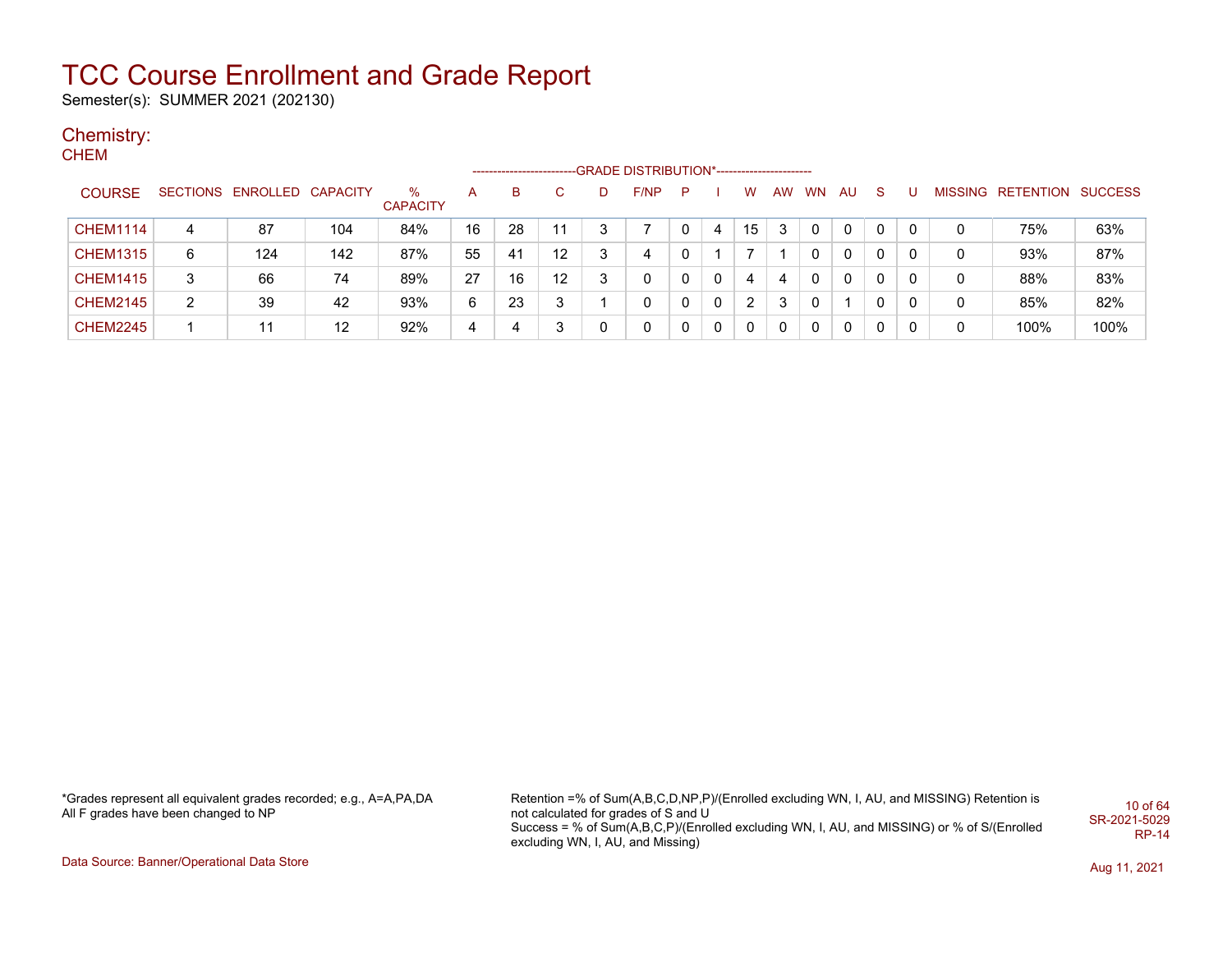Semester(s): SUMMER 2021 (202130)

#### Chemistry: **CHEM**

|                 |   |                            |     |                      |    | --------------------- |    |   | --GRADE DISTRIBUTION*----------------------- |   |   |    |           |           |           |   |   |   |                   |                |
|-----------------|---|----------------------------|-----|----------------------|----|-----------------------|----|---|----------------------------------------------|---|---|----|-----------|-----------|-----------|---|---|---|-------------------|----------------|
| <b>COURSE</b>   |   | SECTIONS ENROLLED CAPACITY |     | %<br><b>CAPACITY</b> | Α  | в                     | C  | D | F/NP                                         | P |   | w  | <b>AW</b> | <b>WN</b> | <b>AU</b> | S |   |   | MISSING RETENTION | <b>SUCCESS</b> |
| <b>CHEM1114</b> | 4 | 87                         | 104 | 84%                  | 16 | 28                    | 11 | 3 |                                              |   | 4 | 15 | 3         |           | 0         | 0 | 0 | 0 | 75%               | 63%            |
| <b>CHEM1315</b> | 6 | 124                        | 142 | 87%                  | 55 | 41                    | 12 | 3 | 4                                            |   |   |    |           |           | 0         | 0 | 0 | 0 | 93%               | 87%            |
| <b>CHEM1415</b> | 3 | 66                         | 74  | 89%                  | 27 | 16                    | 12 | 3 | 0                                            | 0 | 0 | 4  | 4         | 0         | 0         | 0 | 0 | 0 | 88%               | 83%            |
| <b>CHEM2145</b> | 2 | 39                         | 42  | 93%                  | 6  | 23                    | 3  |   | 0                                            | 0 | 0 | 2  | 3         | 0         |           | 0 | 0 | 0 | 85%               | 82%            |
| <b>CHEM2245</b> |   | 11                         | 12  | 92%                  | 4  |                       | 3  | 0 | 0                                            | 0 | 0 | 0  | 0         | 0         | 0         | 0 | 0 | 0 | 100%              | 100%           |

\*Grades represent all equivalent grades recorded; e.g., A=A,PA,DA All F grades have been changed to NP

Retention =% of Sum(A,B,C,D,NP,P)/(Enrolled excluding WN, I, AU, and MISSING) Retention is not calculated for grades of S and U Success = % of Sum(A,B,C,P)/(Enrolled excluding WN, I, AU, and MISSING) or % of S/(Enrolled excluding WN, I, AU, and Missing) 10 of 64 SR-2021-5029 RP-14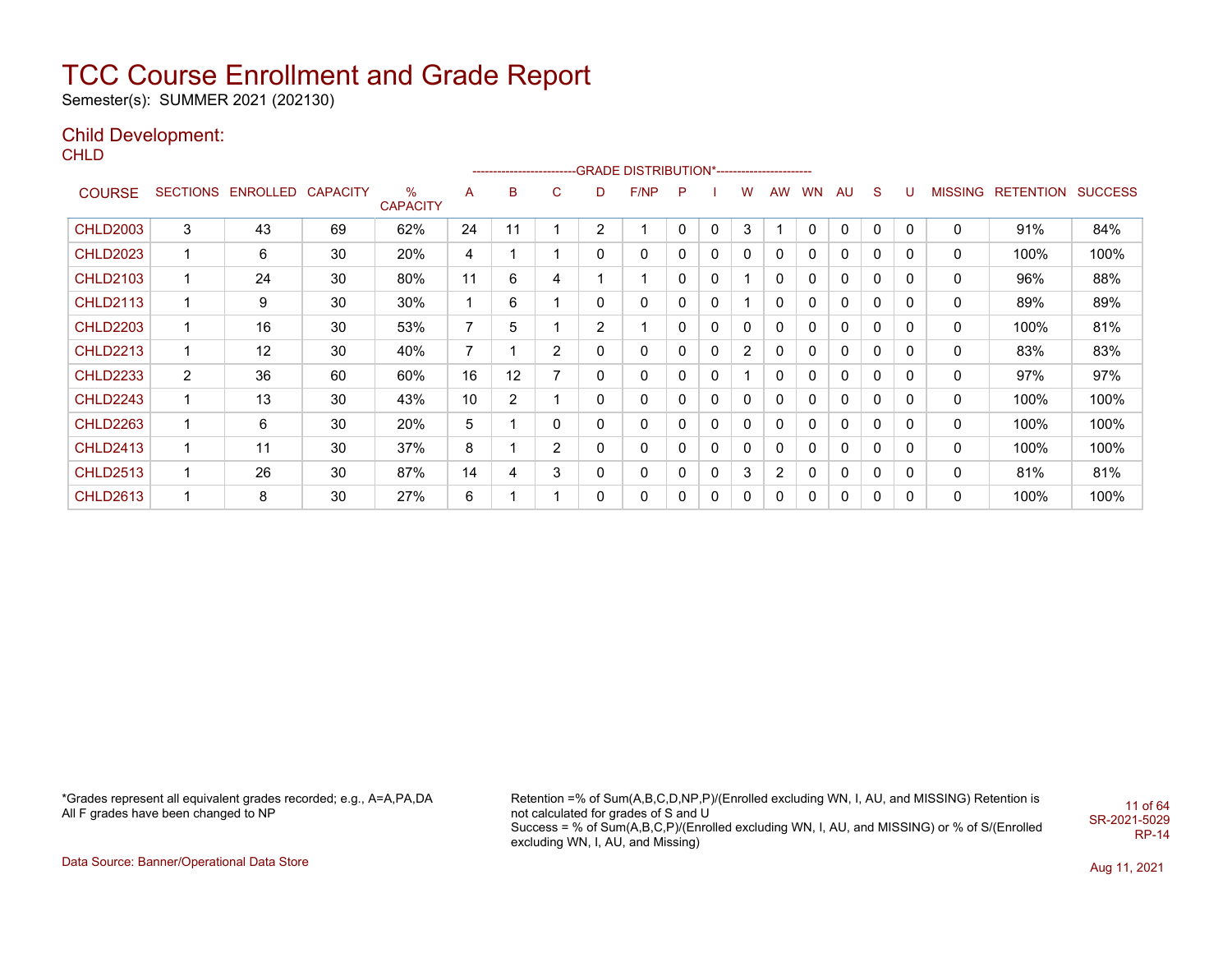Semester(s): SUMMER 2021 (202130)

### Child Development:

CHLD

|                 |                |                            |    |                         |                |                |                |                | ------------------------GRADE                DISTRIBUTION*---------------------- |   |              |                |              |              |          |   |          |   |                   |                |
|-----------------|----------------|----------------------------|----|-------------------------|----------------|----------------|----------------|----------------|----------------------------------------------------------------------------------|---|--------------|----------------|--------------|--------------|----------|---|----------|---|-------------------|----------------|
| <b>COURSE</b>   |                | SECTIONS ENROLLED CAPACITY |    | $\%$<br><b>CAPACITY</b> | A              | B              | C              | D              | F/NP                                                                             | P |              | w              | AW           | <b>WN</b>    | AU       | S | U        |   | MISSING RETENTION | <b>SUCCESS</b> |
| <b>CHLD2003</b> | 3              | 43                         | 69 | 62%                     | 24             | 11             |                | $\overline{2}$ |                                                                                  | 0 | $\mathbf{0}$ | 3              |              | $\mathbf{0}$ | 0        | 0 | 0        | 0 | 91%               | 84%            |
| <b>CHLD2023</b> | 1              | 6                          | 30 | 20%                     | 4              |                |                | $\mathbf{0}$   | 0                                                                                | 0 | 0            | 0              | 0            | 0            | 0        | 0 | 0        | 0 | 100%              | 100%           |
| <b>CHLD2103</b> | 1              | 24                         | 30 | 80%                     | 11             | 6              | 4              |                | 1                                                                                | 0 | 0            |                | 0            | 0            | 0        | 0 | 0        | 0 | 96%               | 88%            |
| <b>CHLD2113</b> | 1              | 9                          | 30 | 30%                     |                | 6              |                | 0              | 0                                                                                | 0 | $\mathbf{0}$ |                | 0            | 0            | 0        | 0 | 0        | 0 | 89%               | 89%            |
| <b>CHLD2203</b> | 1              | 16                         | 30 | 53%                     | $\overline{7}$ | 5              |                | $\overline{2}$ | 1                                                                                | 0 | 0            | 0              | $\mathbf{0}$ | 0            | 0        | 0 | 0        | 0 | 100%              | 81%            |
| <b>CHLD2213</b> | 1              | 12                         | 30 | 40%                     | $\overline{7}$ |                | $\overline{2}$ | 0              | 0                                                                                | 0 | $\mathbf{0}$ | $\overline{2}$ | 0            | 0            | 0        | 0 | 0        | 0 | 83%               | 83%            |
| <b>CHLD2233</b> | $\overline{2}$ | 36                         | 60 | 60%                     | 16             | 12             | 7              | 0              | 0                                                                                | 0 | $\mathbf{0}$ |                | $\mathbf{0}$ | 0            | 0        | 0 | 0        | 0 | 97%               | 97%            |
| <b>CHLD2243</b> | 1              | 13                         | 30 | 43%                     | 10             | $\overline{2}$ |                | 0              | 0                                                                                | 0 | 0            | 0              | 0            | 0            | 0        | 0 | 0        | 0 | 100%              | 100%           |
| <b>CHLD2263</b> | 1              | 6                          | 30 | 20%                     | 5              |                | 0              | $\mathbf{0}$   | 0                                                                                | 0 | $\Omega$     | 0              | $\mathbf{0}$ | 0            | $\Omega$ | 0 | $\Omega$ | 0 | 100%              | 100%           |
| <b>CHLD2413</b> | 1              | 11                         | 30 | 37%                     | 8              |                | $\overline{2}$ | 0              | 0                                                                                | 0 | 0            | 0              | 0            | 0            | 0        | 0 | 0        | 0 | 100%              | 100%           |
| <b>CHLD2513</b> | 1              | 26                         | 30 | 87%                     | 14             | 4              | 3              | 0              | 0                                                                                | 0 | $\mathbf{0}$ | 3              | 2            | 0            | 0        | 0 | 0        | 0 | 81%               | 81%            |
| <b>CHLD2613</b> | 1              | 8                          | 30 | 27%                     | 6              |                |                | 0              | 0                                                                                | 0 | $\mathbf{0}$ | 0              | 0            | 0            | 0        | 0 | 0        | 0 | 100%              | 100%           |

\*Grades represent all equivalent grades recorded; e.g., A=A,PA,DA All F grades have been changed to NP

Retention =% of Sum(A,B,C,D,NP,P)/(Enrolled excluding WN, I, AU, and MISSING) Retention is not calculated for grades of S and U Success = % of Sum(A,B,C,P)/(Enrolled excluding WN, I, AU, and MISSING) or % of S/(Enrolled excluding WN, I, AU, and Missing) 11 of 64 SR-2021-5029 RP-14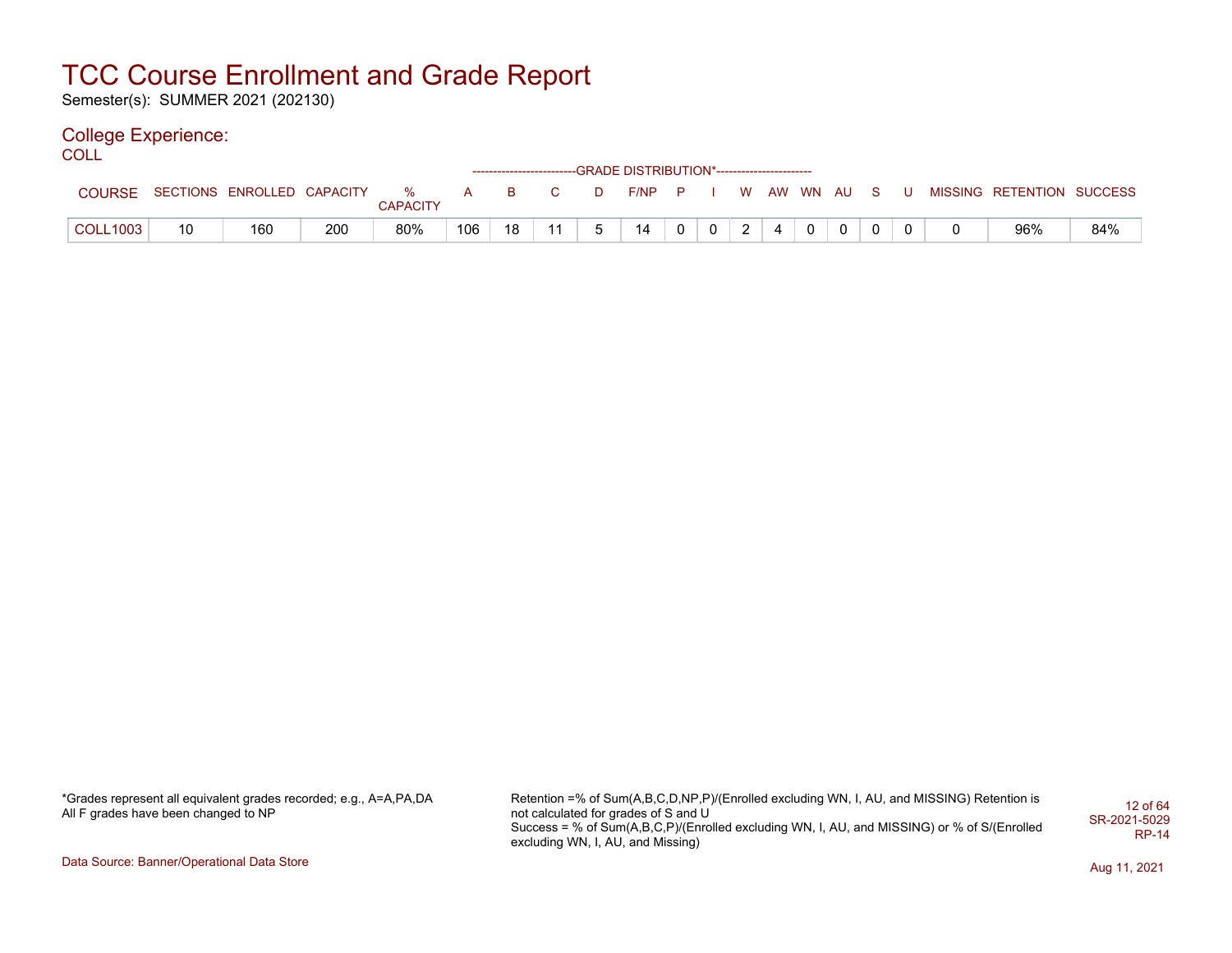Semester(s): SUMMER 2021 (202130)

### College Experience:

COLL<sup>'</sup>

|                 |    |                              |     |                 |                               |     |    |   | ------------------------GRADE        DISTRIBUTION*----------------------- |          |             |                |   |            |                |     |                           |     |
|-----------------|----|------------------------------|-----|-----------------|-------------------------------|-----|----|---|---------------------------------------------------------------------------|----------|-------------|----------------|---|------------|----------------|-----|---------------------------|-----|
| <b>COURSE</b>   |    | SECTIONS ENROLLED CAPACITY % |     | <b>CAPACITY</b> | $\overline{A}$ $\overline{A}$ | - B | C. | D | $F/NP$ P I                                                                |          |             |                |   | WAW WN AUS |                | . U | MISSING RETENTION SUCCESS |     |
| <b>COLL1003</b> | 10 | 160                          | 200 | 80%             | 106                           | 18  | 11 |   | 14                                                                        | $\Omega$ | $\mathbf 0$ | $\overline{2}$ | 4 | $\Omega$   | $\overline{0}$ |     | 96%                       | 84% |

| *Grades represent all equivalent grades recorded; e.g., A=A,PA,DA |  |
|-------------------------------------------------------------------|--|
| All F grades have been changed to NP                              |  |

Retention =% of Sum(A,B,C,D,NP,P)/(Enrolled excluding WN, I, AU, and MISSING) Retention is not calculated for grades of S and U Success = % of Sum(A,B,C,P)/(Enrolled excluding WN, I, AU, and MISSING) or % of S/(Enrolled excluding WN, I, AU, and Missing) 12 of 64 SR-2021-5029 RP-14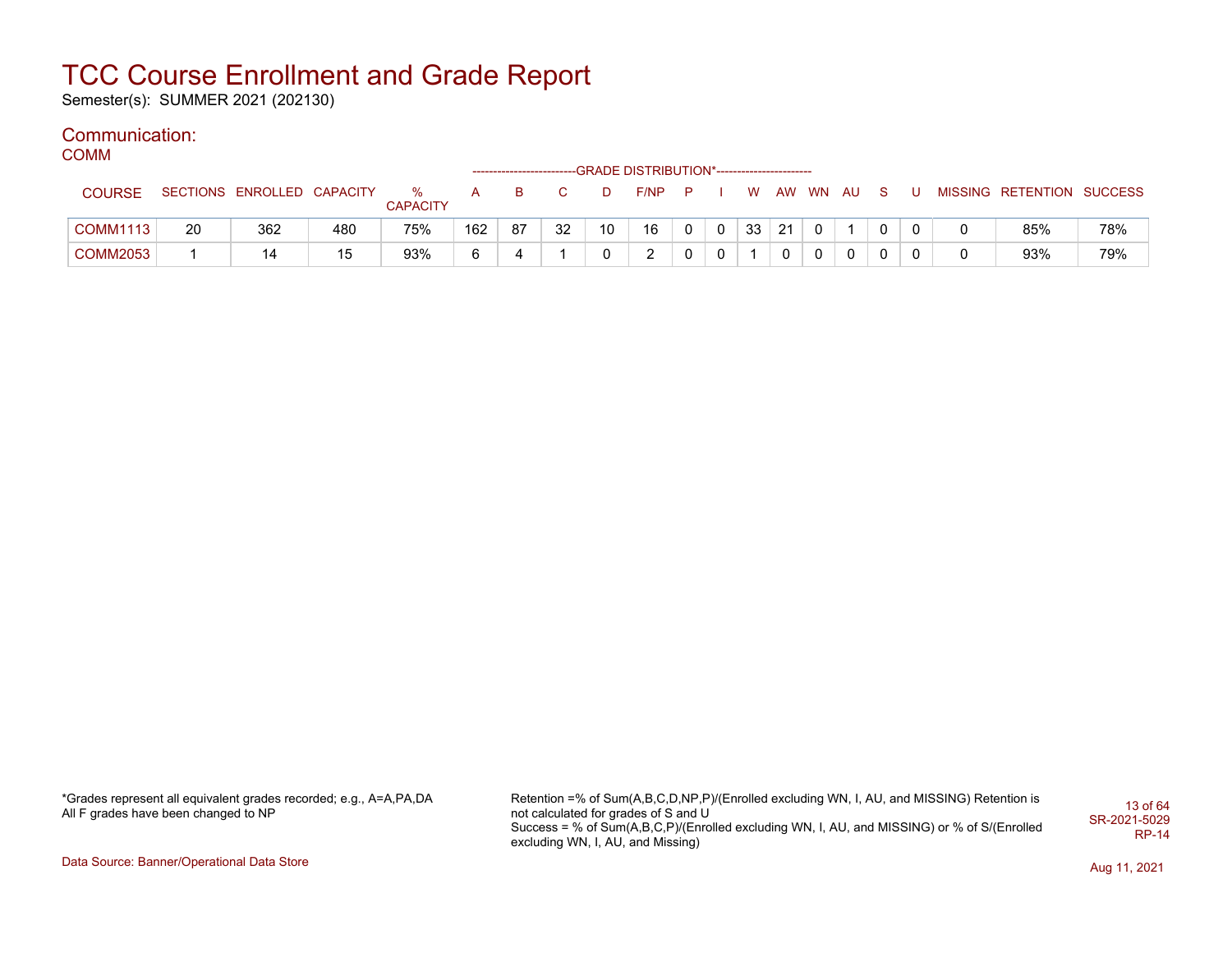Semester(s): SUMMER 2021 (202130)

### Communication:

COMM

|                 |    |                            |     |                 |     |    |    |    | ------------------------GRADE DISTRIBUTION*----------------------- |              |             |    |    |          |  |  |                           |     |
|-----------------|----|----------------------------|-----|-----------------|-----|----|----|----|--------------------------------------------------------------------|--------------|-------------|----|----|----------|--|--|---------------------------|-----|
| <b>COURSE</b>   |    | SECTIONS ENROLLED CAPACITY |     | %               | A   | B  |    |    | F/NP                                                               | <b>P</b>     |             | W. |    | AW WN AU |  |  | MISSING RETENTION SUCCESS |     |
|                 |    |                            |     | <b>CAPACITY</b> |     |    |    |    |                                                                    |              |             |    |    |          |  |  |                           |     |
| <b>COMM1113</b> | 20 | 362                        | 480 | 75%             | 162 | 87 | 32 | 10 | 16                                                                 | $\mathbf{0}$ | $\mathbf 0$ | 33 | 21 |          |  |  | 85%                       | 78% |
| COMM2053        |    | 14                         | 15  | 93%             | 6   |    |    |    | C<br><u>_</u>                                                      | 0            | 0           |    |    |          |  |  | 93%                       | 79% |

\*Grades represent all equivalent grades recorded; e.g., A=A,PA,DA All F grades have been changed to NP

Retention =% of Sum(A,B,C,D,NP,P)/(Enrolled excluding WN, I, AU, and MISSING) Retention is not calculated for grades of S and U Success = % of Sum(A,B,C,P)/(Enrolled excluding WN, I, AU, and MISSING) or % of S/(Enrolled excluding WN, I, AU, and Missing) 13 of 64 SR-2021-5029 RP-14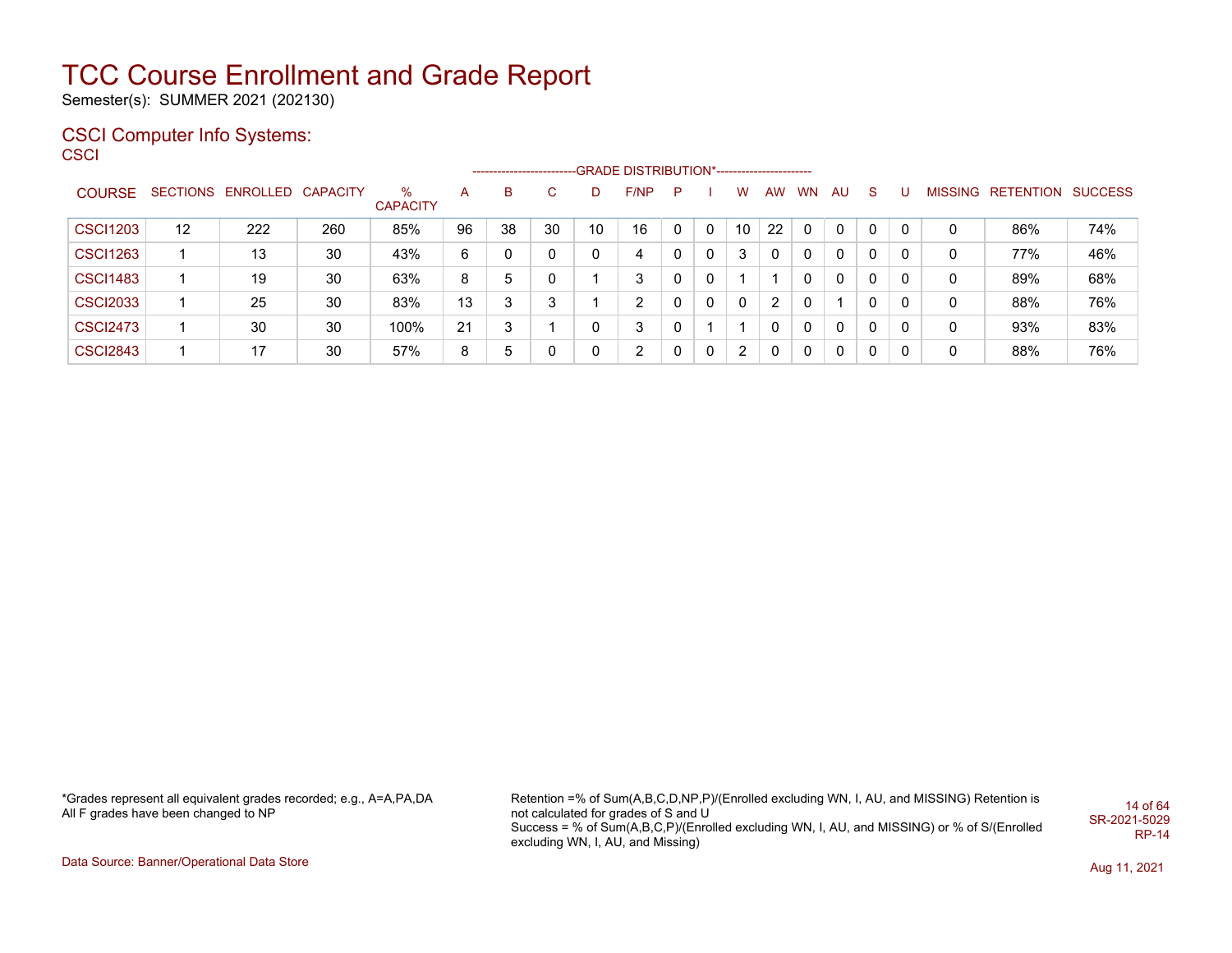Semester(s): SUMMER 2021 (202130)

### CSCI Computer Info Systems:

**CSCI** 

|                 |    |                            |     |                 |    | ------------------------ |    |    | -GRADE DISTRIBUTION*----------------------- |    |              |    |              |              |          |          |          |   |                   |                |
|-----------------|----|----------------------------|-----|-----------------|----|--------------------------|----|----|---------------------------------------------|----|--------------|----|--------------|--------------|----------|----------|----------|---|-------------------|----------------|
| <b>COURSE</b>   |    | SECTIONS ENROLLED CAPACITY |     | %               | A  | В                        | С  | D  | F/NP                                        | P. |              | W  | AW           | WN           | AU       | -S       |          |   | MISSING RETENTION | <b>SUCCESS</b> |
|                 |    |                            |     | <b>CAPACITY</b> |    |                          |    |    |                                             |    |              |    |              |              |          |          |          |   |                   |                |
| <b>CSCI1203</b> | 12 | 222                        | 260 | 85%             | 96 | 38                       | 30 | 10 | 16                                          | 0  | $\Omega$     | 10 | 22           | $\Omega$     | $\Omega$ | $\Omega$ | $\Omega$ |   | 86%               | 74%            |
| <b>CSCI1263</b> |    | 13                         | 30  | 43%             | 6  |                          | 0  |    | 4                                           | 0  | $\Omega$     | 3  | $\mathbf{0}$ | $\mathbf{0}$ | $\Omega$ | $\Omega$ | 0        | 0 | 77%               | 46%            |
| <b>CSCI1483</b> |    | 19                         | 30  | 63%             | 8  | 5                        | 0  |    | 3                                           | 0  | $\Omega$     |    |              | $\Omega$     | $\Omega$ | $\Omega$ | 0        | 0 | 89%               | 68%            |
| <b>CSCI2033</b> |    | 25                         | 30  | 83%             | 13 | 3                        | 3  |    | 2                                           | 0  | $\Omega$     | 0  | 2            | $\Omega$     | -1       | $\Omega$ | 0        | 0 | 88%               | 76%            |
| <b>CSCI2473</b> |    | 30                         | 30  | 100%            | 21 | 2                        |    | 0  | 3                                           | 0  |              |    | 0            | $\Omega$     | $\Omega$ | $\Omega$ | 0        | 0 | 93%               | 83%            |
| <b>CSCI2843</b> |    | 17                         | 30  | 57%             | 8  | 5                        | 0  |    | 2                                           | 0  | $\mathbf{0}$ | 2  | 0            | 0            | $\Omega$ | $\Omega$ | 0        | 0 | 88%               | 76%            |

\*Grades represent all equivalent grades recorded; e.g., A=A,PA,DA All F grades have been changed to NP

Retention =% of Sum(A,B,C,D,NP,P)/(Enrolled excluding WN, I, AU, and MISSING) Retention is not calculated for grades of S and U Success = % of Sum(A,B,C,P)/(Enrolled excluding WN, I, AU, and MISSING) or % of S/(Enrolled excluding WN, I, AU, and Missing) 14 of 64 SR-2021-5029 RP-14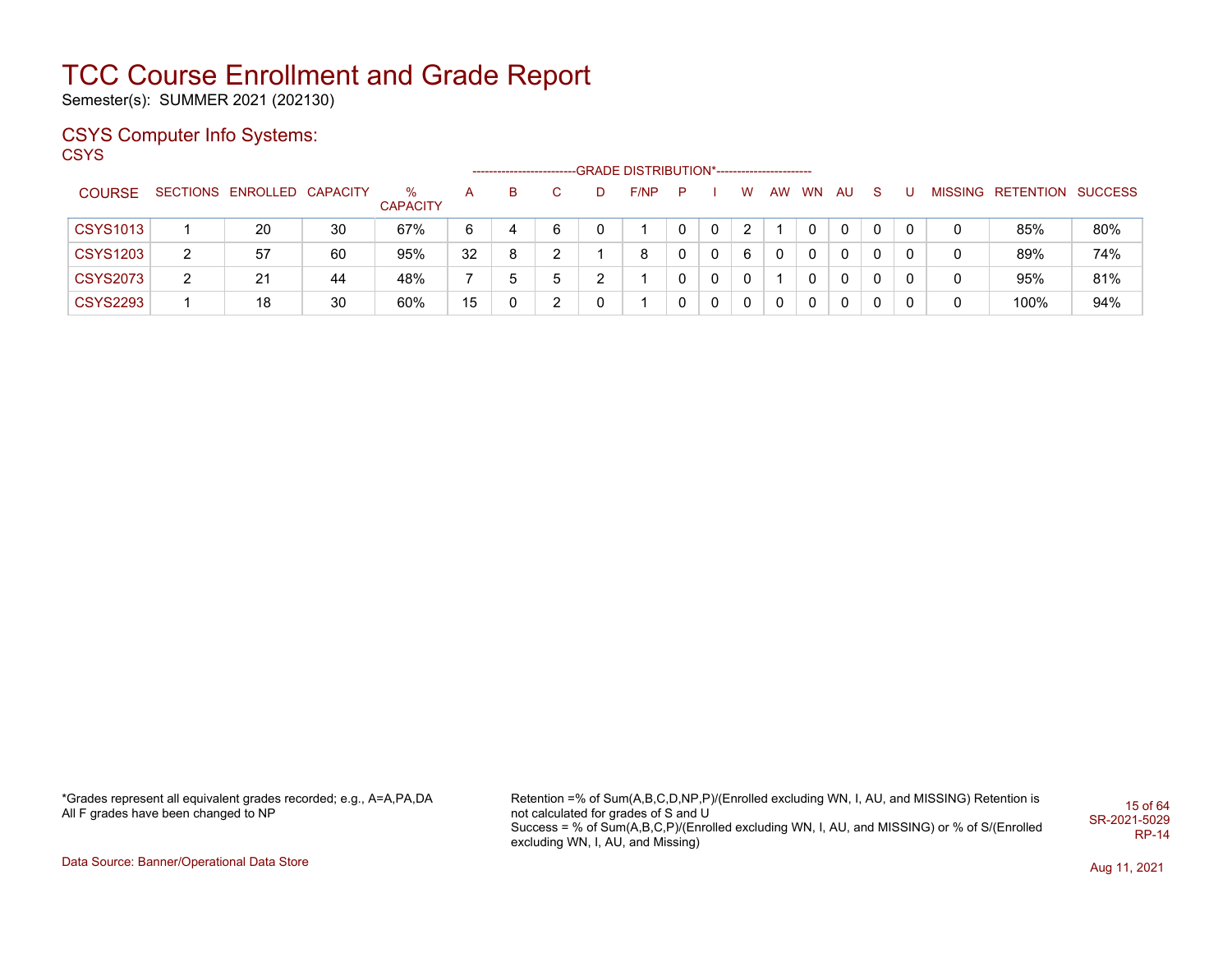Semester(s): SUMMER 2021 (202130)

### CSYS Computer Info Systems:

**CSYS** 

|                 |   |                            |    |                      |    |    |    |    | -GRADE DISTRIBUTION*----------------------- |   |   |   |    |           |    |    |   |                           |     |
|-----------------|---|----------------------------|----|----------------------|----|----|----|----|---------------------------------------------|---|---|---|----|-----------|----|----|---|---------------------------|-----|
| <b>COURSE</b>   |   | SECTIONS ENROLLED CAPACITY |    | ℅<br><b>CAPACITY</b> | A  | B. | C. | D. | F/NP                                        | P |   | W | AW | <b>WN</b> | AU | -S |   | MISSING RETENTION SUCCESS |     |
| <b>CSYS1013</b> |   | 20                         | 30 | 67%                  | 6  |    | 6  |    |                                             |   | 0 | 2 |    |           | 0  |    |   | 85%                       | 80% |
| <b>CSYS1203</b> | 2 | 57                         | 60 | 95%                  | 32 | 8  | າ  |    | 8                                           |   | 0 | 6 |    | 0         | 0  |    |   | 89%                       | 74% |
| <b>CSYS2073</b> | 2 | 21                         | 44 | 48%                  |    | b  | 5  |    |                                             |   | 0 |   |    |           | 0  |    |   | 95%                       | 81% |
| <b>CSYS2293</b> |   | 18                         | 30 | 60%                  | 15 |    | C  |    |                                             |   | 0 | 0 | 0  |           | 0  | 0  | 0 | 100%                      | 94% |

\*Grades represent all equivalent grades recorded; e.g., A=A,PA,DA All F grades have been changed to NP

Retention =% of Sum(A,B,C,D,NP,P)/(Enrolled excluding WN, I, AU, and MISSING) Retention is not calculated for grades of S and U Success = % of Sum(A,B,C,P)/(Enrolled excluding WN, I, AU, and MISSING) or % of S/(Enrolled excluding WN, I, AU, and Missing) 15 of 64 SR-2021-5029 RP-14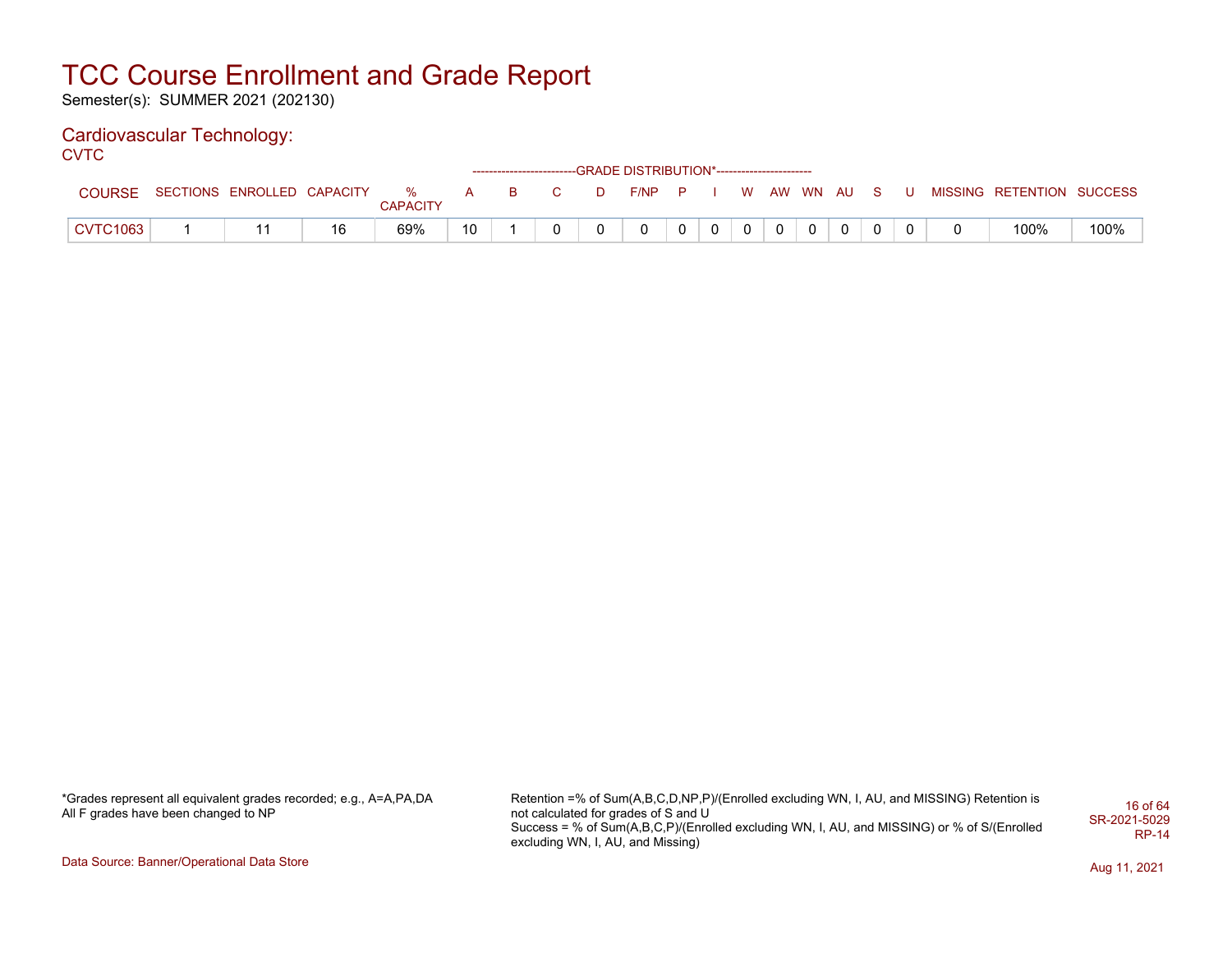Semester(s): SUMMER 2021 (202130)

### Cardiovascular Technology:

**CVTC** 

|                    |                            |    |                         |    |              |              |   | ------------------------GRADE DISTRIBUTION*----------------------- |  |                                                                                                                                                                                                                                                                                                                                                                                                                                                                |                |          |             |  |                           |      |
|--------------------|----------------------------|----|-------------------------|----|--------------|--------------|---|--------------------------------------------------------------------|--|----------------------------------------------------------------------------------------------------------------------------------------------------------------------------------------------------------------------------------------------------------------------------------------------------------------------------------------------------------------------------------------------------------------------------------------------------------------|----------------|----------|-------------|--|---------------------------|------|
| <b>COURSE</b>      | SECTIONS ENROLLED CAPACITY |    | $\sim$ $\%$<br>CAPACITY | A  | $\mathbf{R}$ | $\mathbf{C}$ | D | $F/NP$ $P$ $I$                                                     |  |                                                                                                                                                                                                                                                                                                                                                                                                                                                                |                |          | WAW WN AUSU |  | MISSING RETENTION SUCCESS |      |
| $\degree$ CVTC1063 |                            | 16 | 69%                     | 10 |              |              |   | $\Omega$                                                           |  | $\begin{array}{c c c c c c} \hline \multicolumn{3}{c }{\textbf{0}} & \multicolumn{3}{c }{\textbf{0}} & \multicolumn{3}{c }{\textbf{0}} \\ \hline \multicolumn{3}{c }{\textbf{0}} & \multicolumn{3}{c }{\textbf{0}} & \multicolumn{3}{c }{\textbf{0}} & \multicolumn{3}{c }{\textbf{0}} \\ \hline \multicolumn{3}{c }{\textbf{0}} & \multicolumn{3}{c }{\textbf{0}} & \multicolumn{3}{c }{\textbf{0}} & \multicolumn{3}{c }{\textbf{0}} \\ \hline \multicolumn$ | 0 <sup>1</sup> | $\Omega$ |             |  | 100%                      | 100% |

\*Grades represent all equivalent grades recorded; e.g., A=A,PA,DA All F grades have been changed to NP

Retention =% of Sum(A,B,C,D,NP,P)/(Enrolled excluding WN, I, AU, and MISSING) Retention is not calculated for grades of S and U Success = % of Sum(A,B,C,P)/(Enrolled excluding WN, I, AU, and MISSING) or % of S/(Enrolled excluding WN, I, AU, and Missing) 16 of 64 SR-2021-5029 RP-14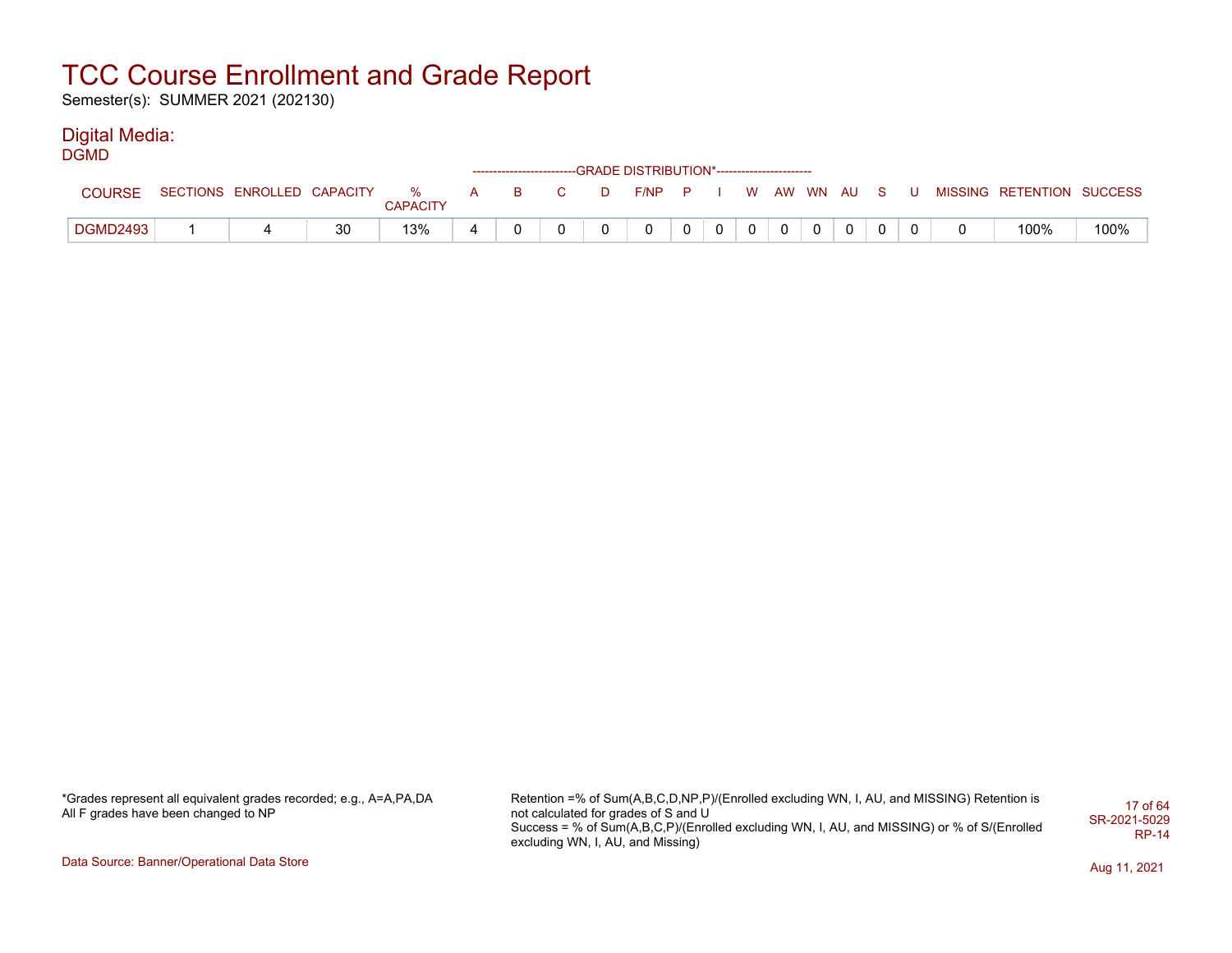Semester(s): SUMMER 2021 (202130)

#### Digital Media: DGMD

| ----            |                            |    |                      |              |          |        | ------------------------GRADE DISTRIBUTION*----------------------- |   |   |  |              |             |     |                           |      |
|-----------------|----------------------------|----|----------------------|--------------|----------|--------|--------------------------------------------------------------------|---|---|--|--------------|-------------|-----|---------------------------|------|
| <b>COURSE</b>   | SECTIONS ENROLLED CAPACITY |    | %<br><b>CAPACITY</b> | $\mathsf{A}$ | <b>B</b> | $\Box$ | F/NP                                                               | P |   |  | W AW WN AU S |             | . U | MISSING RETENTION SUCCESS |      |
| <b>DGMD2493</b> |                            | 30 | 13%                  |              |          |        |                                                                    | 0 | 0 |  | $\mathbf{0}$ | $\mathbf 0$ |     | 100%                      | 100% |

\*Grades represent all equivalent grades recorded; e.g., A=A,PA,DA All F grades have been changed to NP

Retention =% of Sum(A,B,C,D,NP,P)/(Enrolled excluding WN, I, AU, and MISSING) Retention is not calculated for grades of S and U Success = % of Sum(A,B,C,P)/(Enrolled excluding WN, I, AU, and MISSING) or % of S/(Enrolled excluding WN, I, AU, and Missing) 17 of 64 SR-2021-5029 RP-14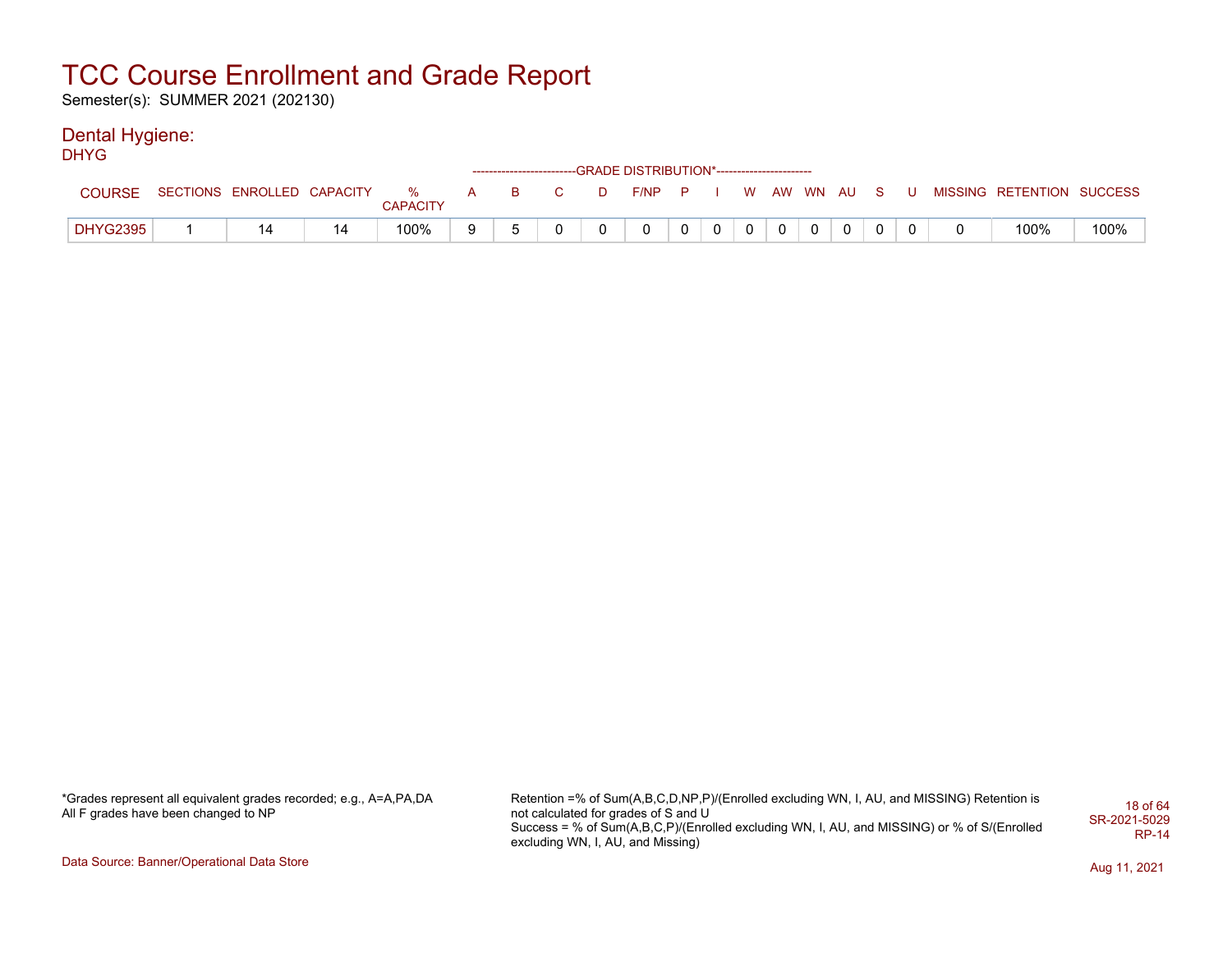Semester(s): SUMMER 2021 (202130)

#### Dental Hygiene: DHYG

| ----            |                                |          |   |          |                                   |      | ------------------------GRADE DISTRIBUTION*----------------------- |   |              |  |             |   |  |                           |      |
|-----------------|--------------------------------|----------|---|----------|-----------------------------------|------|--------------------------------------------------------------------|---|--------------|--|-------------|---|--|---------------------------|------|
| <b>COURSE</b>   | SECTIONS ENROLLED CAPACITY % A | CAPACITY |   | <b>B</b> | $\overline{C}$ and $\overline{C}$ | - D- | F/NP P                                                             |   |              |  | WAW WN AUSU |   |  | MISSING RETENTION SUCCESS |      |
| <b>DHYG2395</b> |                                | 100%     | 9 |          |                                   |      |                                                                    | 0 | $\mathbf{0}$ |  |             | 0 |  | 100%                      | 100% |

\*Grades represent all equivalent grades recorded; e.g., A=A,PA,DA All F grades have been changed to NP

Retention =% of Sum(A,B,C,D,NP,P)/(Enrolled excluding WN, I, AU, and MISSING) Retention is not calculated for grades of S and U Success = % of Sum(A,B,C,P)/(Enrolled excluding WN, I, AU, and MISSING) or % of S/(Enrolled excluding WN, I, AU, and Missing) 18 of 64 SR-2021-5029 RP-14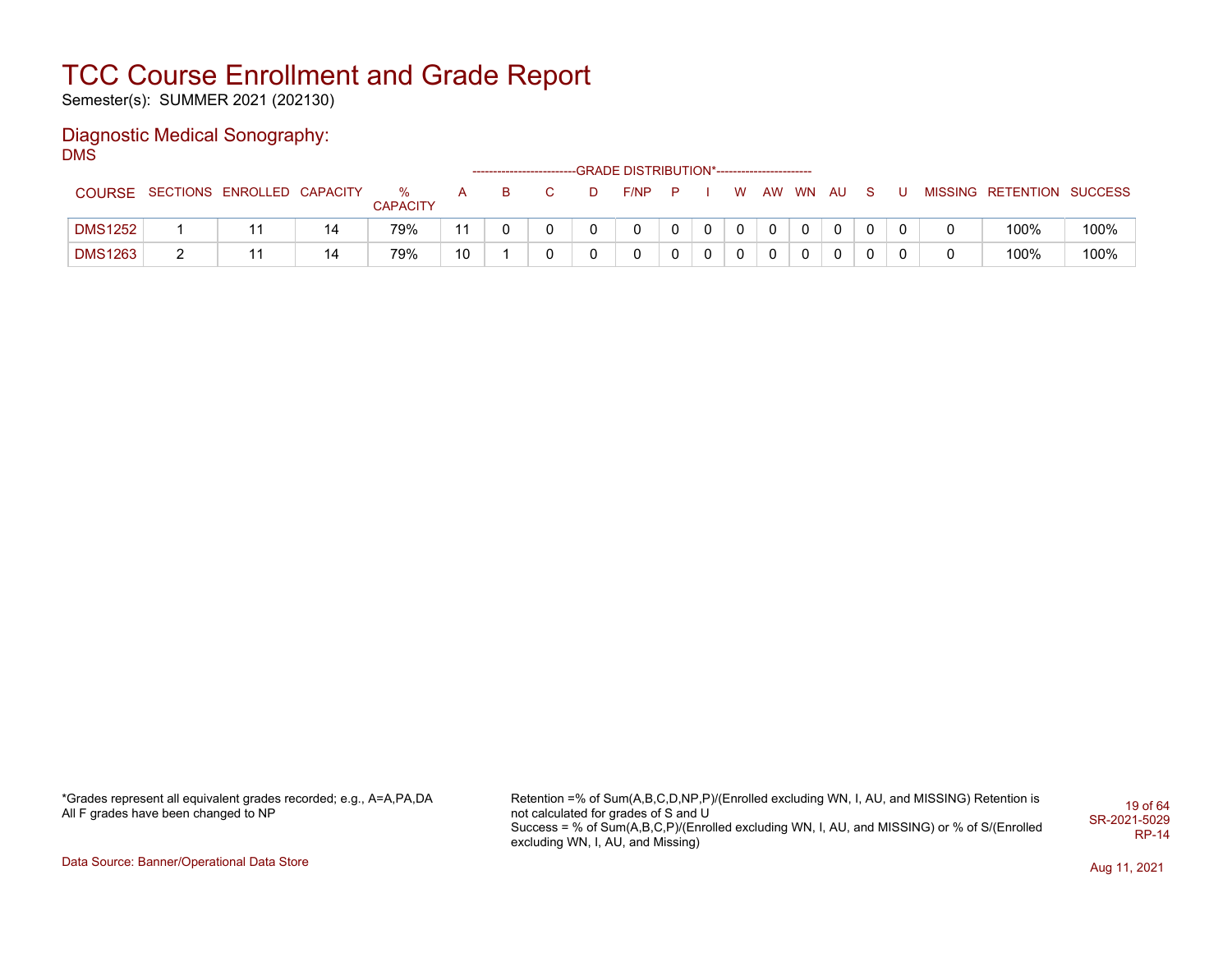Semester(s): SUMMER 2021 (202130)

#### Diagnostic Medical Sonography: DMS

|                |                            |                      |    |    | ------------------------ | -GRADE DISTRIBUTION*----------------------- |  |          |          |          |   |   |                           |      |
|----------------|----------------------------|----------------------|----|----|--------------------------|---------------------------------------------|--|----------|----------|----------|---|---|---------------------------|------|
| <b>COURSE</b>  | SECTIONS ENROLLED CAPACITY | %<br><b>CAPACITY</b> |    | B. |                          | F/NP                                        |  | W.       | AW       | WN AU    | s |   | MISSING RETENTION SUCCESS |      |
| <b>DMS1252</b> |                            | 79%                  |    |    |                          |                                             |  | $\Omega$ | $\Omega$ | $\Omega$ |   | 0 | 100%                      | 100% |
| <b>DMS1263</b> |                            | 79%                  | 10 |    |                          |                                             |  |          |          |          | 0 |   | 100%                      | 100% |

\*Grades represent all equivalent grades recorded; e.g., A=A,PA,DA All F grades have been changed to NP

Retention =% of Sum(A,B,C,D,NP,P)/(Enrolled excluding WN, I, AU, and MISSING) Retention is not calculated for grades of S and U Success = % of Sum(A,B,C,P)/(Enrolled excluding WN, I, AU, and MISSING) or % of S/(Enrolled excluding WN, I, AU, and Missing) 19 of 64 SR-2021-5029 RP-14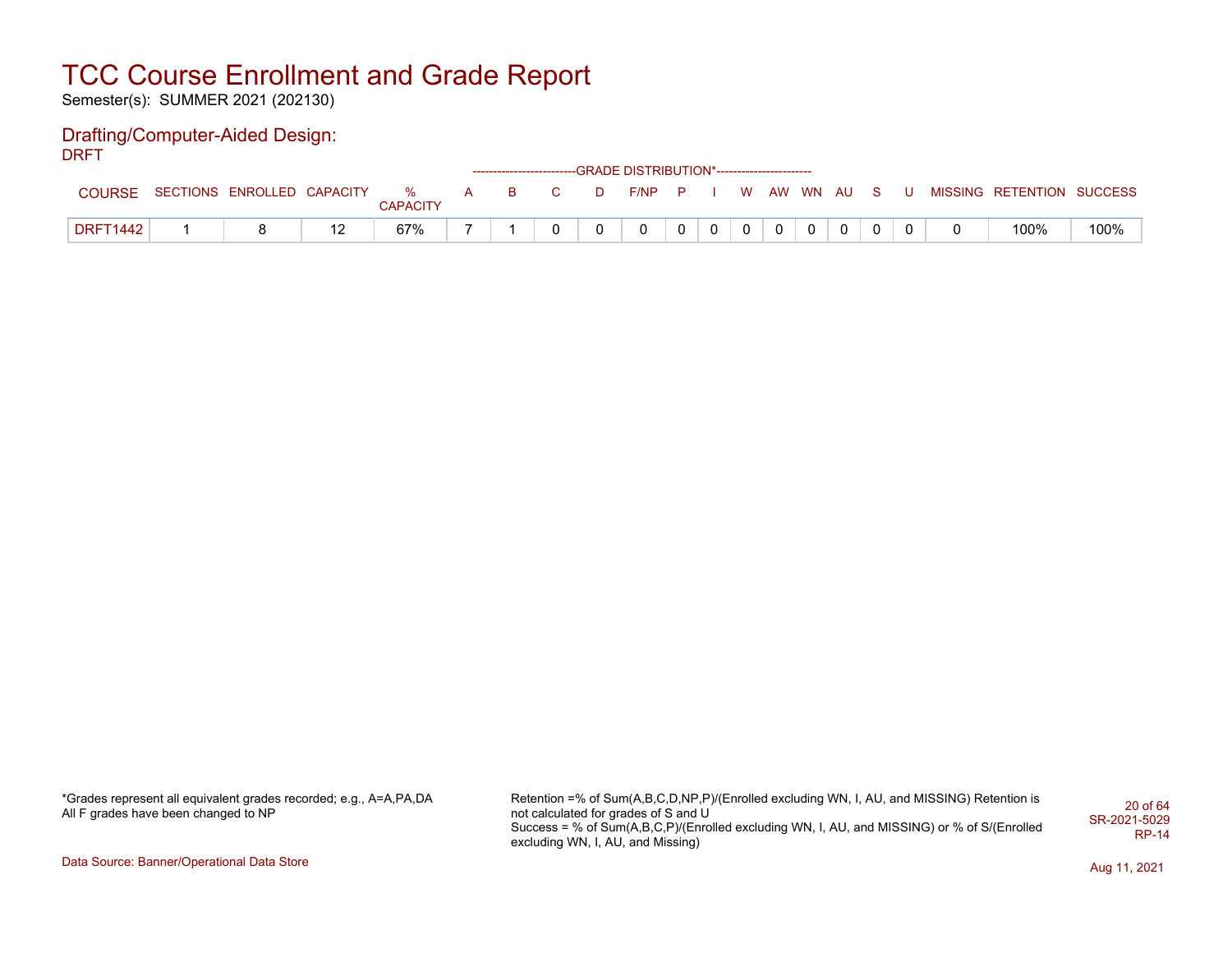Semester(s): SUMMER 2021 (202130)

#### Drafting/Computer-Aided Design: DRFT

|                 |                                                              |     |                 |  |  | ------------------------GRADE DISTRIBUTION*----------------------- |          |                |  |  |  |                           |      |
|-----------------|--------------------------------------------------------------|-----|-----------------|--|--|--------------------------------------------------------------------|----------|----------------|--|--|--|---------------------------|------|
| <b>COURSE</b>   | SECTIONS ENROLLED CAPACITY % A B C D F/NP P I W AW WN AU S U |     | <b>CAPACITY</b> |  |  |                                                                    |          |                |  |  |  | MISSING RETENTION SUCCESS |      |
| <b>DRFT1442</b> |                                                              | . . | 67%             |  |  | $\mathbf{0}$                                                       | $\Omega$ | $\overline{0}$ |  |  |  | 100%                      | 100% |

\*Grades represent all equivalent grades recorded; e.g., A=A,PA,DA All F grades have been changed to NP

Retention =% of Sum(A,B,C,D,NP,P)/(Enrolled excluding WN, I, AU, and MISSING) Retention is not calculated for grades of S and U Success = % of Sum(A,B,C,P)/(Enrolled excluding WN, I, AU, and MISSING) or % of S/(Enrolled excluding WN, I, AU, and Missing) 20 of 64 SR-2021-5029 RP-14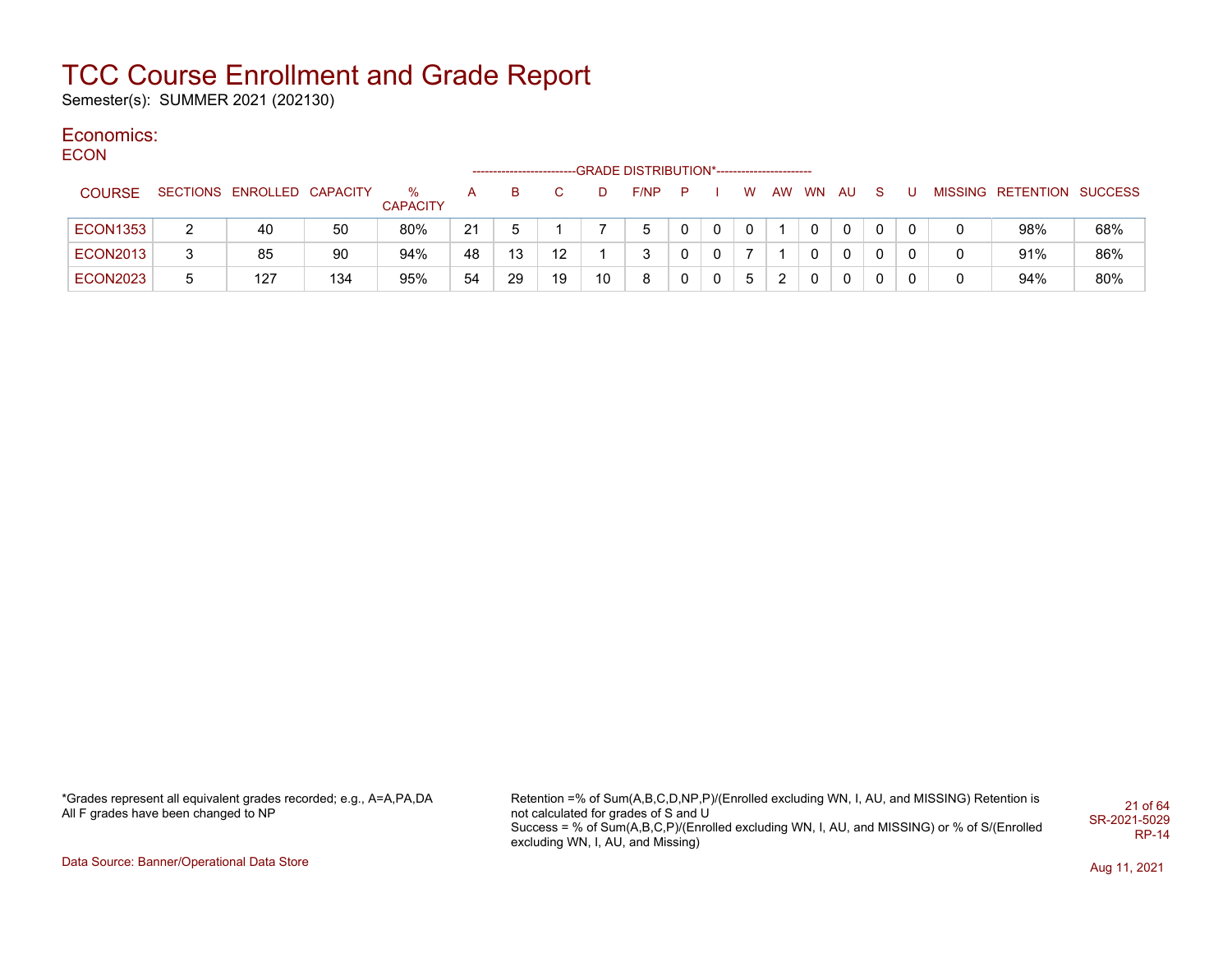Semester(s): SUMMER 2021 (202130)

#### Economics: **ECON**

| ----            |   |                            |     |                      |    | -------------------- |    |    | -GRADE DISTRIBUTION*---------------------- |             |              |   |    |    |     |              |              |                           |     |
|-----------------|---|----------------------------|-----|----------------------|----|----------------------|----|----|--------------------------------------------|-------------|--------------|---|----|----|-----|--------------|--------------|---------------------------|-----|
| <b>COURSE</b>   |   | SECTIONS ENROLLED CAPACITY |     | %<br><b>CAPACITY</b> |    | в                    |    |    | F/NP                                       | P           |              | W | AW | WN | AU. | <sub>S</sub> |              | MISSING RETENTION SUCCESS |     |
| <b>ECON1353</b> |   | 40                         | 50  | 80%                  | 21 |                      |    |    | 5                                          | 0           | $\Omega$     |   |    |    | 0   |              | $\mathbf{0}$ | 98%                       | 68% |
| <b>ECON2013</b> | 3 | 85                         | 90  | 94%                  | 48 | 13                   | 12 |    | 3                                          | 0           | 0            |   |    |    | 0   |              | $\mathbf 0$  | 91%                       | 86% |
| <b>ECON2023</b> | 5 | 127                        | 134 | 95%                  | 54 | 29                   | 19 | 10 | 8                                          | $\mathbf 0$ | $\mathbf{0}$ | 5 | ົ  |    | 0   | 0            | 0            | 94%                       | 80% |

\*Grades represent all equivalent grades recorded; e.g., A=A,PA,DA All F grades have been changed to NP

Retention =% of Sum(A,B,C,D,NP,P)/(Enrolled excluding WN, I, AU, and MISSING) Retention is not calculated for grades of S and U Success = % of Sum(A,B,C,P)/(Enrolled excluding WN, I, AU, and MISSING) or % of S/(Enrolled excluding WN, I, AU, and Missing) 21 of 64 SR-2021-5029 RP-14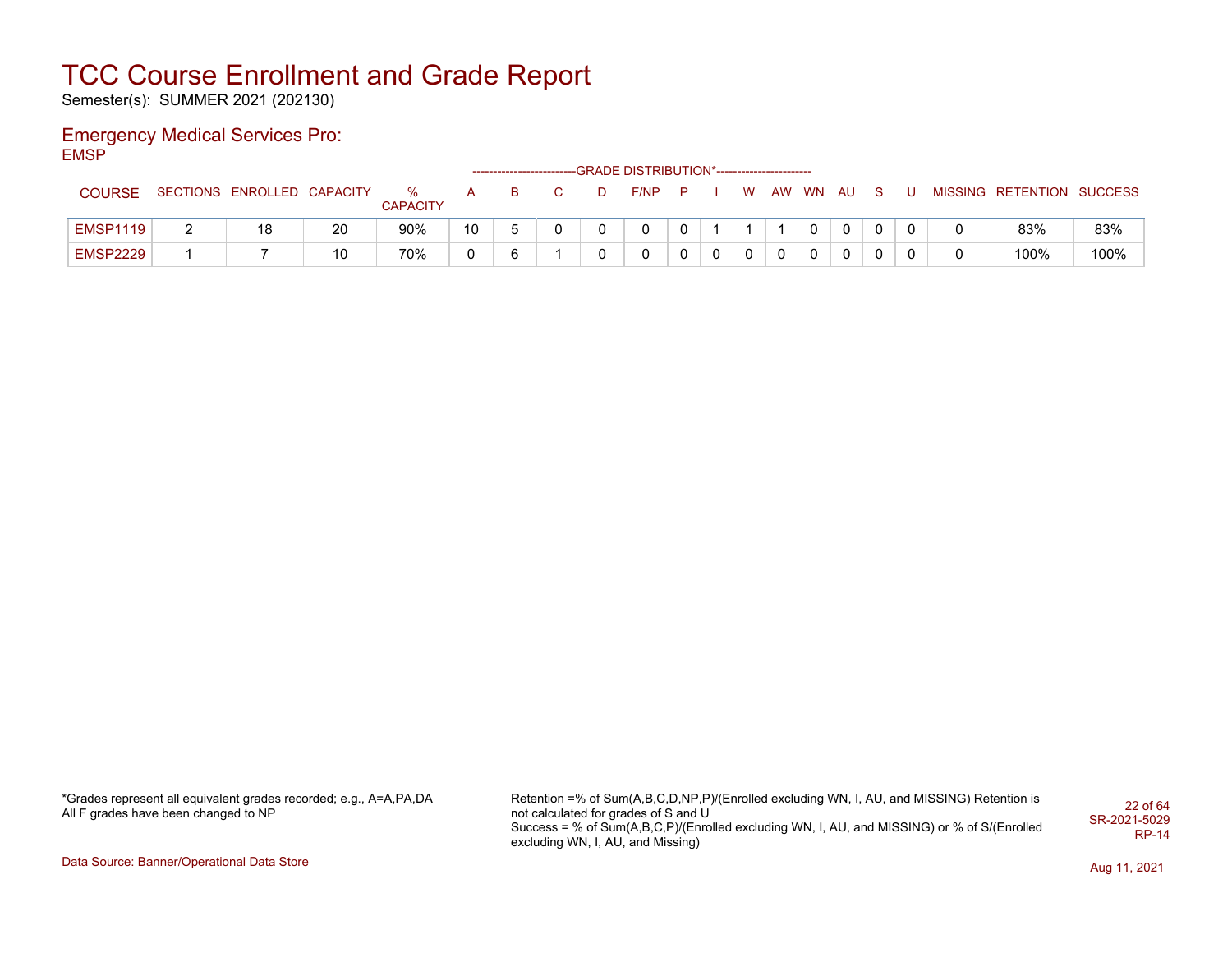Semester(s): SUMMER 2021 (202130)

#### Emergency Medical Services Pro: EMSP

|                 |                            |    |                      |              |   |   | ------------------------GRADE DISTRIBUTION*----------------------- |              |   |   |          |              |   |   |                           |      |
|-----------------|----------------------------|----|----------------------|--------------|---|---|--------------------------------------------------------------------|--------------|---|---|----------|--------------|---|---|---------------------------|------|
| <b>COURSE</b>   | SECTIONS ENROLLED CAPACITY |    | %<br><b>CAPACITY</b> | $\mathsf{A}$ | в | D | F/NP                                                               | $\mathbf{P}$ |   | W | AW WN AU |              | U |   | MISSING RETENTION SUCCESS |      |
| <b>EMSP1119</b> | 18                         | 20 | 90%                  | 10           |   |   | 0                                                                  |              |   |   |          | $\mathbf{0}$ |   |   | 83%                       | 83%  |
| <b>EMSP2229</b> |                            | 10 | 70%                  |              |   |   | 0                                                                  |              | 0 | 0 |          |              |   | 0 | 100%                      | 100% |

\*Grades represent all equivalent grades recorded; e.g., A=A,PA,DA All F grades have been changed to NP

Retention =% of Sum(A,B,C,D,NP,P)/(Enrolled excluding WN, I, AU, and MISSING) Retention is not calculated for grades of S and U Success = % of Sum(A,B,C,P)/(Enrolled excluding WN, I, AU, and MISSING) or % of S/(Enrolled excluding WN, I, AU, and Missing) 22 of 64 SR-2021-5029 RP-14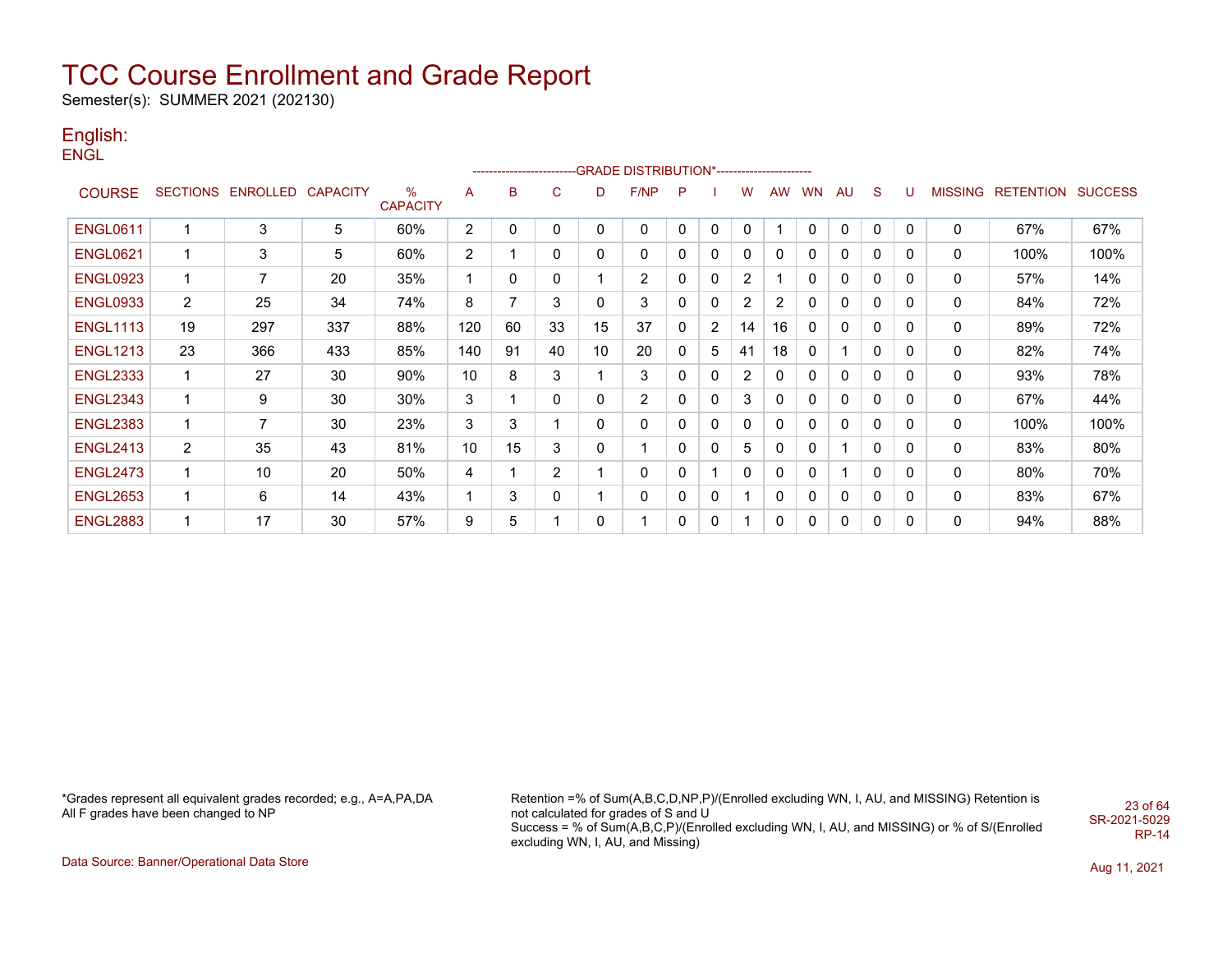Semester(s): SUMMER 2021 (202130)

#### English: ENGL

|                 |                         |                 |                 |                         |                |    |                |    | ------------------------GRADE                DISTRIBUTION*---------------------- |   |   |                |           |              |              |              |              |                |                  |                |
|-----------------|-------------------------|-----------------|-----------------|-------------------------|----------------|----|----------------|----|----------------------------------------------------------------------------------|---|---|----------------|-----------|--------------|--------------|--------------|--------------|----------------|------------------|----------------|
| <b>COURSE</b>   | <b>SECTIONS</b>         | <b>ENROLLED</b> | <b>CAPACITY</b> | $\%$<br><b>CAPACITY</b> | A              | B  | C              | D  | F/NP                                                                             | P |   | W              | <b>AW</b> | WN           | AU           | S            | U            | <b>MISSING</b> | <b>RETENTION</b> | <b>SUCCESS</b> |
| <b>ENGL0611</b> |                         | 3               | 5               | 60%                     | $\mathbf{2}$   | 0  | 0              | 0  | 0                                                                                | 0 | 0 | 0              | 4         | 0            | 0            | 0            | 0            | 0              | 67%              | 67%            |
| <b>ENGL0621</b> | 1                       | 3               | 5               | 60%                     | $\overline{2}$ |    | 0              | 0  | 0                                                                                | 0 | 0 | $\mathbf{0}$   | 0         | 0            | $\mathbf{0}$ | 0            | 0            | 0              | 100%             | 100%           |
| <b>ENGL0923</b> | 1                       | 7               | 20              | 35%                     | 1              | 0  | 0              |    | $\overline{c}$                                                                   | 0 | 0 | $\overline{c}$ |           | 0            | $\mathbf{0}$ | 0            | 0            | 0              | 57%              | 14%            |
| <b>ENGL0933</b> | 2                       | 25              | 34              | 74%                     | 8              | 7  | 3              | 0  | 3                                                                                | 0 | 0 | 2              | 2         | 0            | 0            | $\Omega$     | $\mathbf{0}$ | 0              | 84%              | 72%            |
| <b>ENGL1113</b> | 19                      | 297             | 337             | 88%                     | 120            | 60 | 33             | 15 | 37                                                                               | 0 | 2 | 14             | 16        | $\mathbf{0}$ | 0            | 0            | 0            | 0              | 89%              | 72%            |
| <b>ENGL1213</b> | 23                      | 366             | 433             | 85%                     | 140            | 91 | 40             | 10 | 20                                                                               | 0 | 5 | 41             | 18        | 0            |              | 0            | 0            | 0              | 82%              | 74%            |
| <b>ENGL2333</b> | -1                      | 27              | 30              | 90%                     | 10             | 8  | 3              |    | 3                                                                                | 0 | 0 | $\overline{2}$ | 0         | 0            | 0            | $\Omega$     | 0            | 0              | 93%              | 78%            |
| <b>ENGL2343</b> | 1                       | 9               | 30              | 30%                     | 3              | 1  | 0              | 0  | $\overline{2}$                                                                   | 0 | 0 | 3              | 0         | 0            | 0            | 0            | 0            | 0              | 67%              | 44%            |
| <b>ENGL2383</b> | $\overline{\mathbf{1}}$ | 7               | 30              | 23%                     | 3              | 3  |                | 0  | 0                                                                                | 0 | 0 | $\mathbf{0}$   | 0         | 0            | 0            | 0            | 0            | 0              | 100%             | 100%           |
| <b>ENGL2413</b> | 2                       | 35              | 43              | 81%                     | 10             | 15 | 3              | 0  |                                                                                  | 0 | 0 | 5              | 0         | 0            |              | 0            | 0            | 0              | 83%              | 80%            |
| <b>ENGL2473</b> | 1                       | 10              | 20              | 50%                     | 4              |    | $\overline{2}$ |    | 0                                                                                | 0 | 1 | $\mathbf{0}$   | 0         | 0            |              | $\mathbf{0}$ | 0            | 0              | 80%              | 70%            |
| <b>ENGL2653</b> |                         | 6               | 14              | 43%                     | 4              | 3  | 0              |    | 0                                                                                | 0 | 0 |                | 0         | 0            | 0            | 0            | 0            | 0              | 83%              | 67%            |
| <b>ENGL2883</b> | $\mathbf 1$             | 17              | 30              | 57%                     | 9              | 5  |                | 0  |                                                                                  | 0 | 0 |                | 0         | $\Omega$     | 0            | 0            | 0            | 0              | 94%              | 88%            |

\*Grades represent all equivalent grades recorded; e.g., A=A,PA,DA All F grades have been changed to NP

Retention =% of Sum(A,B,C,D,NP,P)/(Enrolled excluding WN, I, AU, and MISSING) Retention is not calculated for grades of S and U Success = % of Sum(A,B,C,P)/(Enrolled excluding WN, I, AU, and MISSING) or % of S/(Enrolled excluding WN, I, AU, and Missing) 23 of 64 SR-2021-5029 RP-14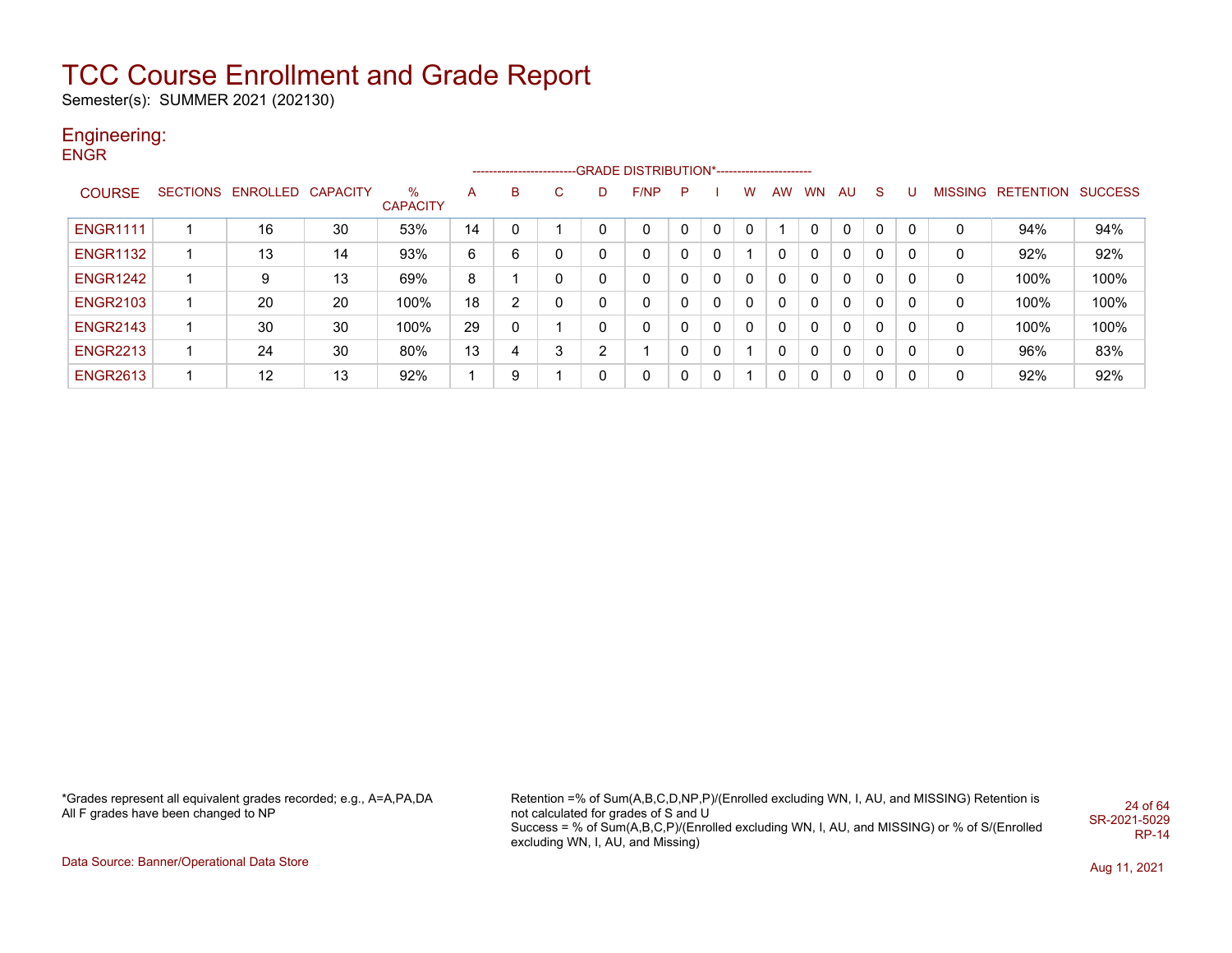Semester(s): SUMMER 2021 (202130)

### Engineering:

**ENGR** 

|                 |                            |    |                      |    |    |          |          | ------------------------GRADE DISTRIBUTION*---------------------- |   |   |             |           |           |    |              |   |   |                   |                |
|-----------------|----------------------------|----|----------------------|----|----|----------|----------|-------------------------------------------------------------------|---|---|-------------|-----------|-----------|----|--------------|---|---|-------------------|----------------|
| <b>COURSE</b>   | SECTIONS ENROLLED CAPACITY |    | %<br><b>CAPACITY</b> | A  | B. | C.       | D        | F/NP                                                              | P |   | w           | <b>AW</b> | <b>WN</b> | AU | <sub>S</sub> | U |   | MISSING RETENTION | <b>SUCCESS</b> |
| <b>ENGR1111</b> | 16                         | 30 | 53%                  | 14 | 0  |          | 0        | 0                                                                 |   | 0 |             |           |           | 0  | $\mathbf 0$  | 0 | 0 | 94%               | 94%            |
| <b>ENGR1132</b> | 13                         | 14 | 93%                  | 6  | 6  | 0        | 0        | 0                                                                 | 0 | 0 |             |           | 0         | 0  | 0            |   | 0 | 92%               | 92%            |
| <b>ENGR1242</b> | 9                          | 13 | 69%                  | 8  |    | $\Omega$ | $\Omega$ | 0                                                                 | 0 | 0 | $\mathbf 0$ | 0         | 0         | 0  | 0            | 0 | 0 | 100%              | 100%           |
| <b>ENGR2103</b> | 20                         | 20 | 100%                 | 18 | C  | 0        | $\Omega$ | 0                                                                 | 0 | 0 | 0           | 0         | 0         | 0  | 0            | 0 | 0 | 100%              | 100%           |
| <b>ENGR2143</b> | 30                         | 30 | 100%                 | 29 | 0  |          | 0        | 0                                                                 |   | 0 | $\mathbf 0$ | 0         | 0         | 0  | 0            | 0 | 0 | 100%              | 100%           |
| <b>ENGR2213</b> | 24                         | 30 | 80%                  | 13 | 4  | 3        | າ        |                                                                   |   | 0 |             | 0         | 0         | 0  | 0            | 0 | 0 | 96%               | 83%            |
| <b>ENGR2613</b> | 12                         | 13 | 92%                  |    | 9  |          | 0        | 0                                                                 |   | 0 |             |           | 0         | 0  | $\mathbf{0}$ | 0 | 0 | 92%               | 92%            |

\*Grades represent all equivalent grades recorded; e.g., A=A,PA,DA All F grades have been changed to NP

Retention =% of Sum(A,B,C,D,NP,P)/(Enrolled excluding WN, I, AU, and MISSING) Retention is not calculated for grades of S and U Success = % of Sum(A,B,C,P)/(Enrolled excluding WN, I, AU, and MISSING) or % of S/(Enrolled excluding WN, I, AU, and Missing) 24 of 64 SR-2021-5029 RP-14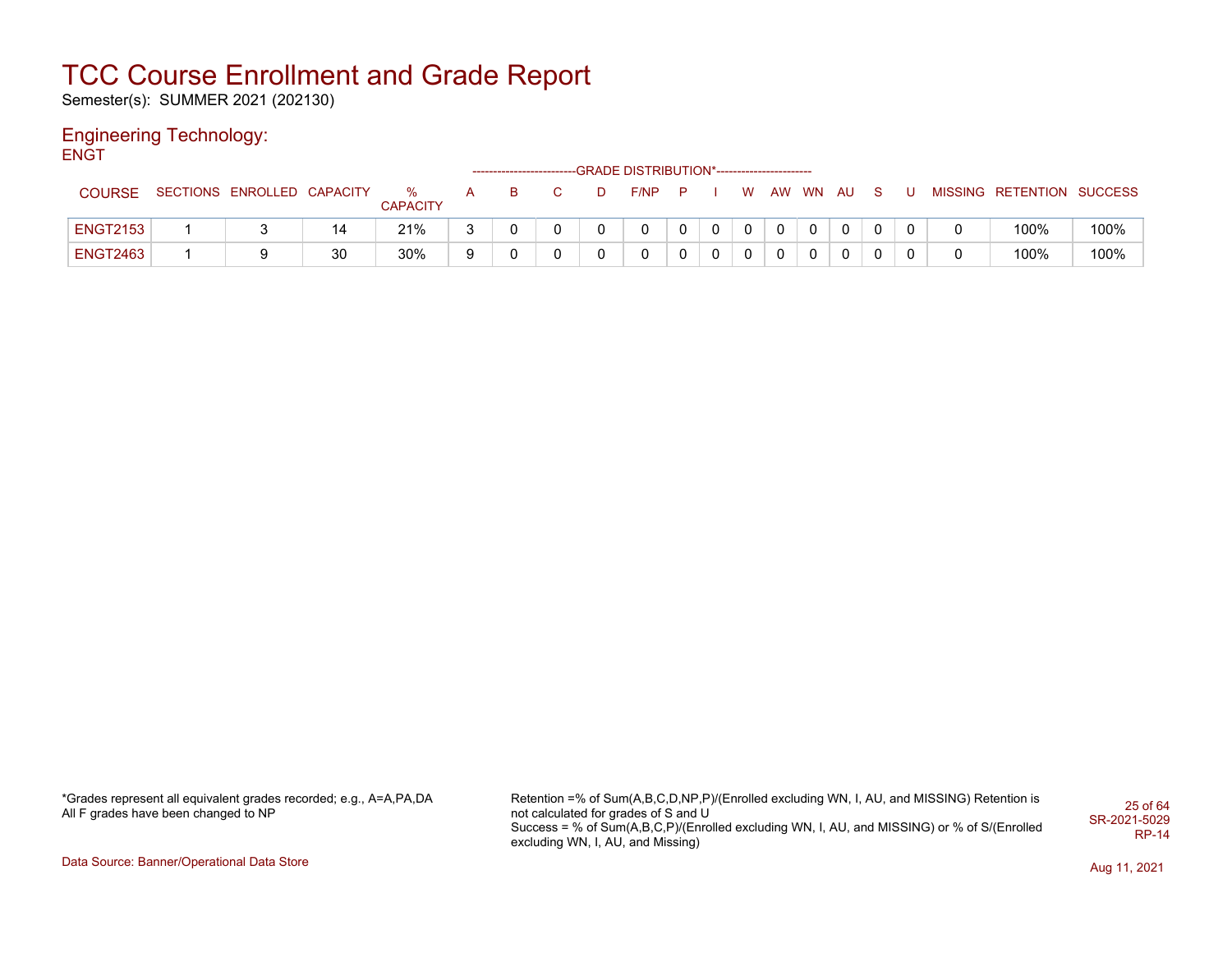Semester(s): SUMMER 2021 (202130)

#### Engineering Technology: **ENGT**

|                 |                            |    |                             |     |    |              |   | --GRADE DISTRIBUTION*----------------------- |   |              |              |          |              |     |  |                           |      |
|-----------------|----------------------------|----|-----------------------------|-----|----|--------------|---|----------------------------------------------|---|--------------|--------------|----------|--------------|-----|--|---------------------------|------|
| <b>COURSE</b>   | SECTIONS ENROLLED CAPACITY |    | <b>%</b><br><b>CAPACITY</b> | A – | B. | C.           | D | $F/NP$ $P$                                   |   |              | <b>W</b>     | AW WN AU |              | - S |  | MISSING RETENTION SUCCESS |      |
| <b>ENGT2153</b> |                            | 14 | 21%                         | C   |    | <sup>n</sup> |   |                                              | 0 | $\mathbf{0}$ | $\Omega$     | $\Omega$ | $\mathbf{0}$ |     |  | 100%                      | 100% |
| <b>ENGT2463</b> |                            | 30 | 30%                         | 9   |    |              |   |                                              | 0 | 0            | $\mathbf{0}$ | $\Omega$ | $\mathbf{0}$ |     |  | 100%                      | 100% |

\*Grades represent all equivalent grades recorded; e.g., A=A,PA,DA All F grades have been changed to NP

Retention =% of Sum(A,B,C,D,NP,P)/(Enrolled excluding WN, I, AU, and MISSING) Retention is not calculated for grades of S and U Success = % of Sum(A,B,C,P)/(Enrolled excluding WN, I, AU, and MISSING) or % of S/(Enrolled excluding WN, I, AU, and Missing) 25 of 64 SR-2021-5029 RP-14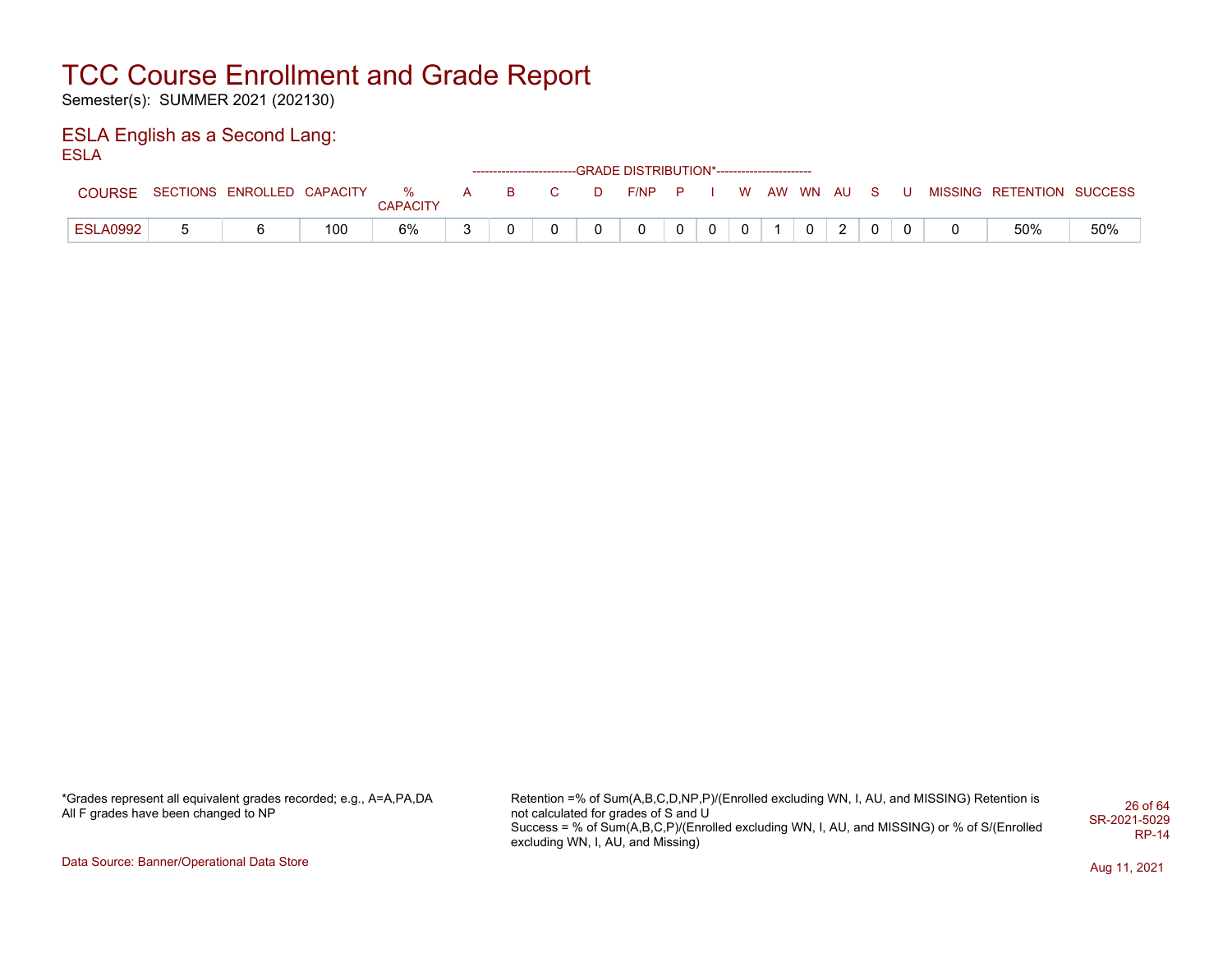Semester(s): SUMMER 2021 (202130)

#### ESLA English as a Second Lang: ESLA

|                 |                            |     |                      |   |   |    |   | ------------------------GRADE DISTRIBUTION*----------------------- |      |   |   |    |       |  |  |                   |         |
|-----------------|----------------------------|-----|----------------------|---|---|----|---|--------------------------------------------------------------------|------|---|---|----|-------|--|--|-------------------|---------|
| <b>COURSE</b>   | SECTIONS ENROLLED CAPACITY |     | %<br><b>CAPACITY</b> | A | B | C. | D | F/NP                                                               | . P. |   | W | AW | WN AU |  |  | MISSING RETENTION | SUCCESS |
| <b>ESLA0992</b> |                            | 100 | 6%                   |   |   |    |   |                                                                    | 0    | 0 | 0 |    |       |  |  | 50%               | 50%     |

\*Grades represent all equivalent grades recorded; e.g., A=A,PA,DA All F grades have been changed to NP

Retention =% of Sum(A,B,C,D,NP,P)/(Enrolled excluding WN, I, AU, and MISSING) Retention is not calculated for grades of S and U Success = % of Sum(A,B,C,P)/(Enrolled excluding WN, I, AU, and MISSING) or % of S/(Enrolled excluding WN, I, AU, and Missing) 26 of 64 SR-2021-5029 RP-14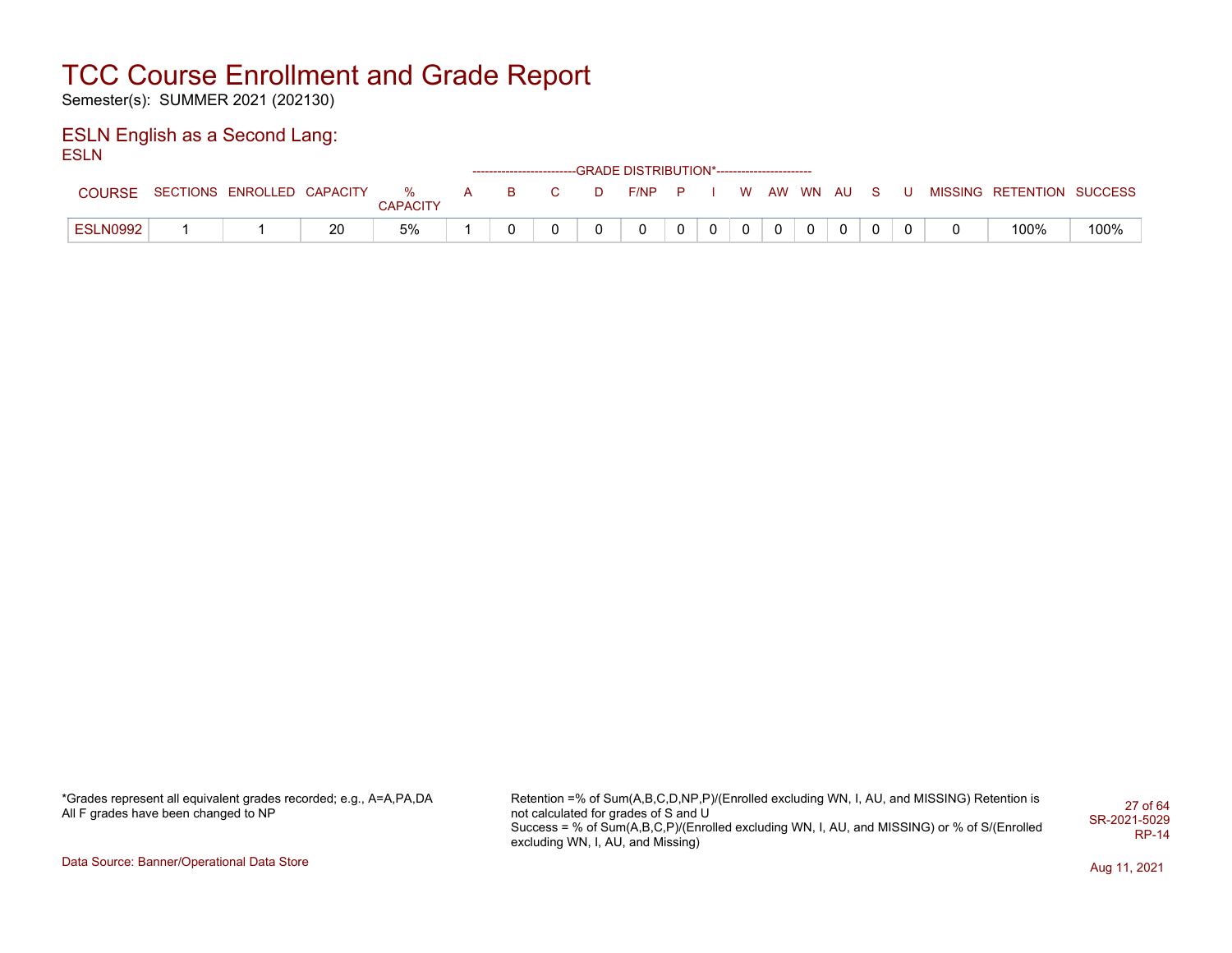Semester(s): SUMMER 2021 (202130)

#### ESLN English as a Second Lang: ESLN

|                 |                            |    |                      |   |          |    |   | ------------------------GRADE DISTRIBUTION*----------------------- |  |          |          |  |  |                   |         |
|-----------------|----------------------------|----|----------------------|---|----------|----|---|--------------------------------------------------------------------|--|----------|----------|--|--|-------------------|---------|
| <b>COURSE</b>   | SECTIONS ENROLLED CAPACITY |    | %<br><b>CAPACITY</b> | A | <b>B</b> | C. | D | $F/NP$ $P$                                                         |  | <b>W</b> | AW WN AU |  |  | MISSING RETENTION | SUCCESS |
| <b>ESLN0992</b> |                            | 20 | 5%                   |   |          |    |   |                                                                    |  |          |          |  |  | 100%              | 100%    |

\*Grades represent all equivalent grades recorded; e.g., A=A,PA,DA All F grades have been changed to NP

Retention =% of Sum(A,B,C,D,NP,P)/(Enrolled excluding WN, I, AU, and MISSING) Retention is not calculated for grades of S and U Success = % of Sum(A,B,C,P)/(Enrolled excluding WN, I, AU, and MISSING) or % of S/(Enrolled excluding WN, I, AU, and Missing) 27 of 64 SR-2021-5029 RP-14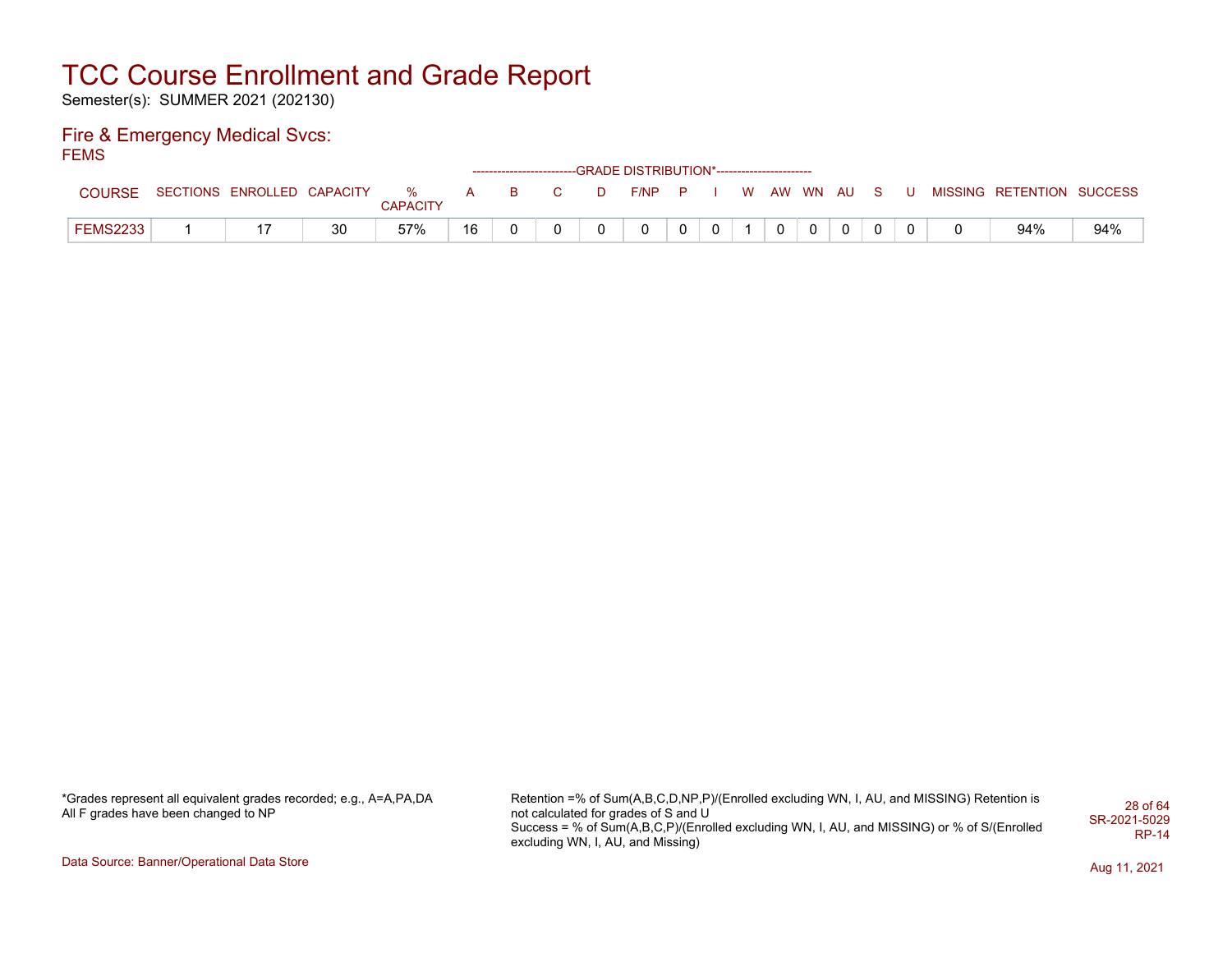Semester(s): SUMMER 2021 (202130)

#### Fire & Emergency Medical Svcs: **FEMS**

|                 |                              |    |                 |          |          |                |   | ------------------------GRADE DISTRIBUTION*----------------------- |   |  |            |   |  |                           |     |
|-----------------|------------------------------|----|-----------------|----------|----------|----------------|---|--------------------------------------------------------------------|---|--|------------|---|--|---------------------------|-----|
| COURSE          | SECTIONS ENROLLED CAPACITY % |    | <b>CAPACITY</b> | <b>A</b> | <b>B</b> | $\overline{C}$ | D | F/NP P                                                             |   |  | WAW WN AUS |   |  | MISSING RETENTION SUCCESS |     |
| <b>FEMS2233</b> |                              | 30 | 57%             | 16       |          |                |   |                                                                    | 0 |  |            | 0 |  | 94%                       | 94% |

\*Grades represent all equivalent grades recorded; e.g., A=A,PA,DA All F grades have been changed to NP

Retention =% of Sum(A,B,C,D,NP,P)/(Enrolled excluding WN, I, AU, and MISSING) Retention is not calculated for grades of S and U Success = % of Sum(A,B,C,P)/(Enrolled excluding WN, I, AU, and MISSING) or % of S/(Enrolled excluding WN, I, AU, and Missing) 28 of 64 SR-2021-5029 RP-14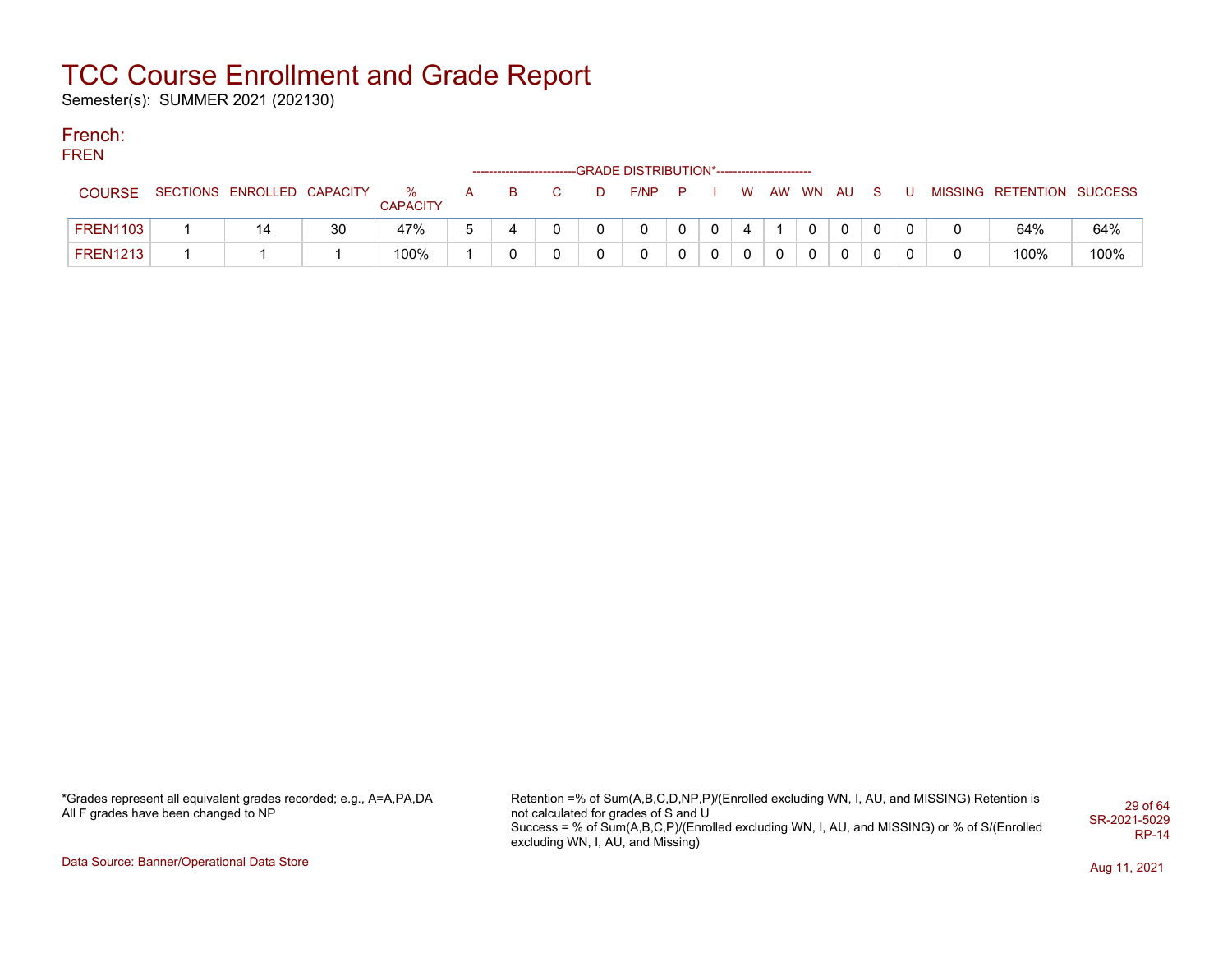Semester(s): SUMMER 2021 (202130)

### French:

#### **FREN** --GRADE DISTRIBUTION\*------------------------COURSE SECTIONS ENROLLED CAPACITY % **CAPACITY** A B C D F/NP P I W AW WN AU S U MISSING RETENTION SUCCESS FREN1103 | 1 | 14 | 30 | 47% | 5 | 4 | 0 | 0 | 0 | 0 | 0 | 4 | 1 | 0 | 0 | 0 | 0 | 0 | 0 | 64% | 64% FREN1213 1 1 1 100% 1 0 0 0 0 0 0 0 0 0 0 0 0 0 100% 100%

\*Grades represent all equivalent grades recorded; e.g., A=A,PA,DA All F grades have been changed to NP

Retention =% of Sum(A,B,C,D,NP,P)/(Enrolled excluding WN, I, AU, and MISSING) Retention is not calculated for grades of S and U Success = % of Sum(A,B,C,P)/(Enrolled excluding WN, I, AU, and MISSING) or % of S/(Enrolled excluding WN, I, AU, and Missing) 29 of 64 SR-2021-5029 RP-14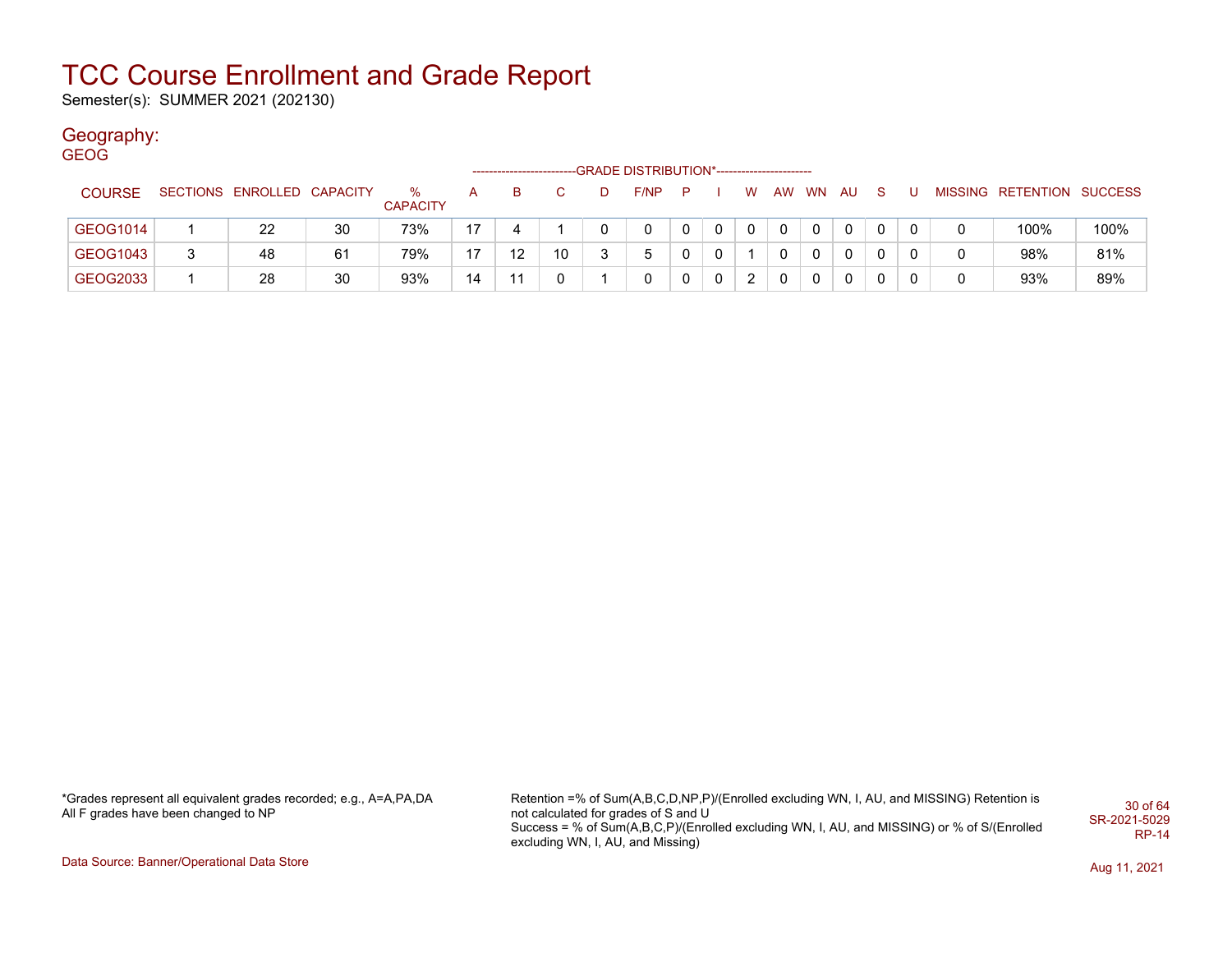Semester(s): SUMMER 2021 (202130)

### Geography:

| <b>GEOG</b>   |   |                            |    |                      |    |    |    |                                            |             |   |    |                |              |    |    |   |   |                           |      |
|---------------|---|----------------------------|----|----------------------|----|----|----|--------------------------------------------|-------------|---|----|----------------|--------------|----|----|---|---|---------------------------|------|
|               |   |                            |    |                      |    |    |    | -GRADE DISTRIBUTION*---------------------- |             |   |    |                |              |    |    |   |   |                           |      |
| <b>COURSE</b> |   | SECTIONS ENROLLED CAPACITY |    | %<br><b>CAPACITY</b> | A  | B  |    | F/NP                                       | P           |   | W. | AW             | WN           | AU | -S | U |   | MISSING RETENTION SUCCESS |      |
| GEOG1014      |   | 22                         | 30 | 73%                  | 17 | 4  |    | 0                                          | $\mathbf 0$ | 0 | 0  | $\mathbf{0}$   | $\mathbf{0}$ | 0  | 0  | 0 | 0 | 100%                      | 100% |
| GEOG1043      | ີ | 48                         | 61 | 79%                  | 17 | 12 | 10 | 5                                          | 0           | 0 |    | $\Omega$       | $\mathbf{0}$ | 0  |    |   | 0 | 98%                       | 81%  |
| GEOG2033      |   | 28                         | 30 | 93%                  | 14 | 11 | -0 |                                            | 0           | 0 | 2  | $\overline{0}$ | $\mathbf 0$  | 0  | 0  | 0 | 0 | 93%                       | 89%  |

\*Grades represent all equivalent grades recorded; e.g., A=A,PA,DA All F grades have been changed to NP

Retention =% of Sum(A,B,C,D,NP,P)/(Enrolled excluding WN, I, AU, and MISSING) Retention is not calculated for grades of S and U Success = % of Sum(A,B,C,P)/(Enrolled excluding WN, I, AU, and MISSING) or % of S/(Enrolled excluding WN, I, AU, and Missing) 30 of 64 SR-2021-5029 RP-14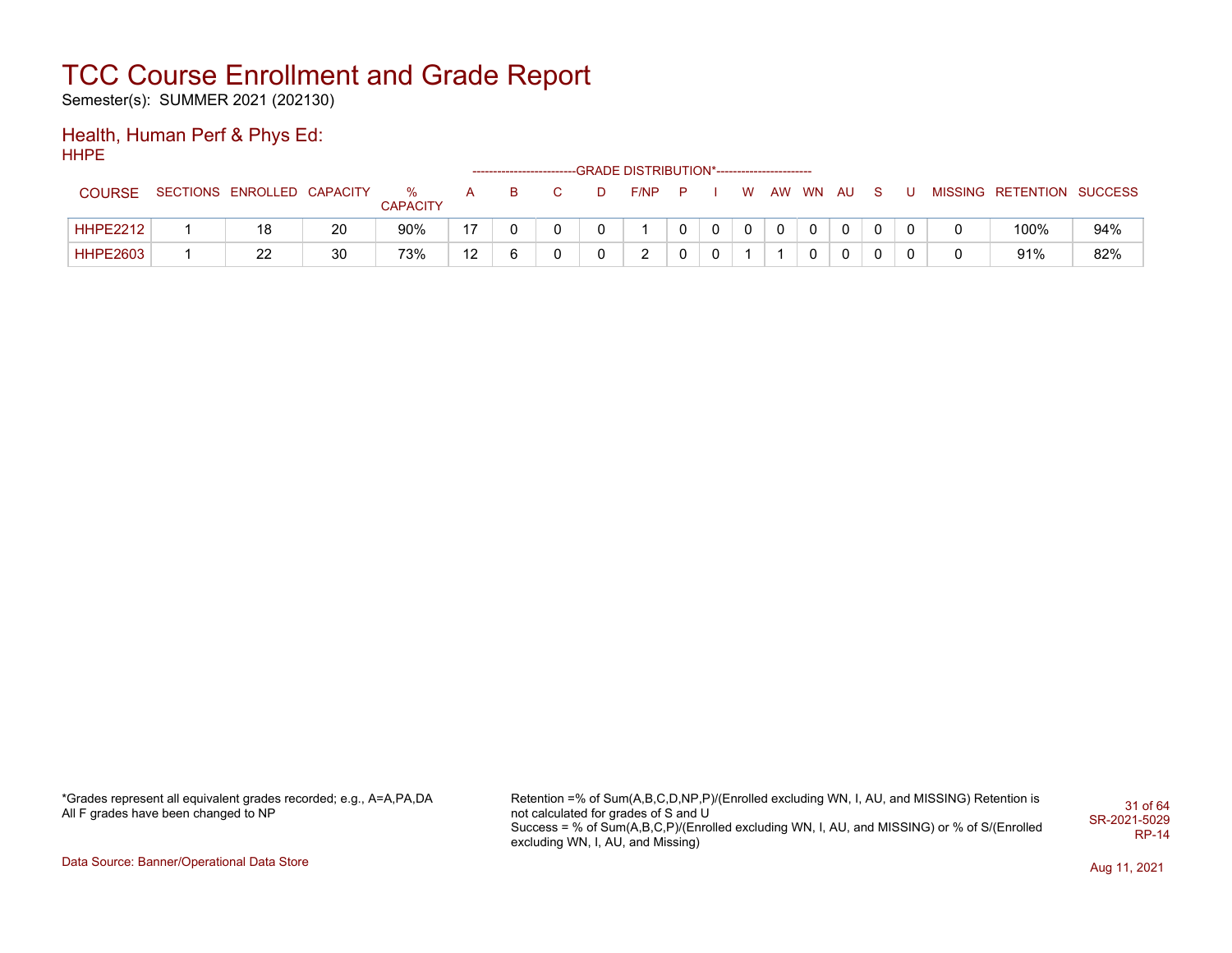Semester(s): SUMMER 2021 (202130)

#### Health, Human Perf & Phys Ed: HHPE

|                 |                            |    |                      |    | ------------------------- |   |   | -GRADE DISTRIBUTION*----------------------- |              |  |              |  |  |                           |     |
|-----------------|----------------------------|----|----------------------|----|---------------------------|---|---|---------------------------------------------|--------------|--|--------------|--|--|---------------------------|-----|
| <b>COURSE</b>   | SECTIONS ENROLLED CAPACITY |    | %<br><b>CAPACITY</b> | A  | в                         |   | D | $F/NP$ $P$                                  |              |  | W AW WN AU S |  |  | MISSING RETENTION SUCCESS |     |
| <b>HHPE2212</b> | 18                         | 20 | 90%                  | 17 |                           |   |   |                                             |              |  |              |  |  | 100%                      | 94% |
| <b>HHPE2603</b> | 22                         | 30 | 73%                  | 12 |                           | U |   | າ                                           | $\mathbf{0}$ |  |              |  |  | 91%                       | 82% |

\*Grades represent all equivalent grades recorded; e.g., A=A,PA,DA All F grades have been changed to NP

Retention =% of Sum(A,B,C,D,NP,P)/(Enrolled excluding WN, I, AU, and MISSING) Retention is not calculated for grades of S and U Success = % of Sum(A,B,C,P)/(Enrolled excluding WN, I, AU, and MISSING) or % of S/(Enrolled excluding WN, I, AU, and Missing) 31 of 64 SR-2021-5029 RP-14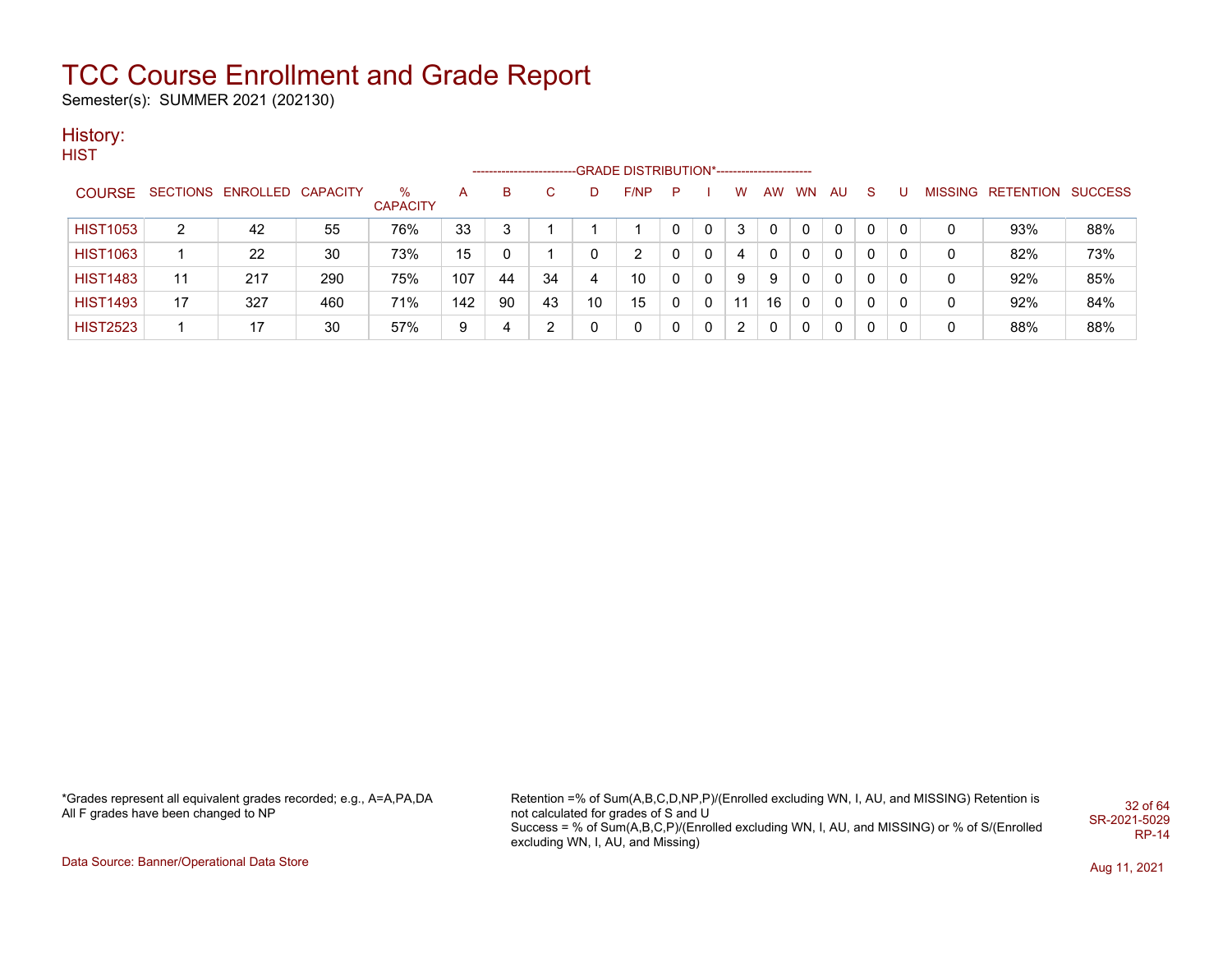Semester(s): SUMMER 2021 (202130)

### History:

**HIST** 

|                 |                |                            |     |                         |     |     | ------------------------ |    | -GRADE DISTRIBUTION*---------------------- |   |   |    |    |       |              |              |   |                           |     |
|-----------------|----------------|----------------------------|-----|-------------------------|-----|-----|--------------------------|----|--------------------------------------------|---|---|----|----|-------|--------------|--------------|---|---------------------------|-----|
| <b>COURSE</b>   |                | SECTIONS ENROLLED CAPACITY |     | $\%$<br><b>CAPACITY</b> | A   | B.  |                          | D  | F/NP                                       | P |   | w  |    | AW WN | AU.          | <sub>S</sub> |   | MISSING RETENTION SUCCESS |     |
| <b>HIST1053</b> | $\overline{2}$ | 42                         | 55  | 76%                     | 33  |     |                          |    |                                            |   |   | 3  | 0  |       | $\Omega$     | 0            | 0 | 93%                       | 88% |
| <b>HIST1063</b> |                | 22                         | 30  | 73%                     | 15  |     |                          |    | 2                                          |   | 0 | 4  | 0  |       | $\mathbf{0}$ | $\mathbf{0}$ | 0 | 82%                       | 73% |
| <b>HIST1483</b> | 11             | 217                        | 290 | 75%                     | 107 | -44 | 34                       | 4  | 10                                         |   |   | 9  | 9  |       | $\Omega$     | 0            | 0 | 92%                       | 85% |
| <b>HIST1493</b> | 17             | 327                        | 460 | 71%                     | 142 | 90  | 43                       | 10 | 15                                         |   |   | 11 | 16 |       | $\Omega$     | 0            | 0 | 92%                       | 84% |
| <b>HIST2523</b> |                | 17                         | 30  | 57%                     | 9   | 4   | ⌒                        |    | 0                                          |   | 0 | 2  | 0  | 0     | 0            | 0            | 0 | 88%                       | 88% |

\*Grades represent all equivalent grades recorded; e.g., A=A,PA,DA All F grades have been changed to NP

Retention =% of Sum(A,B,C,D,NP,P)/(Enrolled excluding WN, I, AU, and MISSING) Retention is not calculated for grades of S and U Success = % of Sum(A,B,C,P)/(Enrolled excluding WN, I, AU, and MISSING) or % of S/(Enrolled excluding WN, I, AU, and Missing) 32 of 64 SR-2021-5029 RP-14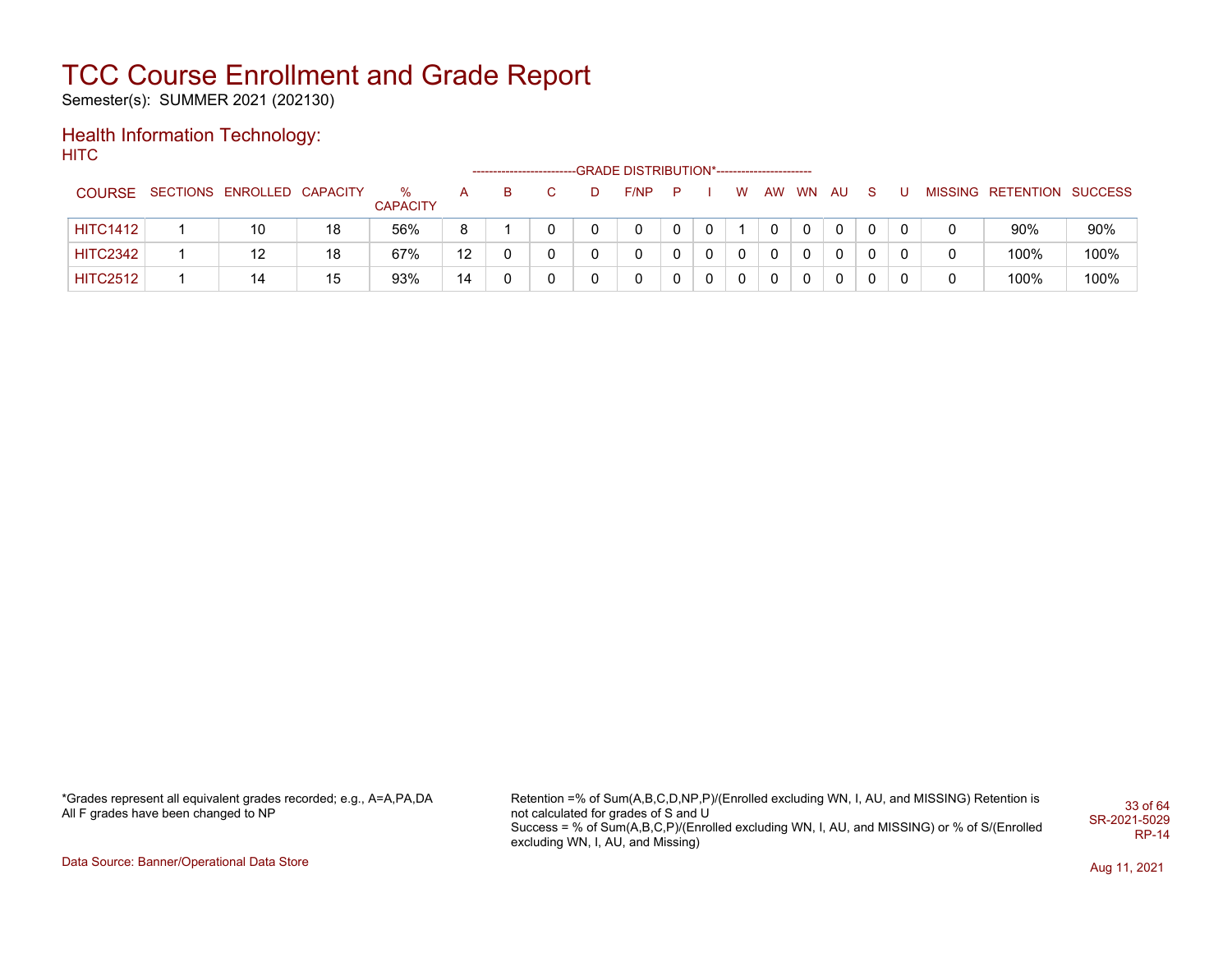Semester(s): SUMMER 2021 (202130)

#### Health Information Technology: **HITC**

|                 |                            |    |                      |                   | ------------------------- |    | --GRADE DISTRIBUTION*----------------------- |   |   |           |           |          |    |  |                           |      |
|-----------------|----------------------------|----|----------------------|-------------------|---------------------------|----|----------------------------------------------|---|---|-----------|-----------|----------|----|--|---------------------------|------|
| <b>COURSE</b>   | SECTIONS ENROLLED CAPACITY |    | ℅<br><b>CAPACITY</b> |                   |                           | D. | F/NP                                         | P | w | <b>AW</b> | <b>WN</b> | AU       | S. |  | MISSING RETENTION SUCCESS |      |
| <b>HITC1412</b> | 10                         | 18 | 56%                  | 8                 |                           |    |                                              |   |   |           |           |          | 0  |  | 90%                       | 90%  |
| <b>HITC2342</b> | 12                         | 18 | 67%                  | $12 \overline{ }$ |                           |    |                                              |   | 0 |           |           | $\Omega$ | 0  |  | 100%                      | 100% |
| <b>HITC2512</b> | 14                         | 15 | 93%                  | 14                |                           |    |                                              |   | 0 |           |           |          | 0  |  | 100%                      | 100% |

\*Grades represent all equivalent grades recorded; e.g., A=A,PA,DA All F grades have been changed to NP

Retention =% of Sum(A,B,C,D,NP,P)/(Enrolled excluding WN, I, AU, and MISSING) Retention is not calculated for grades of S and U Success = % of Sum(A,B,C,P)/(Enrolled excluding WN, I, AU, and MISSING) or % of S/(Enrolled excluding WN, I, AU, and Missing) 33 of 64 SR-2021-5029 RP-14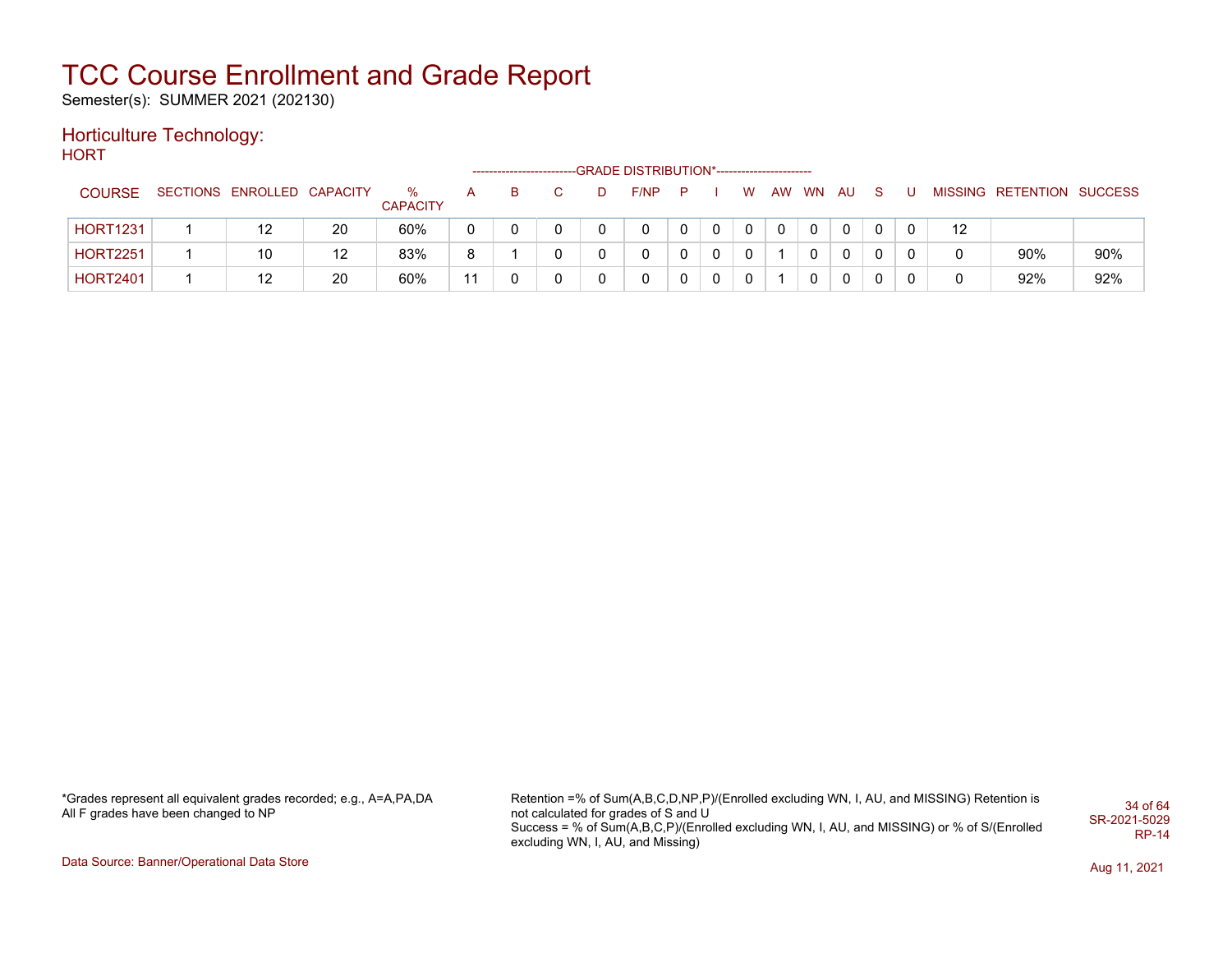Semester(s): SUMMER 2021 (202130)

### Horticulture Technology:

**HORT** 

|                 |                            |    |                      |    |   |   | ----------------------GRADE                DISTRIBUTION*------------------------ |                |              |          |       |          |             |                   |                           |     |
|-----------------|----------------------------|----|----------------------|----|---|---|----------------------------------------------------------------------------------|----------------|--------------|----------|-------|----------|-------------|-------------------|---------------------------|-----|
| <b>COURSE</b>   | SECTIONS ENROLLED CAPACITY |    | %<br><b>CAPACITY</b> |    | в | D | F/NP                                                                             | $\blacksquare$ |              | W        | AW WN | AU.      | -S          |                   | MISSING RETENTION SUCCESS |     |
| <b>HORT1231</b> | 12                         | 20 | 60%                  | 0  |   |   | 0                                                                                |                |              |          |       |          |             | $12 \overline{ }$ |                           |     |
| <b>HORT2251</b> | 10                         | 12 | 83%                  | 8  |   |   | 0                                                                                |                | $\mathbf{0}$ | $\Omega$ |       | $\Omega$ | $\Omega$    |                   | 90%                       | 90% |
| <b>HORT2401</b> | 12                         | 20 | 60%                  | 11 |   |   | 0                                                                                |                | $\mathbf 0$  | $\Omega$ |       | $\Omega$ | $\mathbf 0$ |                   | 92%                       | 92% |

\*Grades represent all equivalent grades recorded; e.g., A=A,PA,DA All F grades have been changed to NP

Retention =% of Sum(A,B,C,D,NP,P)/(Enrolled excluding WN, I, AU, and MISSING) Retention is not calculated for grades of S and U Success = % of Sum(A,B,C,P)/(Enrolled excluding WN, I, AU, and MISSING) or % of S/(Enrolled excluding WN, I, AU, and Missing) 34 of 64 SR-2021-5029 RP-14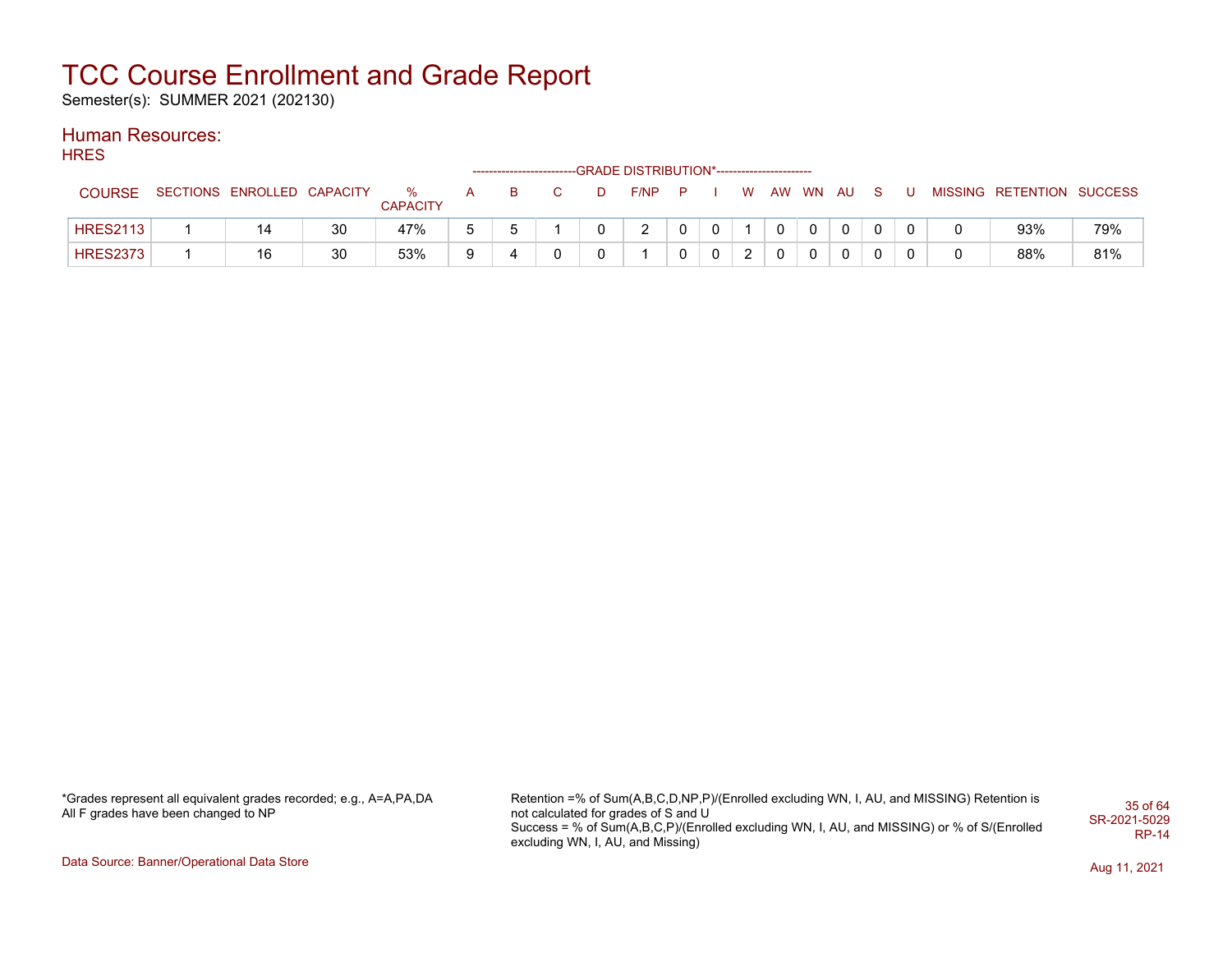Semester(s): SUMMER 2021 (202130)

### Human Resources:

**HRES** 

| <b>COURSE</b>   | SECTIONS ENROLLED CAPACITY |    | %<br><b>CAPACITY</b> |   |  | D | F/NP   | - P | W      | AW | WN AU          |             |              |  | MISSING RETENTION SUCCESS |     |
|-----------------|----------------------------|----|----------------------|---|--|---|--------|-----|--------|----|----------------|-------------|--------------|--|---------------------------|-----|
| <b>HRES2113</b> | 14                         | 30 | 47%                  | h |  |   | $\sim$ |     |        |    | $\overline{0}$ | $\mathbf 0$ | $\mathbf{0}$ |  | 93%                       | 79% |
| <b>HRES2373</b> | 16                         | 30 | 53%                  | Q |  |   |        |     | ົ<br>_ |    |                | $\mathbf 0$ | 0            |  | 88%                       | 81% |

\*Grades represent all equivalent grades recorded; e.g., A=A,PA,DA All F grades have been changed to NP

Retention =% of Sum(A,B,C,D,NP,P)/(Enrolled excluding WN, I, AU, and MISSING) Retention is not calculated for grades of S and U Success = % of Sum(A,B,C,P)/(Enrolled excluding WN, I, AU, and MISSING) or % of S/(Enrolled excluding WN, I, AU, and Missing) 35 of 64 SR-2021-5029 RP-14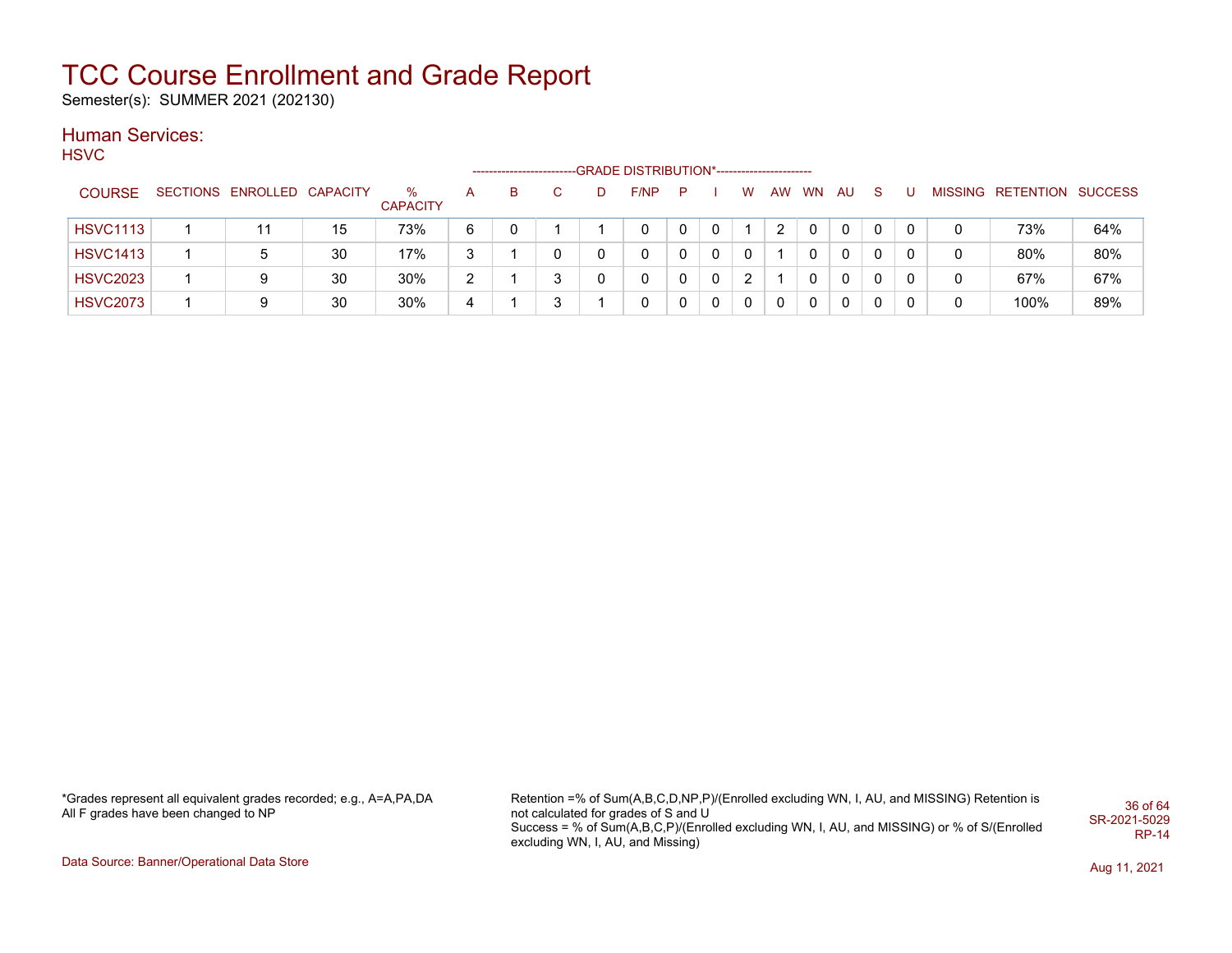Semester(s): SUMMER 2021 (202130)

### Human Services:

**HSVC** 

|                 |                            |    |                      |   | --------------------- |   |   | <b>GRADE DISTRIBUTION*----------------------</b> |   |          |   |    |           |              |    |   |                           |     |
|-----------------|----------------------------|----|----------------------|---|-----------------------|---|---|--------------------------------------------------|---|----------|---|----|-----------|--------------|----|---|---------------------------|-----|
| <b>COURSE</b>   | SECTIONS ENROLLED CAPACITY |    | %<br><b>CAPACITY</b> | A | В                     |   | D | F/NP                                             | P |          | W | AW | <b>WN</b> | AU           | -S |   | MISSING RETENTION SUCCESS |     |
| <b>HSVC1113</b> |                            | 15 | 73%                  | 6 |                       |   |   | 0                                                |   |          |   |    | 0         | $\mathbf{0}$ | 0  | 0 | 73%                       | 64% |
| <b>HSVC1413</b> | 5                          | 30 | 17%                  | 3 |                       |   |   | 0                                                |   | $\Omega$ |   |    | $\Omega$  | $\mathbf{0}$ | 0  | 0 | 80%                       | 80% |
| <b>HSVC2023</b> | 9                          | 30 | 30%                  | ົ |                       | 3 |   | 0                                                |   | $\Omega$ |   |    | 0         | 0            | 0  | 0 | 67%                       | 67% |
| <b>HSVC2073</b> | 9                          | 30 | 30%                  | 4 |                       | 3 |   | 0                                                |   | 0        | 0 |    | 0         | 0            | 0  | 0 | 100%                      | 89% |

\*Grades represent all equivalent grades recorded; e.g., A=A,PA,DA All F grades have been changed to NP

Retention =% of Sum(A,B,C,D,NP,P)/(Enrolled excluding WN, I, AU, and MISSING) Retention is not calculated for grades of S and U Success = % of Sum(A,B,C,P)/(Enrolled excluding WN, I, AU, and MISSING) or % of S/(Enrolled excluding WN, I, AU, and Missing) 36 of 64 SR-2021-5029 RP-14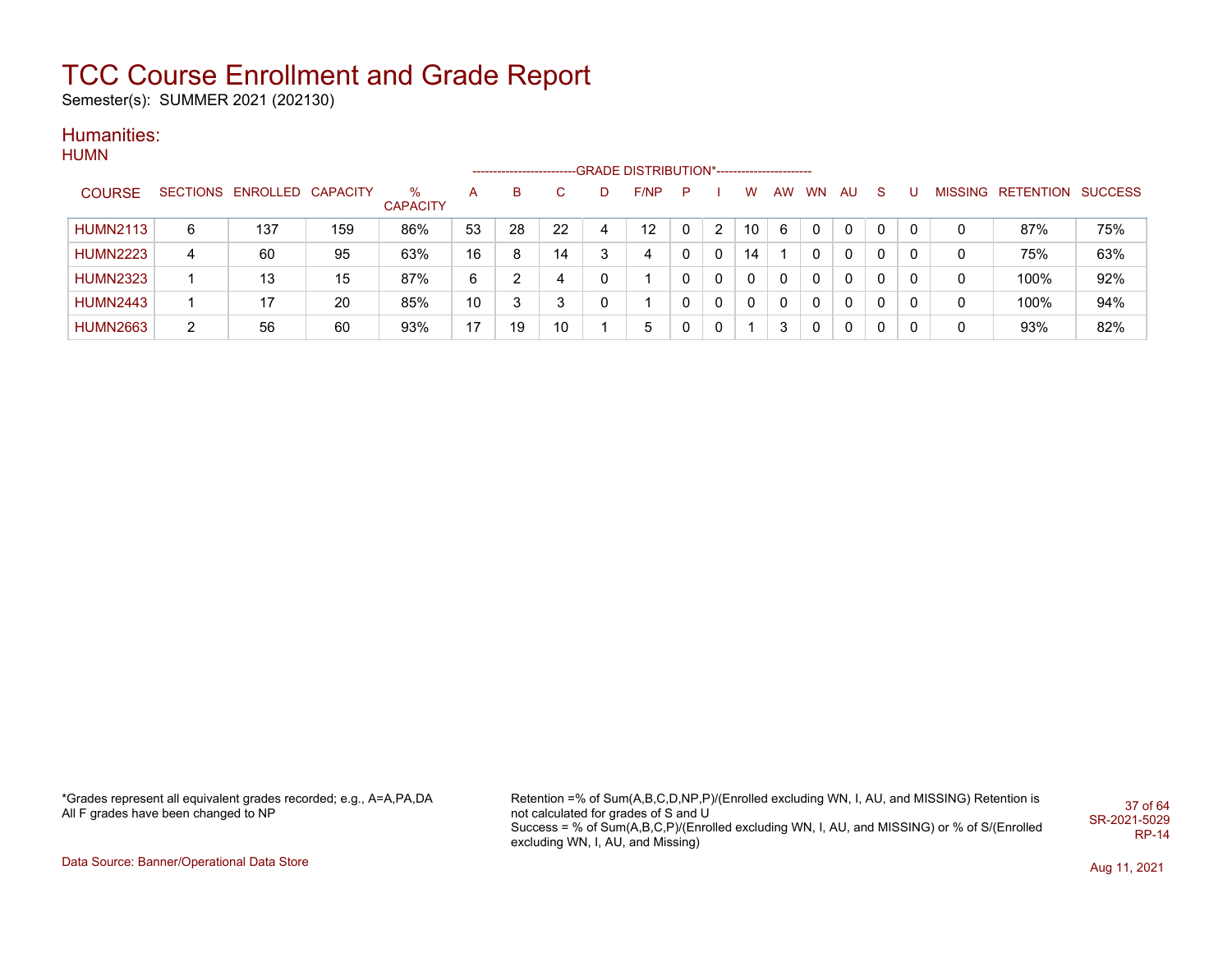Semester(s): SUMMER 2021 (202130)

#### Humanities: **HUMN**

|                 |                 |          |                 |                      |    | ----------------------- |    | -GRADE DISTRIBUTION*----------------------- |   |              |              |    |           |              |              |   |                |           |                |
|-----------------|-----------------|----------|-----------------|----------------------|----|-------------------------|----|---------------------------------------------|---|--------------|--------------|----|-----------|--------------|--------------|---|----------------|-----------|----------------|
| <b>COURSE</b>   | <b>SECTIONS</b> | ENROLLED | <b>CAPACITY</b> | %<br><b>CAPACITY</b> | A  | B                       | C. | F/NP                                        | P |              | w            | AW | <b>WN</b> | AU           | <sub>S</sub> |   | <b>MISSING</b> | RETENTION | <b>SUCCESS</b> |
| <b>HUMN2113</b> | 6               | 137      | 159             | 86%                  | 53 | 28                      | 22 | 12                                          | 0 | 2            | 10           | 6  | 0         | $\mathbf{0}$ | 0            | 0 | 0              | 87%       | 75%            |
| <b>HUMN2223</b> | 4               | 60       | 95              | 63%                  | 16 | 8                       | 14 | 4                                           | 0 | 0            | 14           |    | 0         | 0            | 0            | 0 | 0              | 75%       | 63%            |
| <b>HUMN2323</b> |                 | 13       | 15              | 87%                  | 6  |                         | 4  |                                             | 0 | $\mathbf{0}$ | $\mathbf{0}$ | 0  | 0         | $\mathbf{0}$ | $\mathbf{0}$ | 0 | 0              | 100%      | 92%            |
| <b>HUMN2443</b> |                 | 17       | 20              | 85%                  | 10 | 3                       | 3  |                                             | 0 | 0            | 0            | 0  | 0         | 0            | 0            | 0 | 0              | 100%      | 94%            |
| <b>HUMN2663</b> | 2               | 56       | 60              | 93%                  | 17 | 19                      | 10 | 5                                           | 0 | 0            |              | 3  | 0         | 0            | 0            |   | 0              | 93%       | 82%            |

\*Grades represent all equivalent grades recorded; e.g., A=A,PA,DA All F grades have been changed to NP

Retention =% of Sum(A,B,C,D,NP,P)/(Enrolled excluding WN, I, AU, and MISSING) Retention is not calculated for grades of S and U Success = % of Sum(A,B,C,P)/(Enrolled excluding WN, I, AU, and MISSING) or % of S/(Enrolled excluding WN, I, AU, and Missing) 37 of 64 SR-2021-5029 RP-14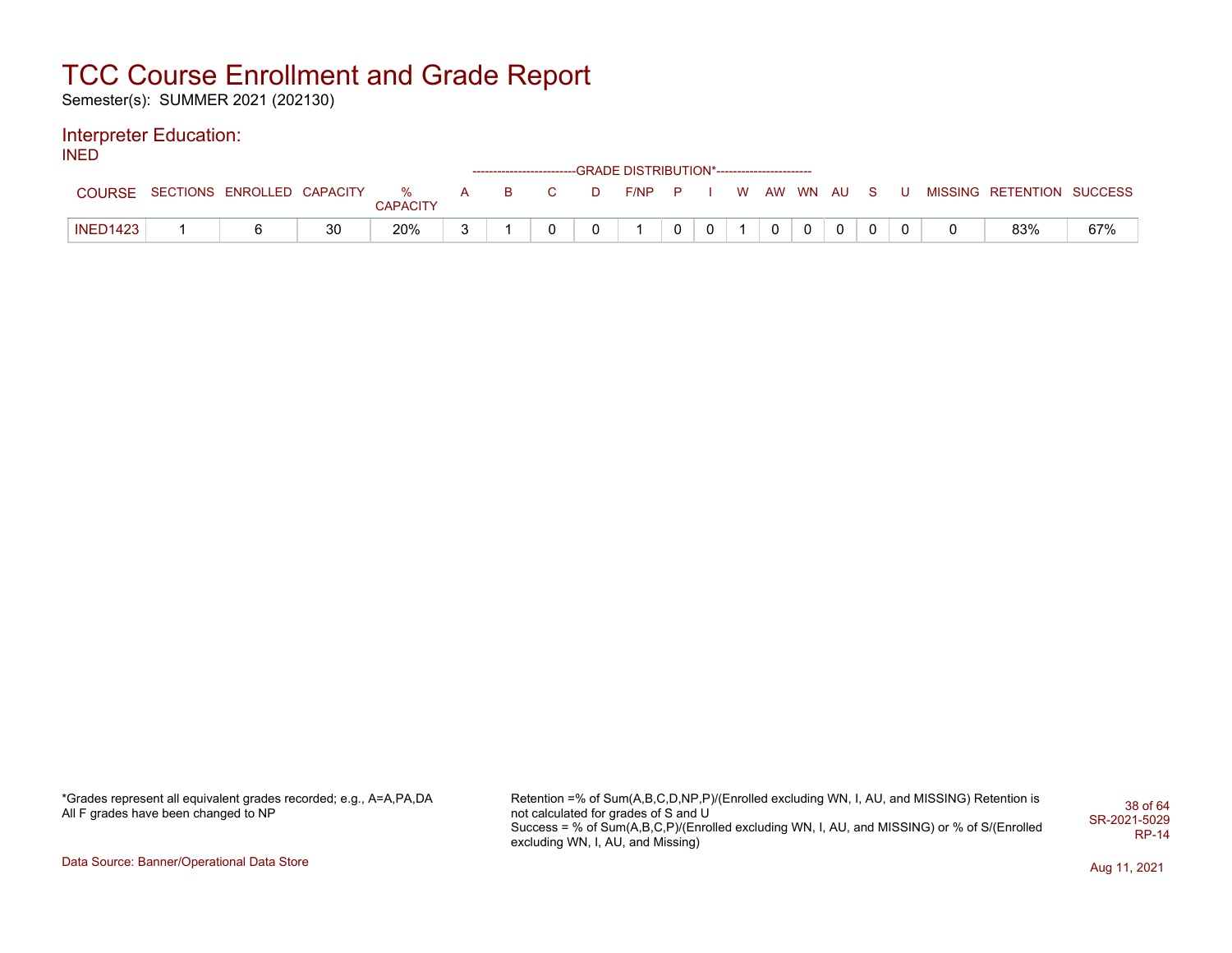Semester(s): SUMMER 2021 (202130)

### Interpreter Education:

INED

|                 |                                  |    |          |  |                                                                                                                                                                                                                                                                                                                                    |   | ------------------------GRADE            DISTRIBUTION*------------------------ |                |  |                |                |              |  |                           |     |
|-----------------|----------------------------------|----|----------|--|------------------------------------------------------------------------------------------------------------------------------------------------------------------------------------------------------------------------------------------------------------------------------------------------------------------------------------|---|--------------------------------------------------------------------------------|----------------|--|----------------|----------------|--------------|--|---------------------------|-----|
| <b>COURSE</b>   | SECTIONS ENROLLED CAPACITY % A B |    | CAPACITY |  | $\overline{C}$ and $\overline{C}$ and $\overline{C}$ and $\overline{C}$ and $\overline{C}$ and $\overline{C}$ and $\overline{C}$ and $\overline{C}$ and $\overline{C}$ and $\overline{C}$ and $\overline{C}$ and $\overline{C}$ and $\overline{C}$ and $\overline{C}$ and $\overline{C}$ and $\overline{C}$ and $\overline{C}$ and | D | F/NP                                                                           | $\mathsf{P}$ i |  |                | W AW WN AU S U |              |  | MISSING RETENTION SUCCESS |     |
| <b>INED1423</b> |                                  | 30 | 20%      |  |                                                                                                                                                                                                                                                                                                                                    |   |                                                                                |                |  | $\overline{0}$ | 0 <sup>1</sup> | $\mathbf{0}$ |  | 83%                       | 67% |

| *Grades represent all equivalent grades recorded; e.g., A=A,PA,DA |  |
|-------------------------------------------------------------------|--|
| All F grades have been changed to NP                              |  |

Retention =% of Sum(A,B,C,D,NP,P)/(Enrolled excluding WN, I, AU, and MISSING) Retention is not calculated for grades of S and U Success = % of Sum(A,B,C,P)/(Enrolled excluding WN, I, AU, and MISSING) or % of S/(Enrolled excluding WN, I, AU, and Missing) 38 of 64 SR-2021-5029 RP-14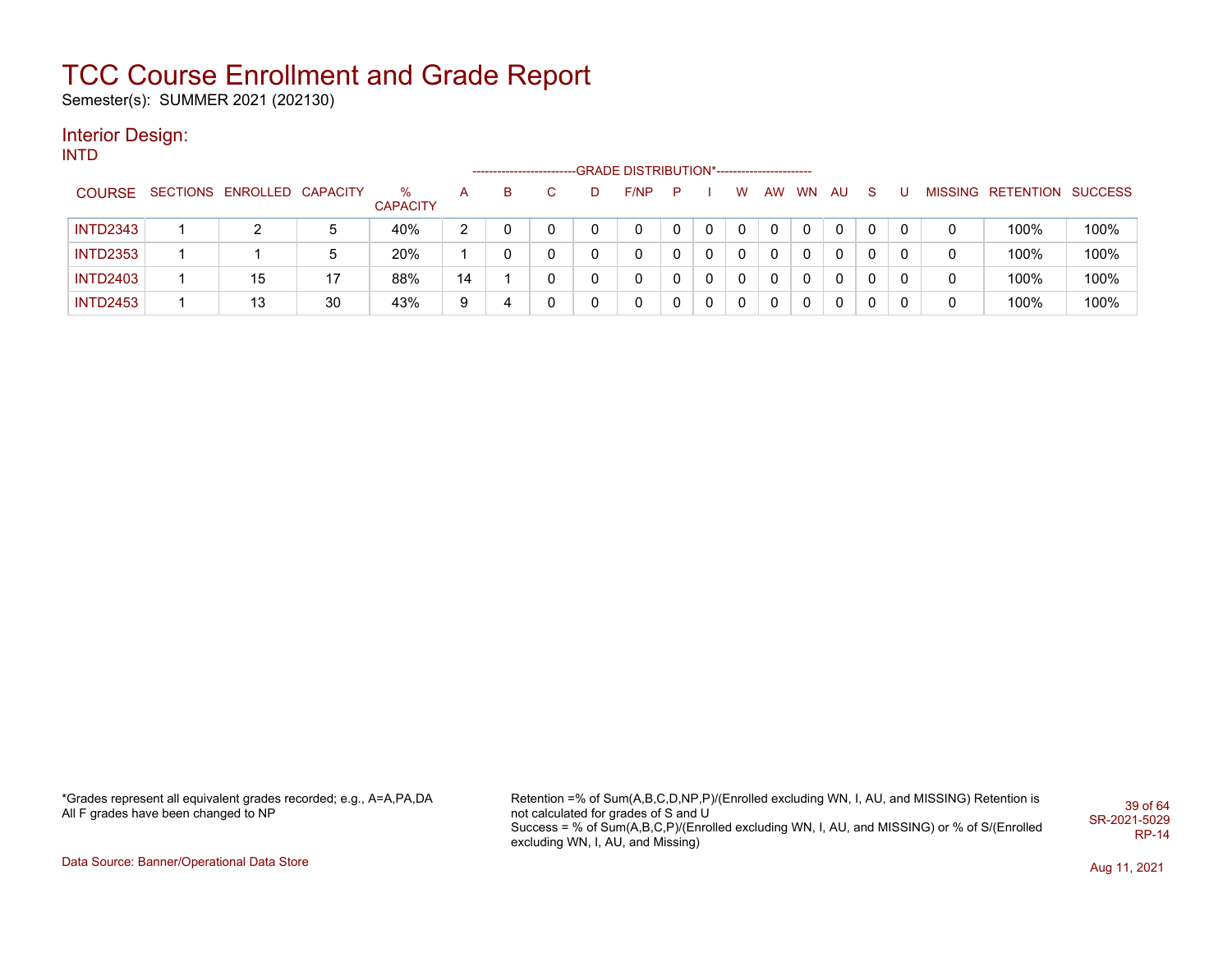Semester(s): SUMMER 2021 (202130)

#### Interior Design: INTD

--GRADE DISTRIBUTION\*------------------------COURSE SECTIONS ENROLLED CAPACITY % **CAPACITY** A B C D F/NP P I W AW WN AU S U MISSING RETENTION SUCCESS INTD2343 1 2 5 40% 2 0 0 0 0 0 0 0 0 0 0 0 0 0 100% 100% INTD2353 1 1 5 20% 1 0 0 0 0 0 0 0 0 0 0 0 0 0 100% 100% INTD2403 1 15 17 88% 14 1 0 0 0 0 0 0 0 0 0 0 0 0 100% 100% INTD2453 1 13 30 43% 9 4 0 0 0 0 0 0 0 0 0 0 0 0 100% 100%

\*Grades represent all equivalent grades recorded; e.g., A=A,PA,DA All F grades have been changed to NP

Retention =% of Sum(A,B,C,D,NP,P)/(Enrolled excluding WN, I, AU, and MISSING) Retention is not calculated for grades of S and U Success = % of Sum(A,B,C,P)/(Enrolled excluding WN, I, AU, and MISSING) or % of S/(Enrolled excluding WN, I, AU, and Missing) 39 of 64 SR-2021-5029 RP-14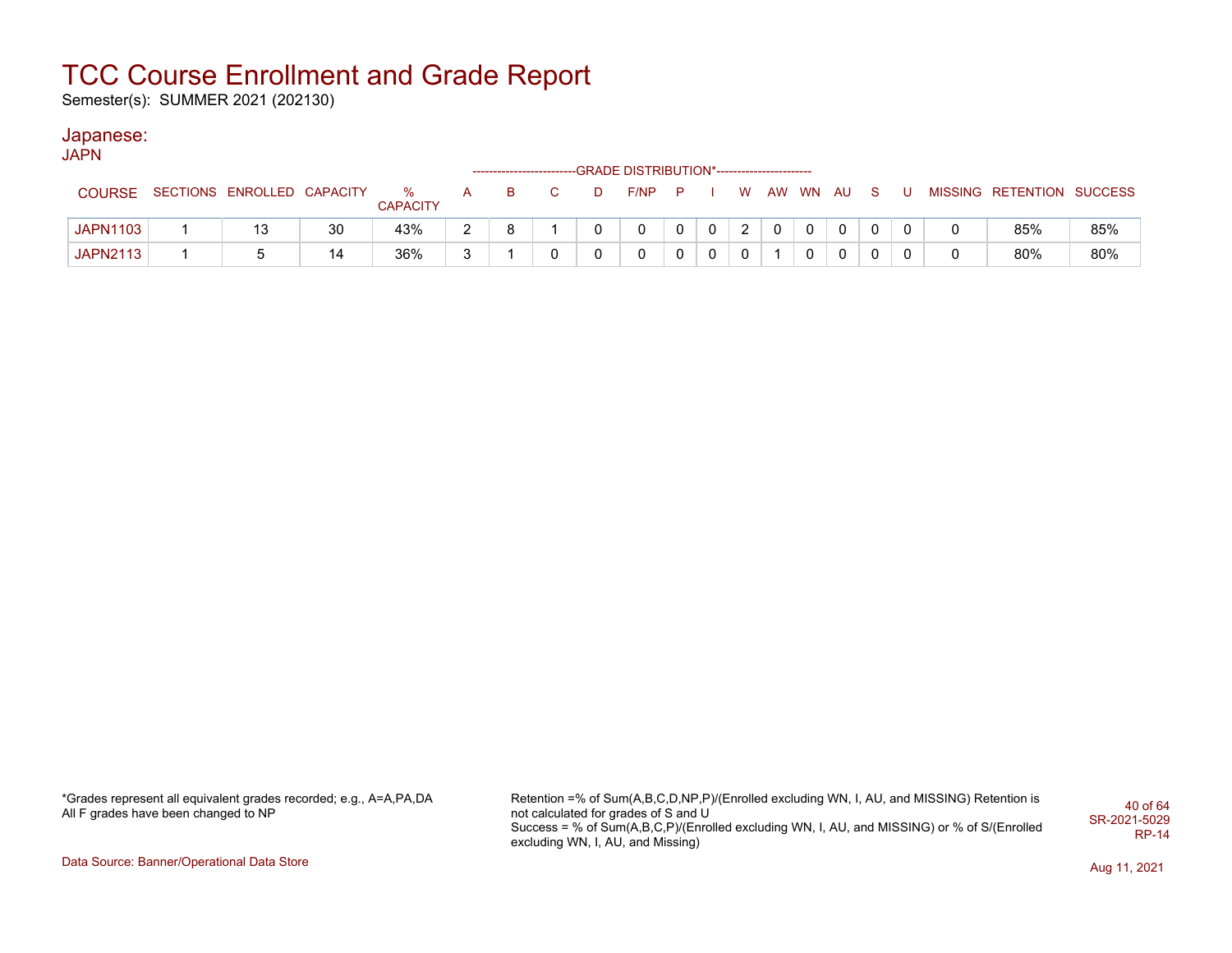Semester(s): SUMMER 2021 (202130)

#### Japanese:

**JAPN** 

|                 |                            |    |                      |  |   | ------------------------GRADE DISTRIBUTION*----------------------- |   |              |               |          |          |              |  |                           |     |
|-----------------|----------------------------|----|----------------------|--|---|--------------------------------------------------------------------|---|--------------|---------------|----------|----------|--------------|--|---------------------------|-----|
| <b>COURSE</b>   | SECTIONS ENROLLED CAPACITY |    | %<br><b>CAPACITY</b> |  | D | F/NP                                                               | P |              | W             |          | AW WN AU |              |  | MISSING RETENTION SUCCESS |     |
| <b>JAPN1103</b> | 13                         | 30 | 43%                  |  |   |                                                                    |   | $\mathbf{0}$ | $\mathcal{D}$ | $\Omega$ | - 0      | $\mathbf{0}$ |  | 85%                       | 85% |
| <b>JAPN2113</b> |                            | 14 | 36%                  |  |   | 0                                                                  |   | $\mathbf{0}$ | $\mathbf{0}$  |          | $\Omega$ | $\mathbf{0}$ |  | 80%                       | 80% |

\*Grades represent all equivalent grades recorded; e.g., A=A,PA,DA All F grades have been changed to NP

Retention =% of Sum(A,B,C,D,NP,P)/(Enrolled excluding WN, I, AU, and MISSING) Retention is not calculated for grades of S and U Success = % of Sum(A,B,C,P)/(Enrolled excluding WN, I, AU, and MISSING) or % of S/(Enrolled excluding WN, I, AU, and Missing) 40 of 64 SR-2021-5029 RP-14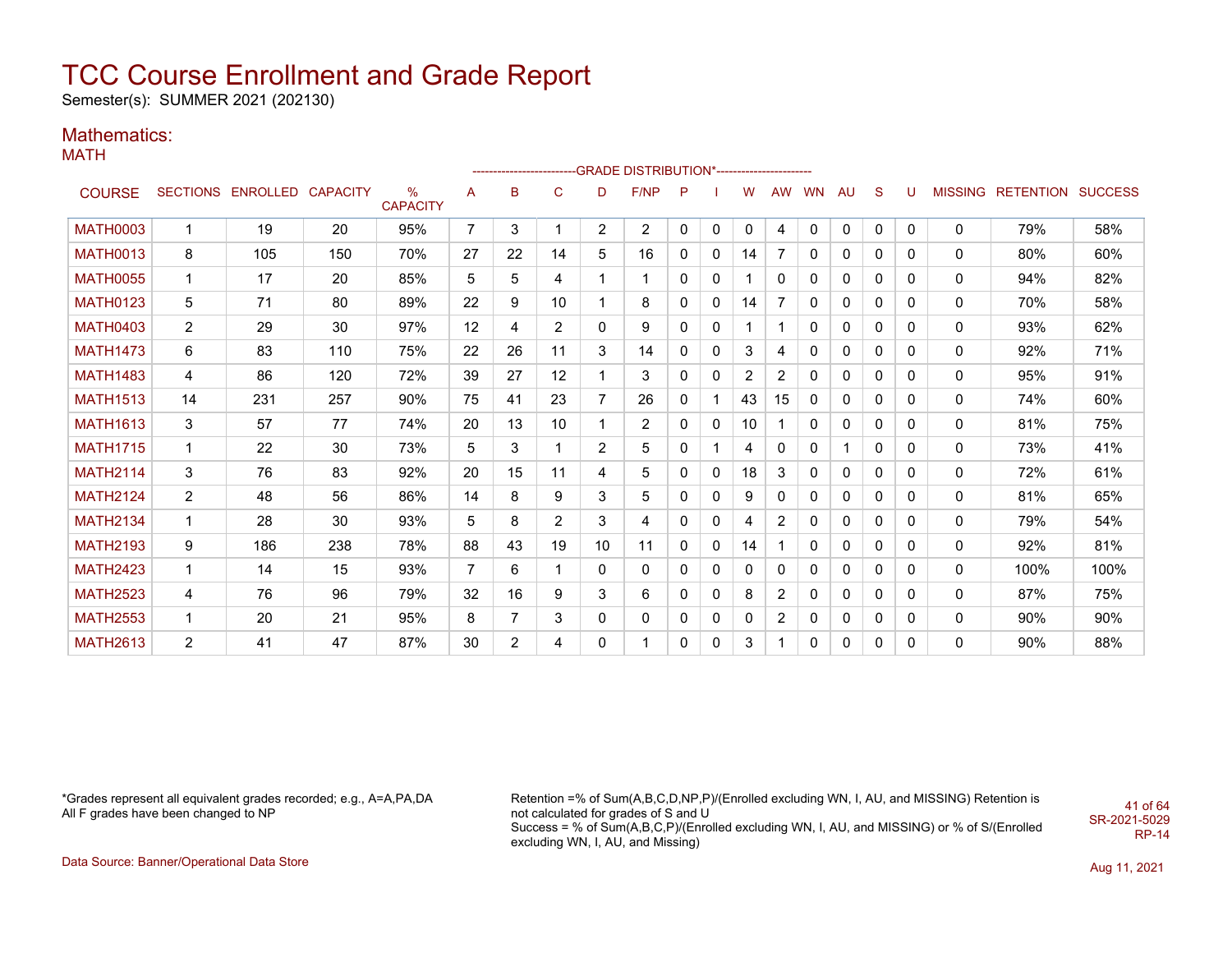Semester(s): SUMMER 2021 (202130)

### Mathematics:

MATH

|                 |                |                            |     |                         |                |                |                   |                | -------------------------GRADE DISTRIBUTION*---------------------- |   |              |                |    |           |              |              |              |   |                           |      |
|-----------------|----------------|----------------------------|-----|-------------------------|----------------|----------------|-------------------|----------------|--------------------------------------------------------------------|---|--------------|----------------|----|-----------|--------------|--------------|--------------|---|---------------------------|------|
| <b>COURSE</b>   |                | SECTIONS ENROLLED CAPACITY |     | $\%$<br><b>CAPACITY</b> | A              | B              | $\mathsf{C}$      | D              | F/NP                                                               | P |              | W              | AW | <b>WN</b> | AU           | S            | U            |   | MISSING RETENTION SUCCESS |      |
| <b>MATH0003</b> | $\mathbf{1}$   | 19                         | 20  | 95%                     | $\overline{7}$ | 3              | 1                 | $\overline{2}$ | $\overline{2}$                                                     | 0 | 0            | 0              | 4  | 0         | $\mathbf 0$  | 0            | $\mathbf{0}$ | 0 | 79%                       | 58%  |
| <b>MATH0013</b> | 8              | 105                        | 150 | 70%                     | 27             | 22             | 14                | 5              | 16                                                                 | 0 | 0            | 14             | 7  | 0         | 0            | 0            | 0            | 0 | 80%                       | 60%  |
| <b>MATH0055</b> | 1              | 17                         | 20  | 85%                     | 5              | 5              | 4                 |                | 1                                                                  | 0 | 0            |                | 0  | 0         | 0            | 0            | 0            | 0 | 94%                       | 82%  |
| <b>MATH0123</b> | 5              | 71                         | 80  | 89%                     | 22             | 9              | 10                | 1              | 8                                                                  | 0 | 0            | 14             | 7  | 0         | 0            | $\mathbf{0}$ | $\Omega$     | 0 | 70%                       | 58%  |
| <b>MATH0403</b> | $\overline{2}$ | 29                         | 30  | 97%                     | 12             | 4              | 2                 | 0              | 9                                                                  | 0 | 0            |                |    | 0         | 0            | 0            | 0            | 0 | 93%                       | 62%  |
| <b>MATH1473</b> | 6              | 83                         | 110 | 75%                     | 22             | 26             | 11                | 3              | 14                                                                 | 0 | 0            | 3              | 4  | 0         | 0            | 0            | 0            | 0 | 92%                       | 71%  |
| <b>MATH1483</b> | 4              | 86                         | 120 | 72%                     | 39             | 27             | $12 \overline{ }$ |                | 3                                                                  | 0 | 0            | $\overline{2}$ | 2  | 0         | $\mathbf{0}$ | $\Omega$     | $\Omega$     | 0 | 95%                       | 91%  |
| <b>MATH1513</b> | 14             | 231                        | 257 | 90%                     | 75             | 41             | 23                | 7              | 26                                                                 | 0 | 1            | 43             | 15 | 0         | 0            | $\mathbf{0}$ | 0            | 0 | 74%                       | 60%  |
| <b>MATH1613</b> | 3              | 57                         | 77  | 74%                     | 20             | 13             | 10                | 1              | $\overline{2}$                                                     | 0 | $\mathbf{0}$ | 10             |    | 0         | 0            | $\mathbf{0}$ | 0            | 0 | 81%                       | 75%  |
| <b>MATH1715</b> | $\mathbf{1}$   | 22                         | 30  | 73%                     | 5              | 3              | 1                 | 2              | 5                                                                  | 0 | 1            | 4              | 0  | 0         | 1            | $\mathbf{0}$ | 0            | 0 | 73%                       | 41%  |
| <b>MATH2114</b> | 3              | 76                         | 83  | 92%                     | 20             | 15             | 11                | 4              | 5                                                                  | 0 | 0            | 18             | 3  | 0         | 0            | 0            | 0            | 0 | 72%                       | 61%  |
| <b>MATH2124</b> | $\overline{2}$ | 48                         | 56  | 86%                     | 14             | 8              | 9                 | 3              | 5                                                                  | 0 | $\mathbf{0}$ | 9              | 0  | 0         | 0            | $\mathbf{0}$ | 0            | 0 | 81%                       | 65%  |
| <b>MATH2134</b> | $\mathbf{1}$   | 28                         | 30  | 93%                     | 5              | 8              | $\overline{2}$    | 3              | 4                                                                  | 0 | 0            | 4              | 2  | 0         | 0            | 0            | 0            | 0 | 79%                       | 54%  |
| <b>MATH2193</b> | 9              | 186                        | 238 | 78%                     | 88             | 43             | 19                | 10             | 11                                                                 | 0 | 0            | 14             |    | 0         | 0            | 0            | 0            | 0 | 92%                       | 81%  |
| <b>MATH2423</b> | 1              | 14                         | 15  | 93%                     | $\overline{7}$ | 6              | 1                 | 0              | 0                                                                  | 0 | $\mathbf{0}$ | 0              | 0  | 0         | 0            | 0            | 0            | 0 | 100%                      | 100% |
| <b>MATH2523</b> | 4              | 76                         | 96  | 79%                     | 32             | 16             | 9                 | 3              | 6                                                                  | 0 | 0            | 8              | 2  | 0         | 0            | $\mathbf{0}$ | 0            | 0 | 87%                       | 75%  |
| <b>MATH2553</b> | $\mathbf 1$    | 20                         | 21  | 95%                     | 8              | 7              | 3                 | 0              | 0                                                                  | 0 | 0            | 0              | 2  | 0         | 0            | 0            | 0            | 0 | 90%                       | 90%  |
| <b>MATH2613</b> | 2              | 41                         | 47  | 87%                     | 30             | $\overline{2}$ | 4                 | 0              | 1                                                                  | 0 | 0            | 3              |    | 0         | 0            | 0            | 0            | 0 | 90%                       | 88%  |

\*Grades represent all equivalent grades recorded; e.g., A=A,PA,DA All F grades have been changed to NP

Retention =% of Sum(A,B,C,D,NP,P)/(Enrolled excluding WN, I, AU, and MISSING) Retention is not calculated for grades of S and U Success = % of Sum(A,B,C,P)/(Enrolled excluding WN, I, AU, and MISSING) or % of S/(Enrolled excluding WN, I, AU, and Missing) SR-2021-5029

Data Source: Banner/Operational Data Store Aug 11, 2021

41 of 64

RP-14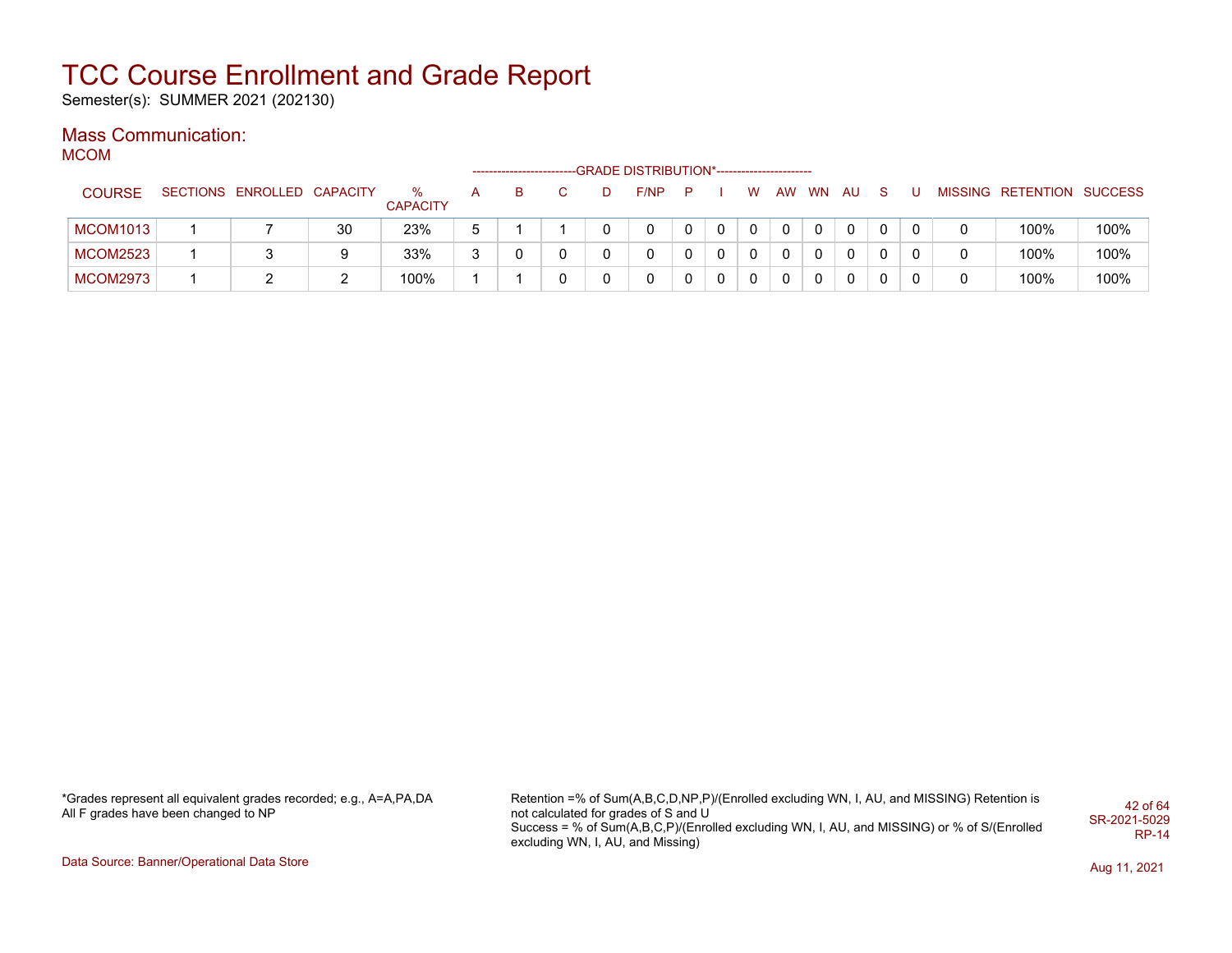Semester(s): SUMMER 2021 (202130)

### Mass Communication:

MCOM

|                 |                            |    |                      |   |   |  | -GRADE DISTRIBUTION*----------------------- |              |          |          |    |              |    |   |     |                           |      |
|-----------------|----------------------------|----|----------------------|---|---|--|---------------------------------------------|--------------|----------|----------|----|--------------|----|---|-----|---------------------------|------|
| <b>COURSE</b>   | SECTIONS ENROLLED CAPACITY |    | %<br><b>CAPACITY</b> | A | в |  | F/NP                                        | D            |          | W        | AW | <b>WN</b>    | AU | S | - U | MISSING RETENTION SUCCESS |      |
| <b>MCOM1013</b> |                            | 30 | 23%                  | 5 |   |  |                                             | 0            | 0        |          |    | 0            | 0  |   |     | 100%                      | 100% |
| <b>MCOM2523</b> |                            | 9  | 33%                  | 3 |   |  |                                             | 0            | $\Omega$ | 0        |    | $\mathbf{0}$ | 0  |   |     | 100%                      | 100% |
| <b>MCOM2973</b> |                            |    | 100%                 |   |   |  |                                             | $\mathbf{0}$ | $\Omega$ | $\Omega$ |    | $\mathbf{0}$ | 0  |   |     | 100%                      | 100% |

\*Grades represent all equivalent grades recorded; e.g., A=A,PA,DA All F grades have been changed to NP

Retention =% of Sum(A,B,C,D,NP,P)/(Enrolled excluding WN, I, AU, and MISSING) Retention is not calculated for grades of S and U Success = % of Sum(A,B,C,P)/(Enrolled excluding WN, I, AU, and MISSING) or % of S/(Enrolled excluding WN, I, AU, and Missing) 42 of 64 SR-2021-5029 RP-14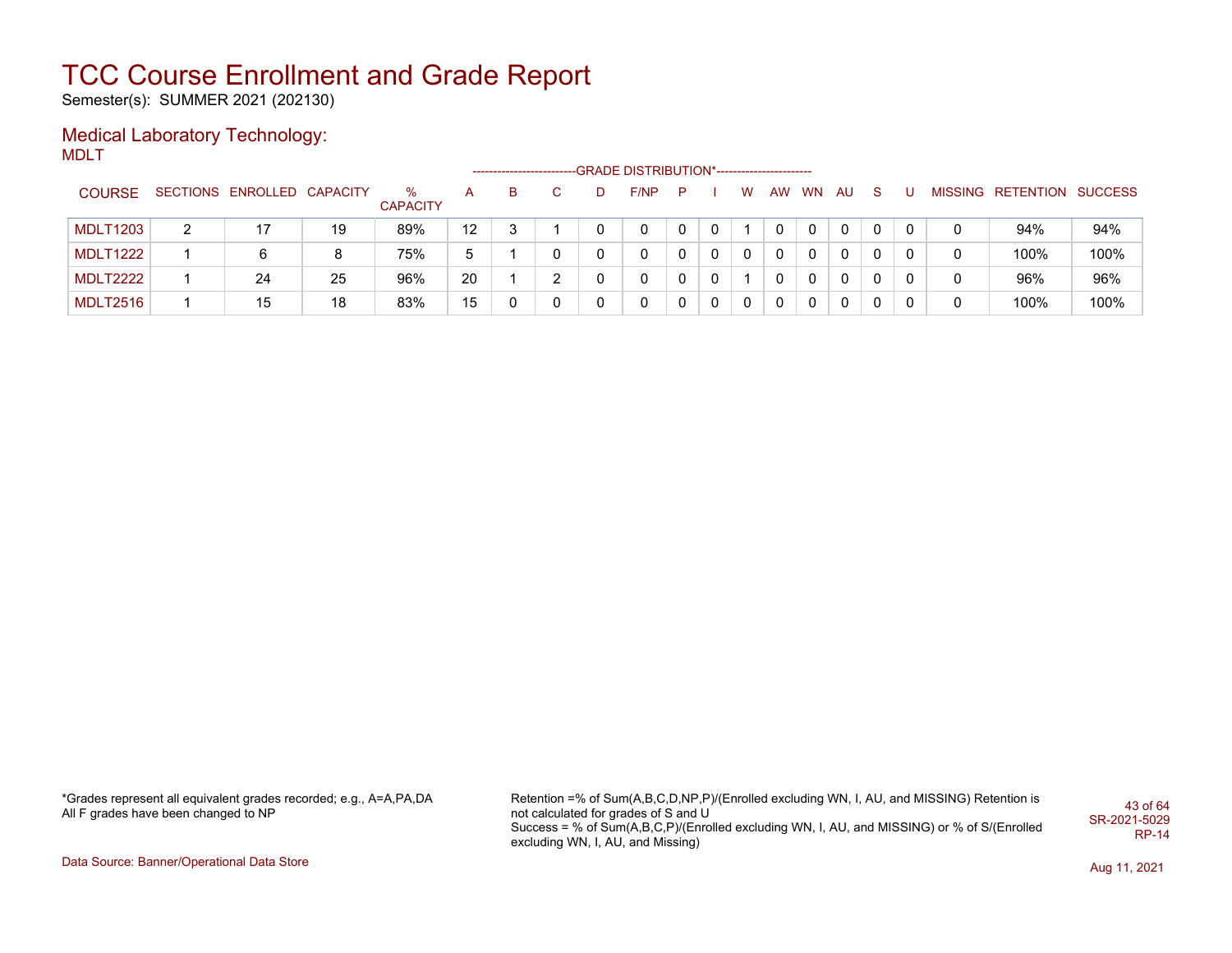Semester(s): SUMMER 2021 (202130)

#### Medical Laboratory Technology: MDLT

| <b>COURSE</b>   |   | SECTIONS ENROLLED CAPACITY |    | %<br><b>CAPACITY</b> | А  | в | C. | D | F/NP | P |              | W            | AW       | <b>WN</b> | <b>AU</b> | <sub>S</sub> |   | MISSING RETENTION SUCCESS |      |
|-----------------|---|----------------------------|----|----------------------|----|---|----|---|------|---|--------------|--------------|----------|-----------|-----------|--------------|---|---------------------------|------|
| <b>MDLT1203</b> | 2 |                            | 19 | 89%                  | 12 | 3 |    |   | 0    | 0 | 0            |              |          |           | 0         |              | 0 | 94%                       | 94%  |
| <b>MDLT1222</b> |   | 6                          |    | 75%                  | 5  |   | 0  |   | 0    | 0 | $\Omega$     | $\mathbf{0}$ | $\Omega$ | $\Omega$  | 0         | 0            | 0 | 100%                      | 100% |
| <b>MDLT2222</b> |   | 24                         | 25 | 96%                  | 20 |   | າ  |   | 0    | 0 | 0            |              |          | 0         | 0         |              | 0 | 96%                       | 96%  |
| <b>MDLT2516</b> |   | 15                         | 18 | 83%                  | 15 |   | 0  |   | 0    | 0 | $\mathbf{0}$ | 0            | 0        | 0         | 0         |              | 0 | 100%                      | 100% |

\*Grades represent all equivalent grades recorded; e.g., A=A,PA,DA All F grades have been changed to NP

Retention =% of Sum(A,B,C,D,NP,P)/(Enrolled excluding WN, I, AU, and MISSING) Retention is not calculated for grades of S and U Success = % of Sum(A,B,C,P)/(Enrolled excluding WN, I, AU, and MISSING) or % of S/(Enrolled excluding WN, I, AU, and Missing) 43 of 64 SR-2021-5029 RP-14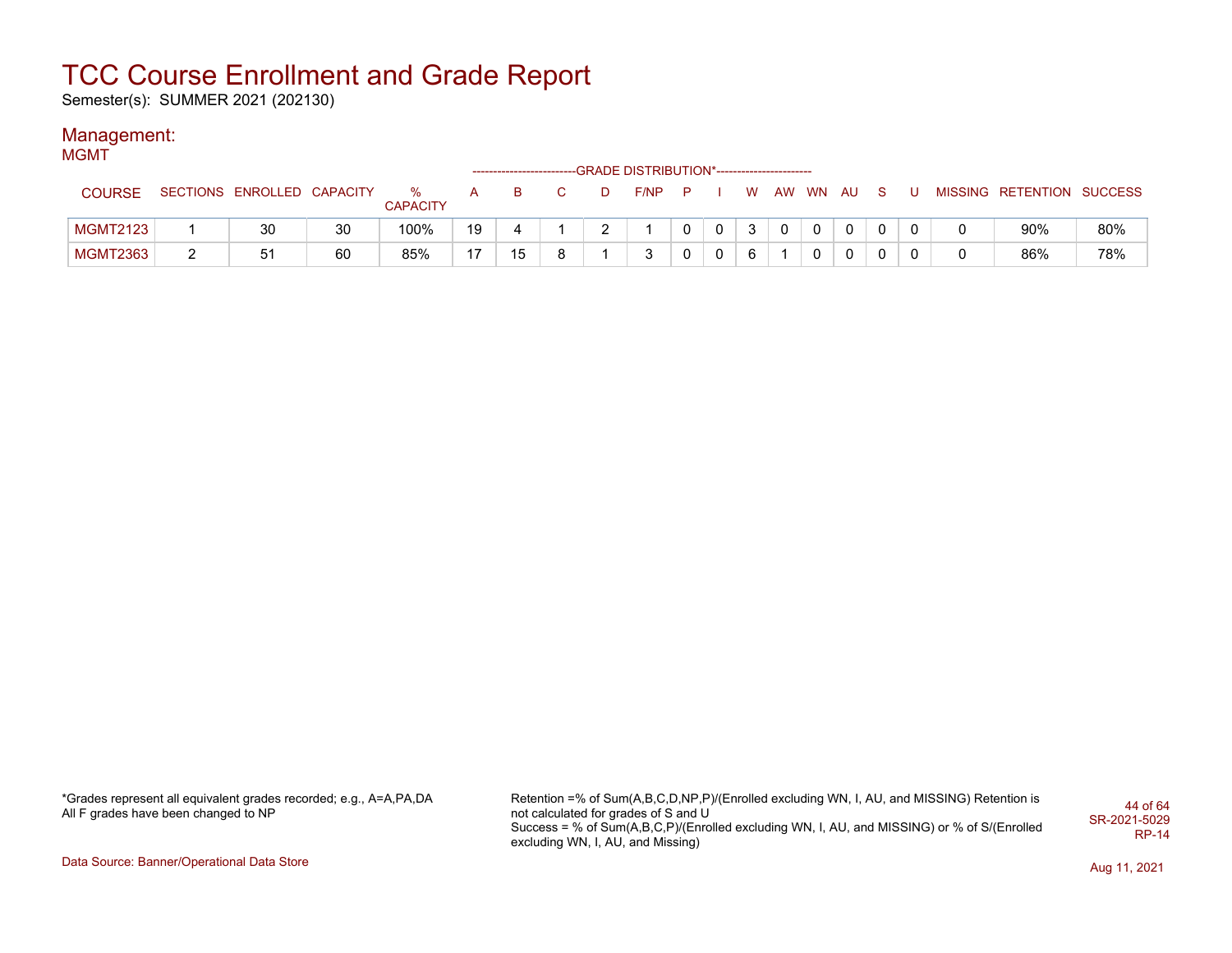Semester(s): SUMMER 2021 (202130)

#### Management: MGMT

| .               |                            |    |                      |    |    |   | -GRADE DISTRIBUTION*----------------------- |              |          |          |                |              |              |  |                           |     |
|-----------------|----------------------------|----|----------------------|----|----|---|---------------------------------------------|--------------|----------|----------|----------------|--------------|--------------|--|---------------------------|-----|
| <b>COURSE</b>   | SECTIONS ENROLLED CAPACITY |    | %<br><b>CAPACITY</b> | A  | в  |   | F/NP                                        |              |          | <b>W</b> |                | AW WN AU     |              |  | MISSING RETENTION SUCCESS |     |
| <b>MGMT2123</b> | 30                         | 30 | 100%                 | 19 |    |   |                                             | $\mathbf{0}$ | $\Omega$ | 3        | $\overline{0}$ | $\mathbf{0}$ | $\mathbf{0}$ |  | 90%                       | 80% |
| <b>MGMT2363</b> | 51                         | 60 | 85%                  | 17 | 15 | 8 |                                             |              | 0        | 6        |                | $\Omega$     | 0            |  | 86%                       | 78% |

\*Grades represent all equivalent grades recorded; e.g., A=A,PA,DA All F grades have been changed to NP

Retention =% of Sum(A,B,C,D,NP,P)/(Enrolled excluding WN, I, AU, and MISSING) Retention is not calculated for grades of S and U Success = % of Sum(A,B,C,P)/(Enrolled excluding WN, I, AU, and MISSING) or % of S/(Enrolled excluding WN, I, AU, and Missing) 44 of 64 SR-2021-5029 RP-14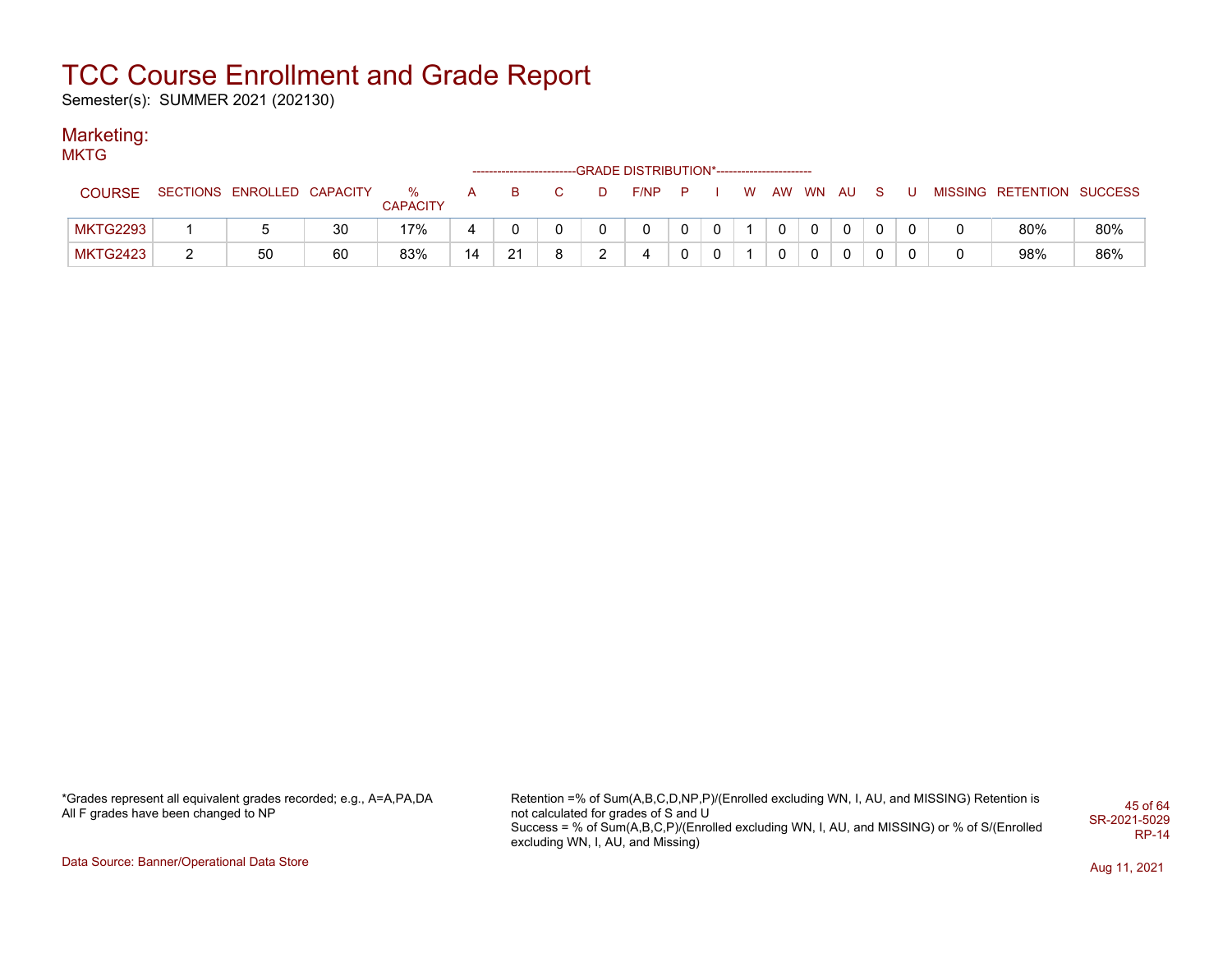Semester(s): SUMMER 2021 (202130)

#### Marketing: **MKTG**

| 1711 N I V      |                            |    |                      |              |    |              |        | ------------------------GRADE DISTRIBUTION*----------------------- |              |              |   |              |                |              |              |  |                           |     |
|-----------------|----------------------------|----|----------------------|--------------|----|--------------|--------|--------------------------------------------------------------------|--------------|--------------|---|--------------|----------------|--------------|--------------|--|---------------------------|-----|
| <b>COURSE</b>   | SECTIONS ENROLLED CAPACITY |    | %<br><b>CAPACITY</b> | $\mathsf{A}$ | в  |              |        | F/NP                                                               | P            |              | W | AW           | <b>WN</b>      | AU.          |              |  | MISSING RETENTION SUCCESS |     |
| MKTG2293        |                            | 30 | 17%                  | 4            |    | $\mathbf{0}$ |        | $\mathbf{0}$                                                       | $\mathbf{0}$ | $\mathbf{0}$ |   | $\mathbf{0}$ | $\overline{0}$ | $\mathbf{0}$ | $\mathbf{0}$ |  | 80%                       | 80% |
| <b>MKTG2423</b> | 50                         | 60 | 83%                  | 14           | 21 | 8            | $\sim$ | 4                                                                  | $\mathbf{0}$ | $\Omega$     |   |              |                | 0            | 0            |  | 98%                       | 86% |

\*Grades represent all equivalent grades recorded; e.g., A=A,PA,DA All F grades have been changed to NP

Retention =% of Sum(A,B,C,D,NP,P)/(Enrolled excluding WN, I, AU, and MISSING) Retention is not calculated for grades of S and U Success = % of Sum(A,B,C,P)/(Enrolled excluding WN, I, AU, and MISSING) or % of S/(Enrolled excluding WN, I, AU, and Missing) 45 of 64 SR-2021-5029 RP-14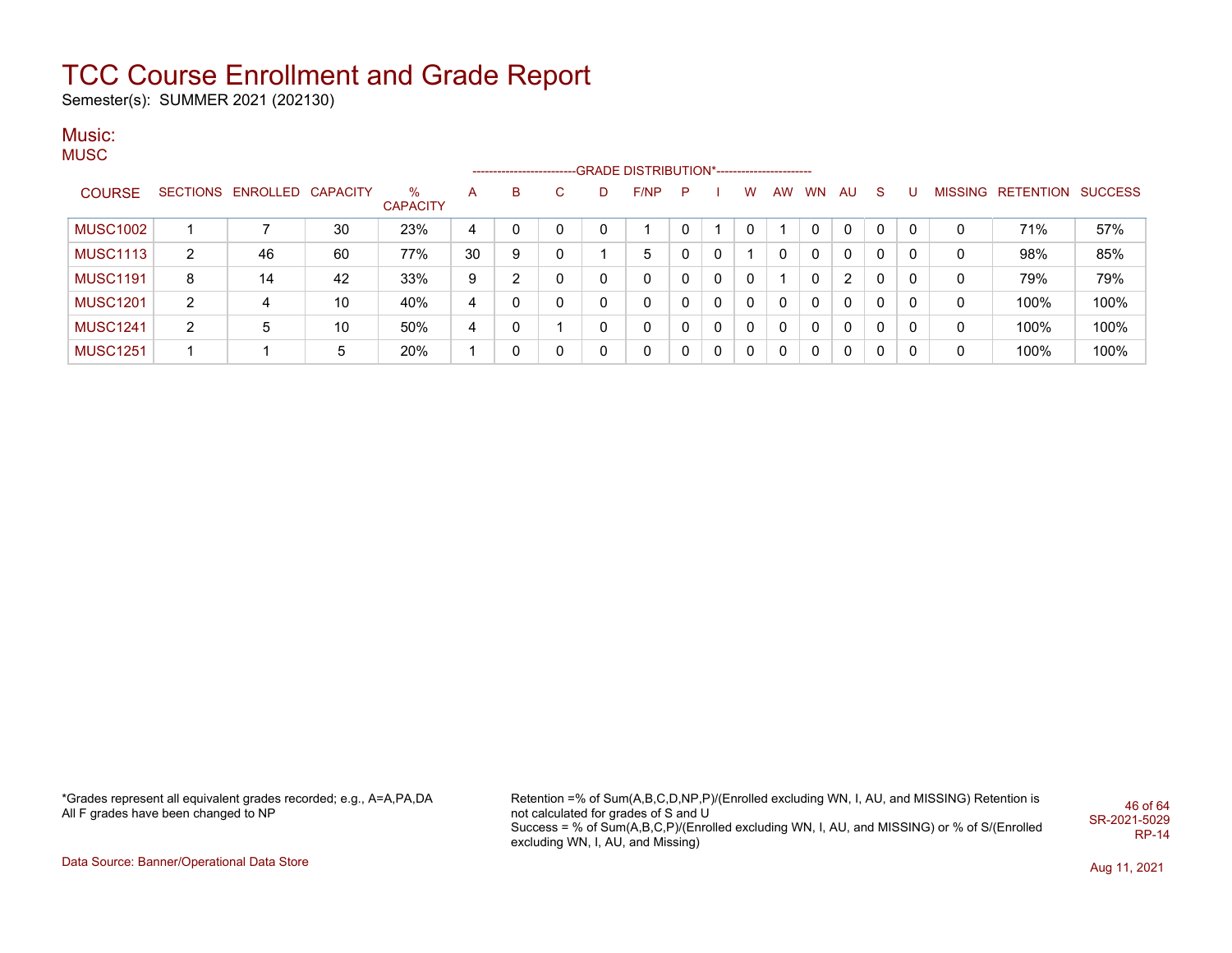Semester(s): SUMMER 2021 (202130)

#### Music: **MUSC**

|                 |                |                            |    |                         |    |   |    |   | --GRADE DISTRIBUTION*---------------------- |          |          |              |              |              |              |              |              |   |                           |      |
|-----------------|----------------|----------------------------|----|-------------------------|----|---|----|---|---------------------------------------------|----------|----------|--------------|--------------|--------------|--------------|--------------|--------------|---|---------------------------|------|
| <b>COURSE</b>   |                | SECTIONS ENROLLED CAPACITY |    | $\%$<br><b>CAPACITY</b> | A  | B | C. | D | F/NP                                        | P        |          | w            | AW           | <b>WN</b>    | AU.          | <sub>S</sub> |              |   | MISSING RETENTION SUCCESS |      |
| <b>MUSC1002</b> |                |                            | 30 | 23%                     | 4  |   | 0  | 0 |                                             |          |          | 0            |              |              | $\mathbf{0}$ | 0            |              | 0 | 71%                       | 57%  |
| <b>MUSC1113</b> | $\overline{2}$ | 46                         | 60 | 77%                     | 30 | 9 | 0  |   | 5                                           | $\Omega$ | 0        |              | 0            | 0            | 0            | 0            | 0            | 0 | 98%                       | 85%  |
| <b>MUSC1191</b> | 8              | 14                         | 42 | 33%                     | 9  | ົ | 0  | 0 | 0                                           | $\Omega$ | $\Omega$ | $\Omega$     |              | 0            | 2            | $\Omega$     | 0            | 0 | 79%                       | 79%  |
| <b>MUSC1201</b> | $\overline{2}$ | 4                          | 10 | 40%                     | 4  |   | 0  | 0 | $\mathbf{0}$                                | 0        | $\Omega$ | $\mathbf{0}$ | 0            | 0            | 0            | 0            | $\mathbf{0}$ | 0 | 100%                      | 100% |
| <b>MUSC1241</b> | $\overline{2}$ | 5                          | 10 | 50%                     | 4  |   |    | 0 | 0                                           | 0        | $\Omega$ | $\Omega$     | $\mathbf{0}$ | $\mathbf{0}$ | 0            | 0            | 0            | 0 | 100%                      | 100% |
| <b>MUSC1251</b> |                |                            | 5  | 20%                     |    |   | 0  | 0 | 0                                           | 0        | 0        | $\Omega$     | $\mathbf{0}$ | 0            | 0            | $\Omega$     | 0            | 0 | 100%                      | 100% |

\*Grades represent all equivalent grades recorded; e.g., A=A,PA,DA All F grades have been changed to NP

Retention =% of Sum(A,B,C,D,NP,P)/(Enrolled excluding WN, I, AU, and MISSING) Retention is not calculated for grades of S and U Success = % of Sum(A,B,C,P)/(Enrolled excluding WN, I, AU, and MISSING) or % of S/(Enrolled excluding WN, I, AU, and Missing) 46 of 64 SR-2021-5029 RP-14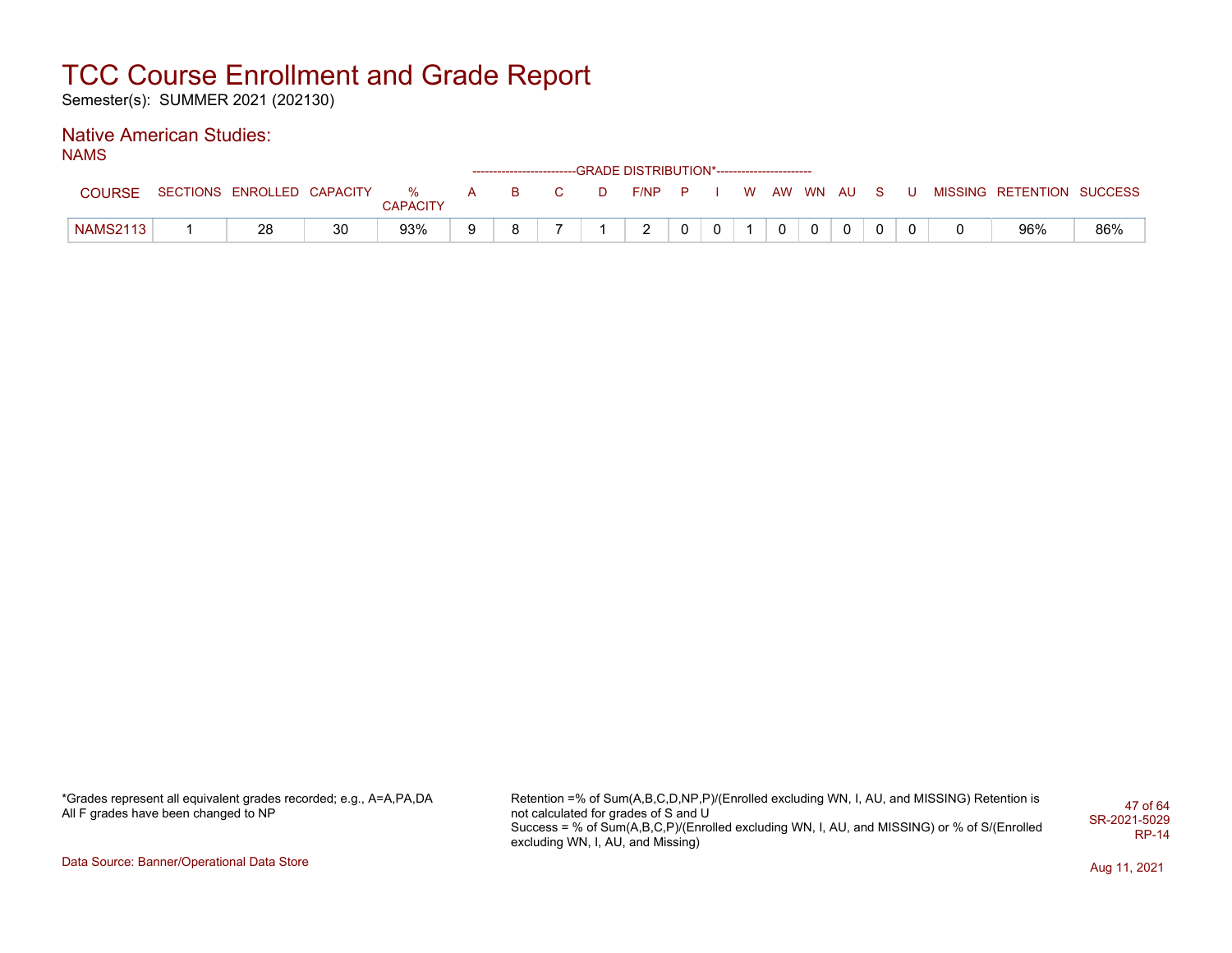Semester(s): SUMMER 2021 (202130)

#### Native American Studies: NAMS

| . |                 |                              |    |          |   |     |    | ------------------------GRADE                DISTRIBUTION*---------------------- |  |  |            |             |     |  |                           |     |
|---|-----------------|------------------------------|----|----------|---|-----|----|----------------------------------------------------------------------------------|--|--|------------|-------------|-----|--|---------------------------|-----|
|   | <b>COURSE</b>   | SECTIONS ENROLLED CAPACITY % |    | CAPACITY | A | - B | D. | $F/NP$ $P$                                                                       |  |  | W AW WN AU |             | S S |  | MISSING RETENTION SUCCESS |     |
|   | <b>NAMS2113</b> | 28                           | 30 | 93%      | 9 | R   |    |                                                                                  |  |  |            | $\mathbf 0$ |     |  | 96%                       | 86% |

\*Grades represent all equivalent grades recorded; e.g., A=A,PA,DA All F grades have been changed to NP

Retention =% of Sum(A,B,C,D,NP,P)/(Enrolled excluding WN, I, AU, and MISSING) Retention is not calculated for grades of S and U Success = % of Sum(A,B,C,P)/(Enrolled excluding WN, I, AU, and MISSING) or % of S/(Enrolled excluding WN, I, AU, and Missing) 47 of 64 SR-2021-5029 RP-14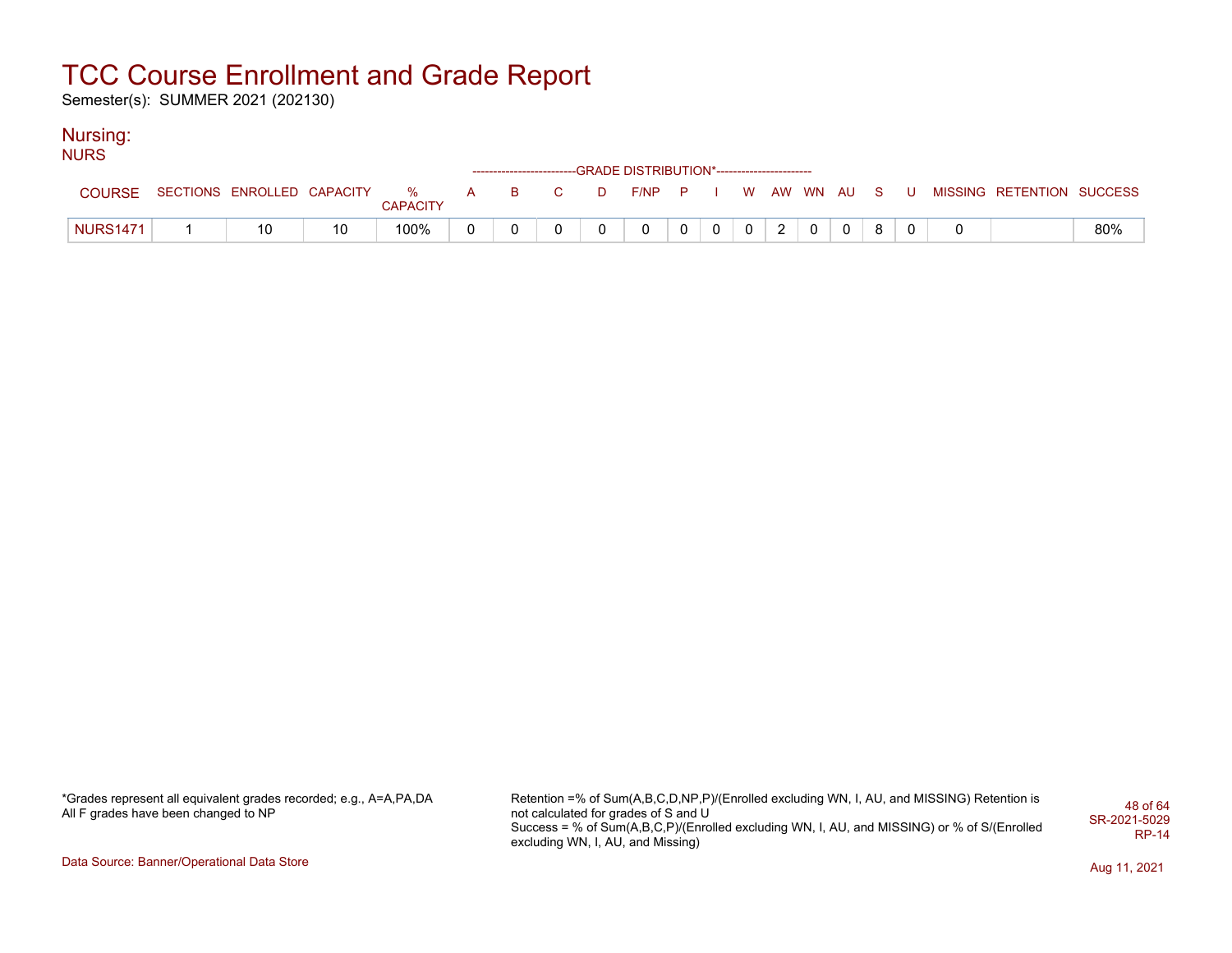Semester(s): SUMMER 2021 (202130)

### Nursing:

| <b>NURS</b>     |                                      |    |          |  |  |                                                                    |          |                |  |          |  |  |                                                   |     |
|-----------------|--------------------------------------|----|----------|--|--|--------------------------------------------------------------------|----------|----------------|--|----------|--|--|---------------------------------------------------|-----|
|                 |                                      |    |          |  |  | ------------------------GRADE DISTRIBUTION*----------------------- |          |                |  |          |  |  |                                                   |     |
| <b>COURSE</b>   | SECTIONS ENROLLED CAPACITY % A B C D |    | CAPACITY |  |  |                                                                    |          |                |  |          |  |  | F/NP P I W AW WN AU S U MISSING RETENTION SUCCESS |     |
| <b>NURS1471</b> | 10                                   | 10 | 100%     |  |  |                                                                    | $\Omega$ | 0 <sup>1</sup> |  | $\Omega$ |  |  |                                                   | 80% |

\*Grades represent all equivalent grades recorded; e.g., A=A,PA,DA All F grades have been changed to NP

Retention =% of Sum(A,B,C,D,NP,P)/(Enrolled excluding WN, I, AU, and MISSING) Retention is not calculated for grades of S and U Success = % of Sum(A,B,C,P)/(Enrolled excluding WN, I, AU, and MISSING) or % of S/(Enrolled excluding WN, I, AU, and Missing) 48 of 64 SR-2021-5029 RP-14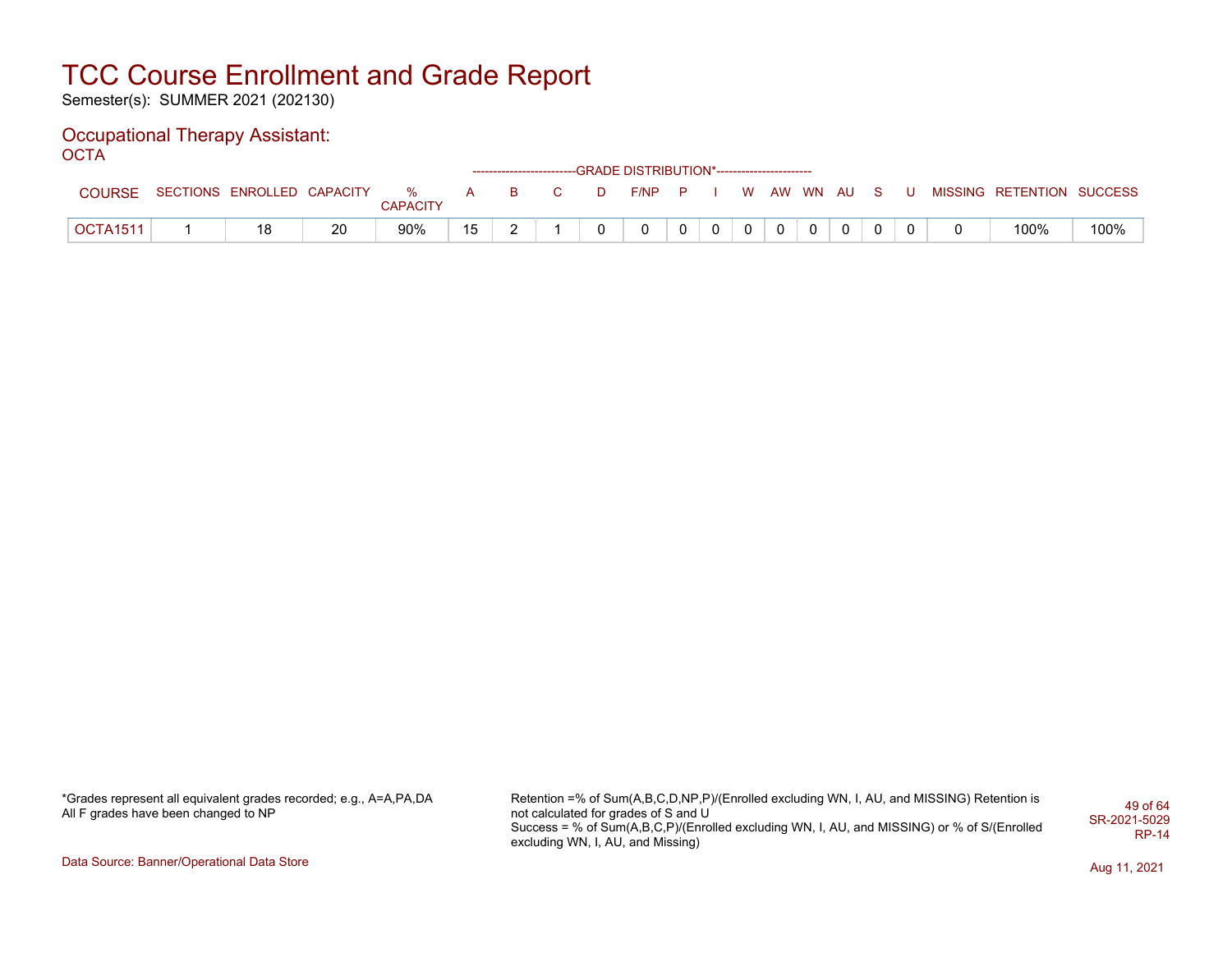Semester(s): SUMMER 2021 (202130)

#### Occupational Therapy Assistant: OCTA<sup>'</sup>

|                 |                              |    |                 |          |   |     |   | ------------------------GRADE DISTRIBUTION*----------------------- |              |              |          |                |          |          |                           |      |
|-----------------|------------------------------|----|-----------------|----------|---|-----|---|--------------------------------------------------------------------|--------------|--------------|----------|----------------|----------|----------|---------------------------|------|
| <b>COURSE</b>   | SECTIONS ENROLLED CAPACITY % |    | <b>CAPACITY</b> | <b>A</b> |   | B C | D | F/NP P I W AW WN AU S                                              |              |              |          |                |          | <b>U</b> | MISSING RETENTION SUCCESS |      |
| <b>OCTA1511</b> | 18                           | 20 | 90%             | 15       | - |     |   | 0                                                                  | $\mathbf{0}$ | $\mathbf{0}$ | $\Omega$ | $\overline{0}$ | $\Omega$ |          | 100%                      | 100% |

\*Grades represent all equivalent grades recorded; e.g., A=A,PA,DA All F grades have been changed to NP

Retention =% of Sum(A,B,C,D,NP,P)/(Enrolled excluding WN, I, AU, and MISSING) Retention is not calculated for grades of S and U Success = % of Sum(A,B,C,P)/(Enrolled excluding WN, I, AU, and MISSING) or % of S/(Enrolled excluding WN, I, AU, and Missing) 49 of 64 SR-2021-5029 RP-14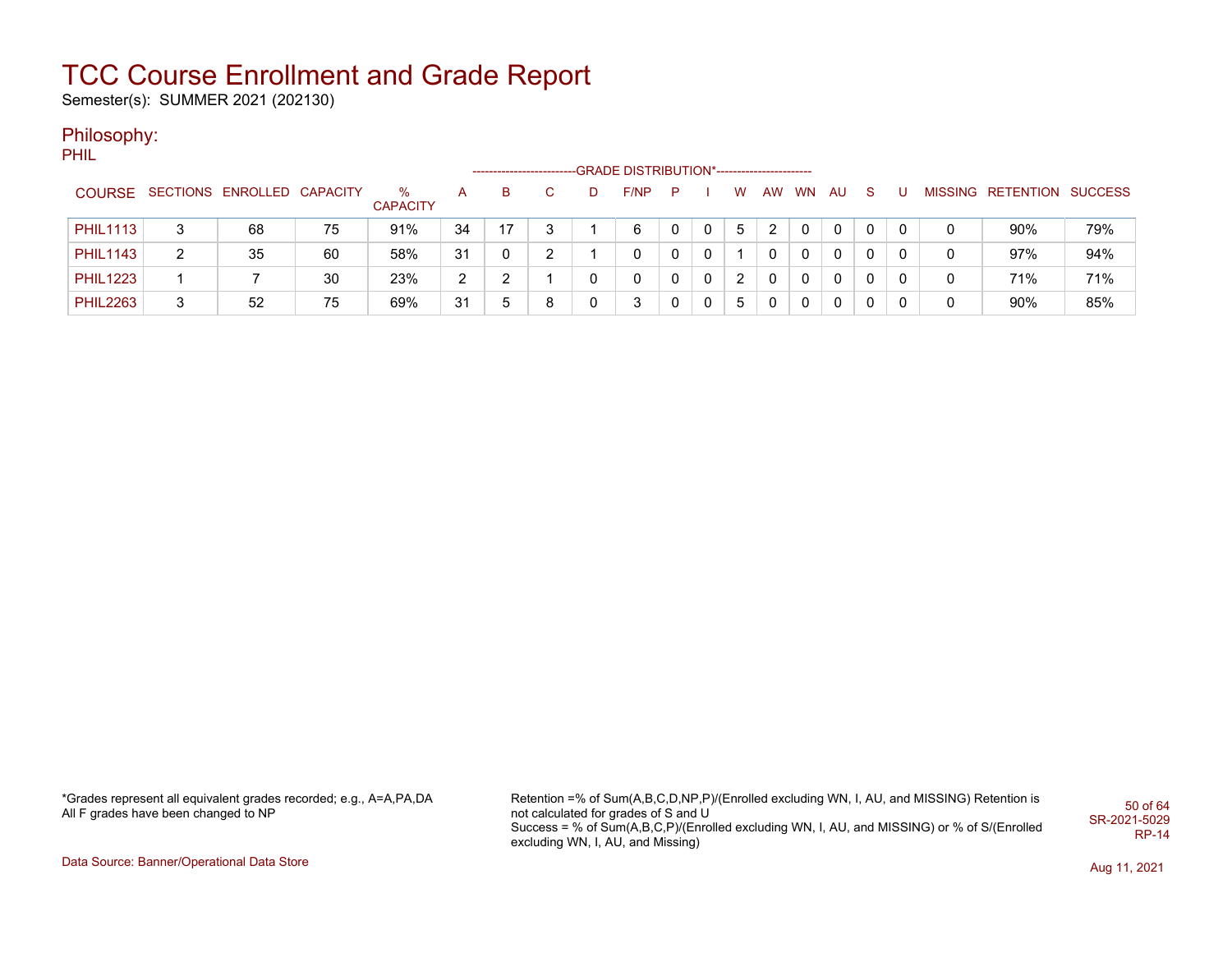Semester(s): SUMMER 2021 (202130)

### Philosophy:

PHIL

|                 |   |                            |    |                         |    |    |   |   | -GRADE DISTRIBUTION*----------------------- |    |   |   |   |          |              |    |   |   |                           |     |
|-----------------|---|----------------------------|----|-------------------------|----|----|---|---|---------------------------------------------|----|---|---|---|----------|--------------|----|---|---|---------------------------|-----|
| <b>COURSE</b>   |   | SECTIONS ENROLLED CAPACITY |    | $\%$<br><b>CAPACITY</b> | A  | B  |   | D | F/NP                                        | P. |   | w |   | AW WN    | AU.          | S. |   |   | MISSING RETENTION SUCCESS |     |
| <b>PHIL1113</b> | 3 | 68                         | 75 | 91%                     | 34 | 17 |   |   | 6                                           |    |   | 5 |   |          | $\Omega$     | 0  | 0 |   | 90%                       | 79% |
| <b>PHIL1143</b> | 2 | 35                         | 60 | 58%                     | 31 |    | ົ |   | 0                                           |    | 0 |   | 0 | 0        | $\mathbf 0$  | 0  | 0 | 0 | 97%                       | 94% |
| <b>PHIL1223</b> |   |                            | 30 | 23%                     | 2  |    |   |   | 0                                           |    | 0 | 2 | 0 | 0        | $\mathbf{0}$ | 0  | 0 | 0 | 71%                       | 71% |
| <b>PHIL2263</b> | 3 | 52                         | 75 | 69%                     | 31 | 5  |   |   | 3                                           |    | 0 | 5 | 0 | $\Omega$ | $\mathbf 0$  | 0  | 0 |   | 90%                       | 85% |

\*Grades represent all equivalent grades recorded; e.g., A=A,PA,DA All F grades have been changed to NP

Retention =% of Sum(A,B,C,D,NP,P)/(Enrolled excluding WN, I, AU, and MISSING) Retention is not calculated for grades of S and U Success = % of Sum(A,B,C,P)/(Enrolled excluding WN, I, AU, and MISSING) or % of S/(Enrolled excluding WN, I, AU, and Missing) 50 of 64 SR-2021-5029 RP-14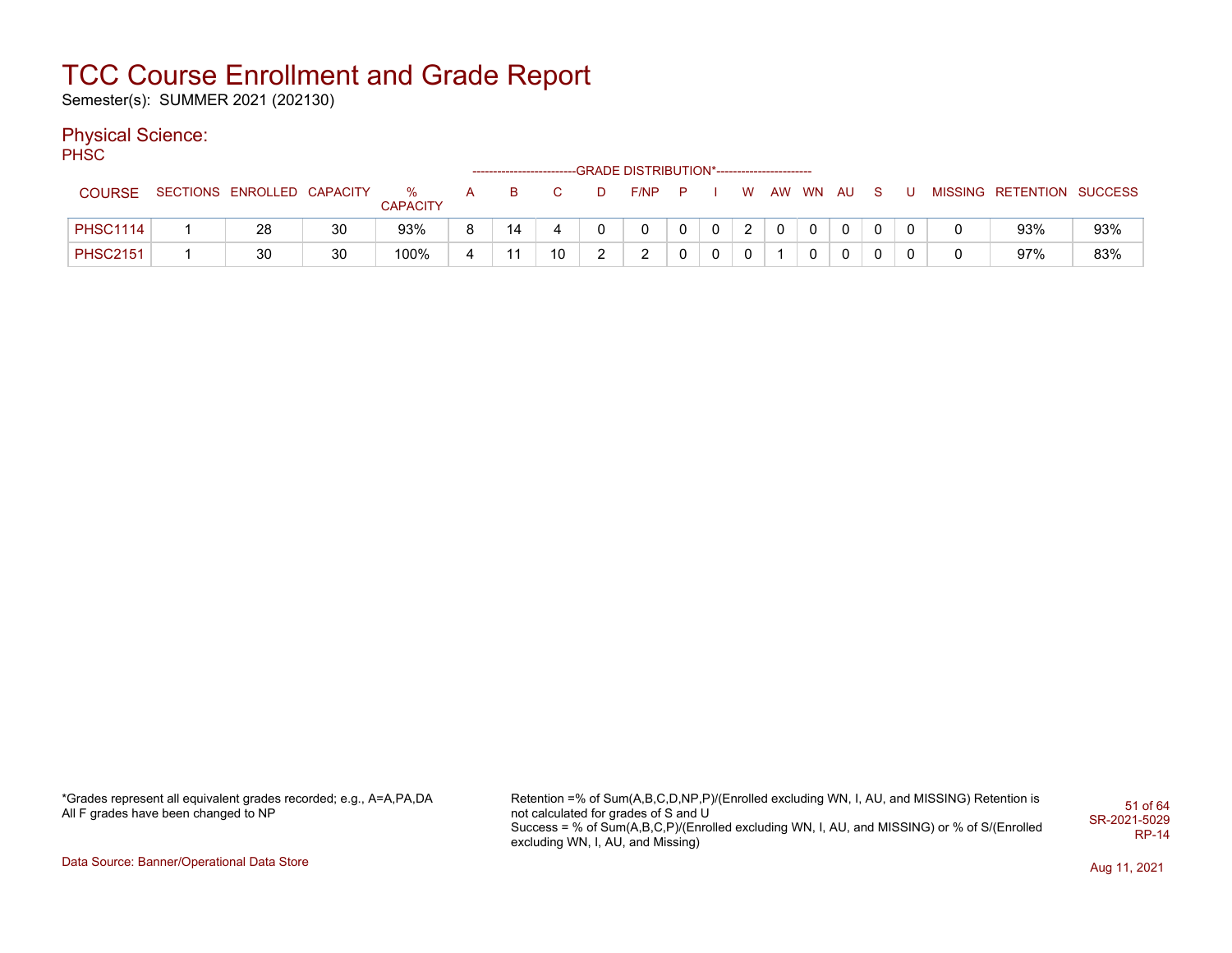Semester(s): SUMMER 2021 (202130)

### Physical Science:

PH<sub>SC</sub>

|                 |                            |    |                      |   |    |    |   | ------------------------GRADE DISTRIBUTION*----------------------- |  |                           |          |   |    |  |                           |     |
|-----------------|----------------------------|----|----------------------|---|----|----|---|--------------------------------------------------------------------|--|---------------------------|----------|---|----|--|---------------------------|-----|
| <b>COURSE</b>   | SECTIONS ENROLLED CAPACITY |    | %<br><b>CAPACITY</b> |   |    |    | D | $F/NP$ $P$                                                         |  | W.                        | AW WN AU |   | S. |  | MISSING RETENTION SUCCESS |     |
| <b>PHSC1114</b> | 28                         | 30 | 93%                  | o | 14 |    |   |                                                                    |  | $\mathcal{D}$<br><u>_</u> |          |   | 0  |  | 93%                       | 93% |
| <b>PHSC2151</b> | 30                         | 30 | 100%                 | 4 | 11 | 10 |   | $\sim$                                                             |  |                           |          | 0 | 0  |  | 97%                       | 83% |

\*Grades represent all equivalent grades recorded; e.g., A=A,PA,DA All F grades have been changed to NP

Retention =% of Sum(A,B,C,D,NP,P)/(Enrolled excluding WN, I, AU, and MISSING) Retention is not calculated for grades of S and U Success = % of Sum(A,B,C,P)/(Enrolled excluding WN, I, AU, and MISSING) or % of S/(Enrolled excluding WN, I, AU, and Missing) 51 of 64 SR-2021-5029 RP-14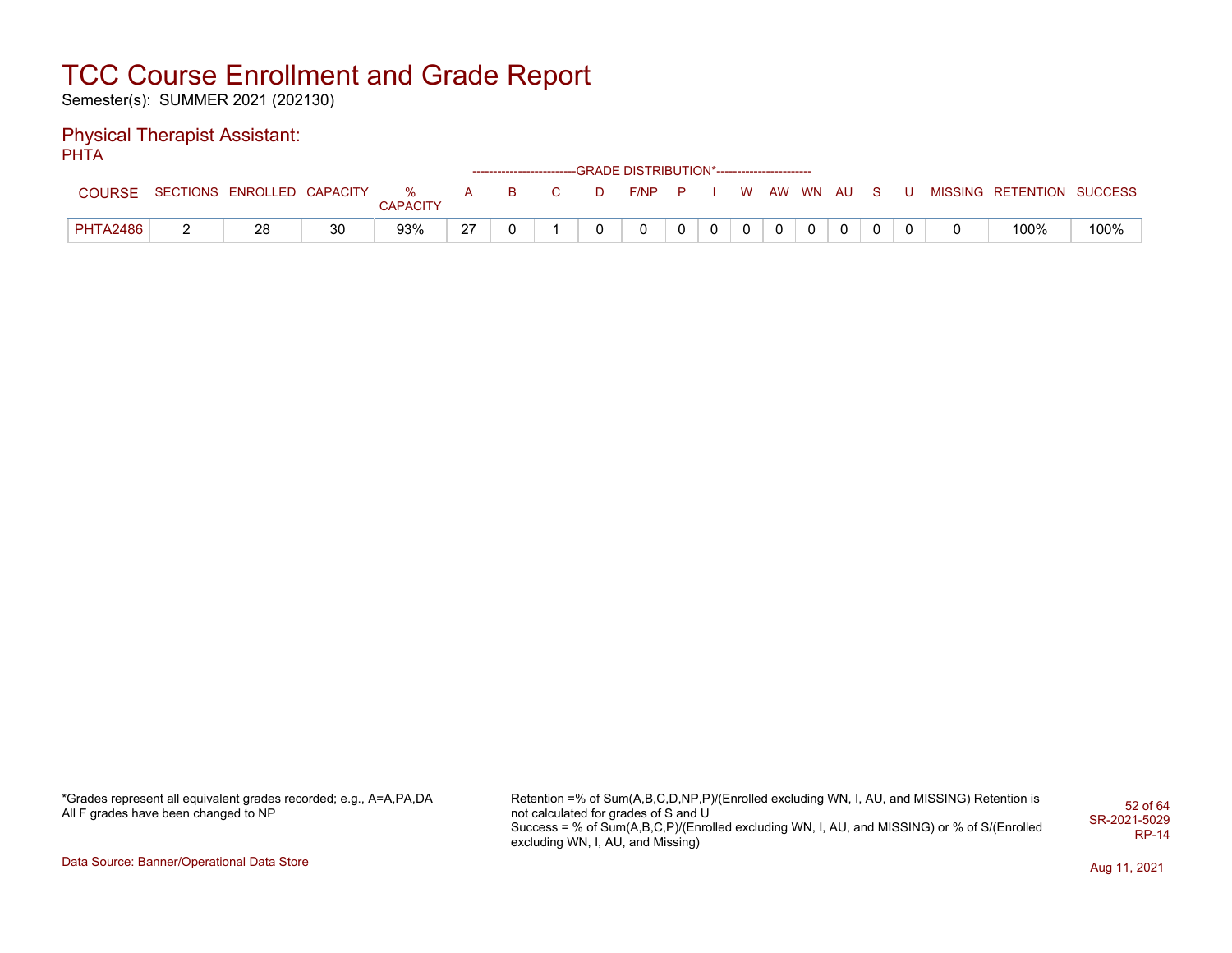Semester(s): SUMMER 2021 (202130)

#### Physical Therapist Assistant: **PHTA**

|                 |   |                            |    |               |    |    |   | ------------------------GRADE DISTRIBUTION*----------------------- |  |   |          |  |  |                           |      |
|-----------------|---|----------------------------|----|---------------|----|----|---|--------------------------------------------------------------------|--|---|----------|--|--|---------------------------|------|
| <b>COURSE</b>   |   | SECTIONS ENROLLED CAPACITY |    | %<br>CAPACITY | A  | B. | D | F/NP                                                               |  | W | AW WN AU |  |  | MISSING RETENTION SUCCESS |      |
| <b>PHTA2486</b> | - | 28                         | 30 | 93%           | 27 |    |   |                                                                    |  |   |          |  |  | 100%                      | 100% |

\*Grades represent all equivalent grades recorded; e.g., A=A,PA,DA All F grades have been changed to NP

Retention =% of Sum(A,B,C,D,NP,P)/(Enrolled excluding WN, I, AU, and MISSING) Retention is not calculated for grades of S and U Success = % of Sum(A,B,C,P)/(Enrolled excluding WN, I, AU, and MISSING) or % of S/(Enrolled excluding WN, I, AU, and Missing) 52 of 64 SR-2021-5029 RP-14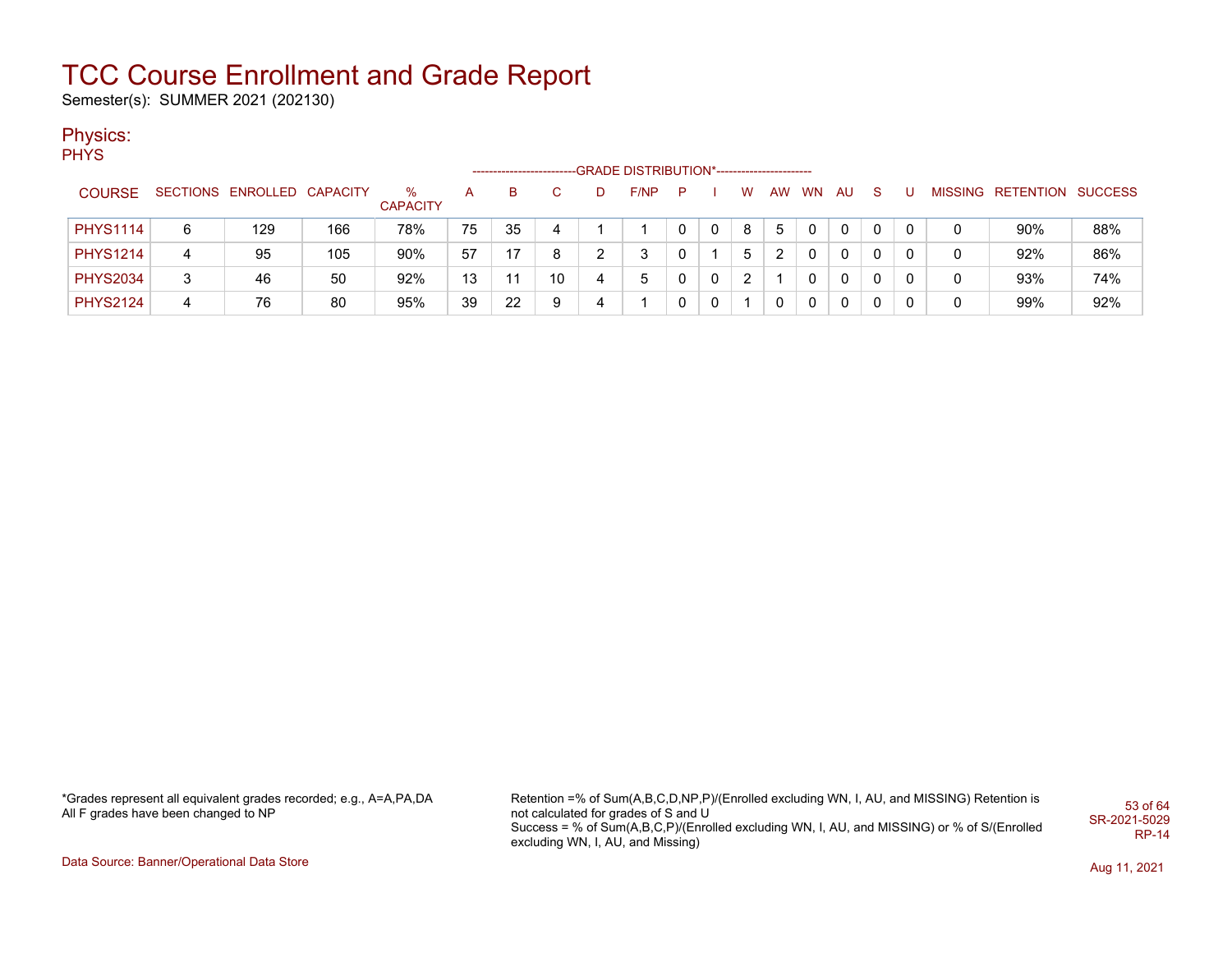Semester(s): SUMMER 2021 (202130)

### Physics:

PHYS

|                 |   |                            |     |                      |    | -------------------------- |    | -GRADE DISTRIBUTION*----------------------- |    |          |   |    |           |    |    |   |                           |     |
|-----------------|---|----------------------------|-----|----------------------|----|----------------------------|----|---------------------------------------------|----|----------|---|----|-----------|----|----|---|---------------------------|-----|
| <b>COURSE</b>   |   | SECTIONS ENROLLED CAPACITY |     | %<br><b>CAPACITY</b> | А  | в                          |    | F/NP                                        | P. |          | W | AW | <b>WN</b> | AU | -S |   | MISSING RETENTION SUCCESS |     |
| <b>PHYS1114</b> | 6 | 129                        | 166 | 78%                  | 75 | 35                         |    |                                             |    |          | 8 | 5  |           |    |    |   | 90%                       | 88% |
| <b>PHYS1214</b> | 4 | 95                         | 105 | 90%                  | 57 | 17                         | 8  | 3                                           |    |          | 5 |    |           |    |    |   | 92%                       | 86% |
| <b>PHYS2034</b> | 3 | 46                         | 50  | 92%                  | 13 |                            | 10 | 5                                           |    | $\Omega$ |   |    |           |    |    | 0 | 93%                       | 74% |
| <b>PHYS2124</b> | 4 | 76                         | 80  | 95%                  | 39 | 22                         | 9  |                                             |    |          |   |    |           |    | 0  | 0 | 99%                       | 92% |

\*Grades represent all equivalent grades recorded; e.g., A=A,PA,DA All F grades have been changed to NP

Retention =% of Sum(A,B,C,D,NP,P)/(Enrolled excluding WN, I, AU, and MISSING) Retention is not calculated for grades of S and U Success = % of Sum(A,B,C,P)/(Enrolled excluding WN, I, AU, and MISSING) or % of S/(Enrolled excluding WN, I, AU, and Missing) 53 of 64 SR-2021-5029 RP-14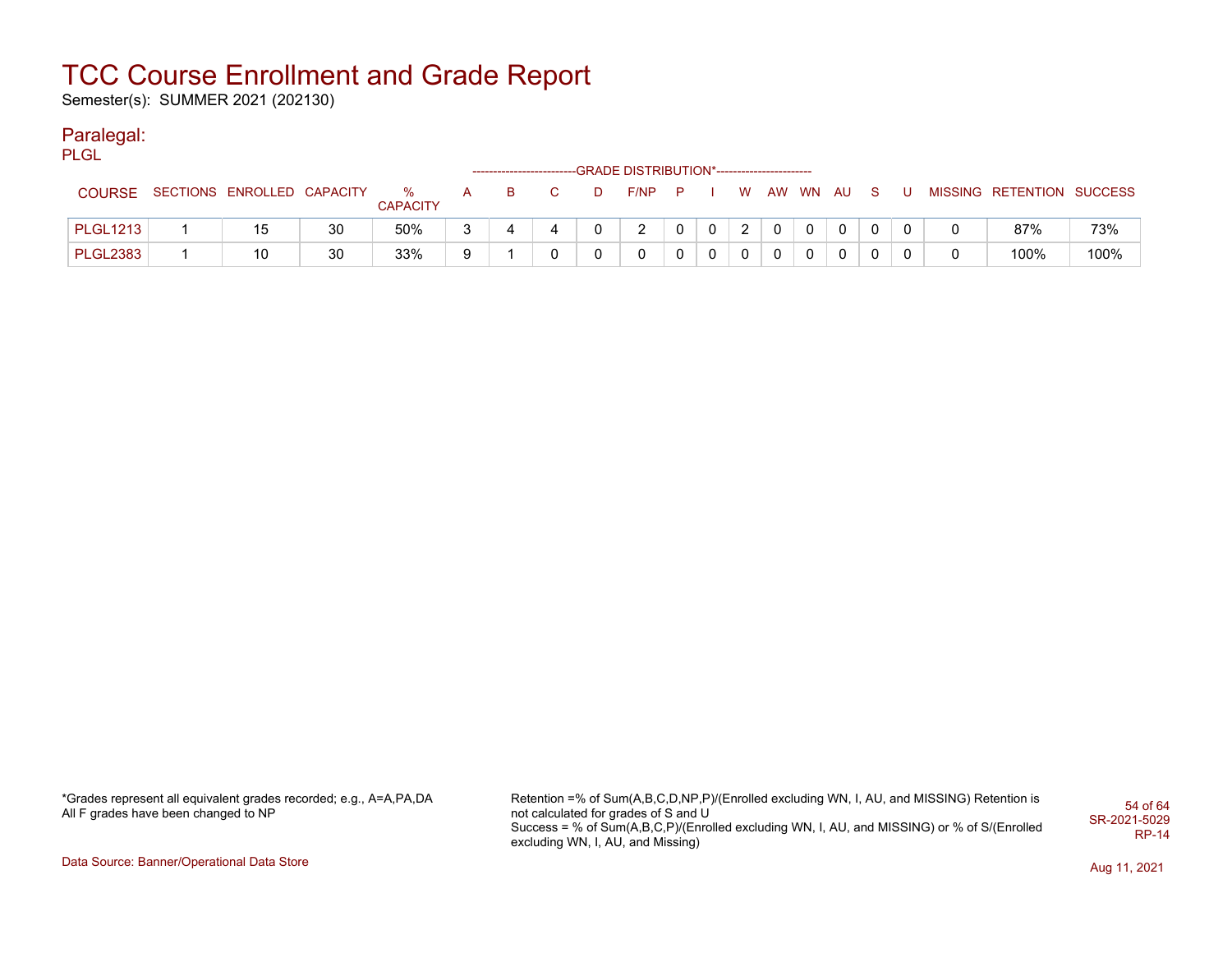Semester(s): SUMMER 2021 (202130)

#### Paralegal:

PLGL

|                 |                            |    |                      | ------------------------- |   | -GRADE DISTRIBUTION*----------------------- |   |   |   |          |              |              |  |                           |      |
|-----------------|----------------------------|----|----------------------|---------------------------|---|---------------------------------------------|---|---|---|----------|--------------|--------------|--|---------------------------|------|
| <b>COURSE</b>   | SECTIONS ENROLLED CAPACITY |    | %<br><b>CAPACITY</b> |                           | D | F/NP                                        | P |   | W | AW WN AU |              | S.           |  | MISSING RETENTION SUCCESS |      |
| <b>PLGL1213</b> | 15                         | 30 | 50%                  |                           |   |                                             |   | 0 | າ |          | $\mathbf{0}$ | $\mathbf{0}$ |  | 87%                       | 73%  |
| <b>PLGL2383</b> | 10                         | 30 | 33%                  |                           |   |                                             |   |   | 0 |          | $\mathbf 0$  | 0            |  | 100%                      | 100% |

\*Grades represent all equivalent grades recorded; e.g., A=A,PA,DA All F grades have been changed to NP

Retention =% of Sum(A,B,C,D,NP,P)/(Enrolled excluding WN, I, AU, and MISSING) Retention is not calculated for grades of S and U Success = % of Sum(A,B,C,P)/(Enrolled excluding WN, I, AU, and MISSING) or % of S/(Enrolled excluding WN, I, AU, and Missing) 54 of 64 SR-2021-5029 RP-14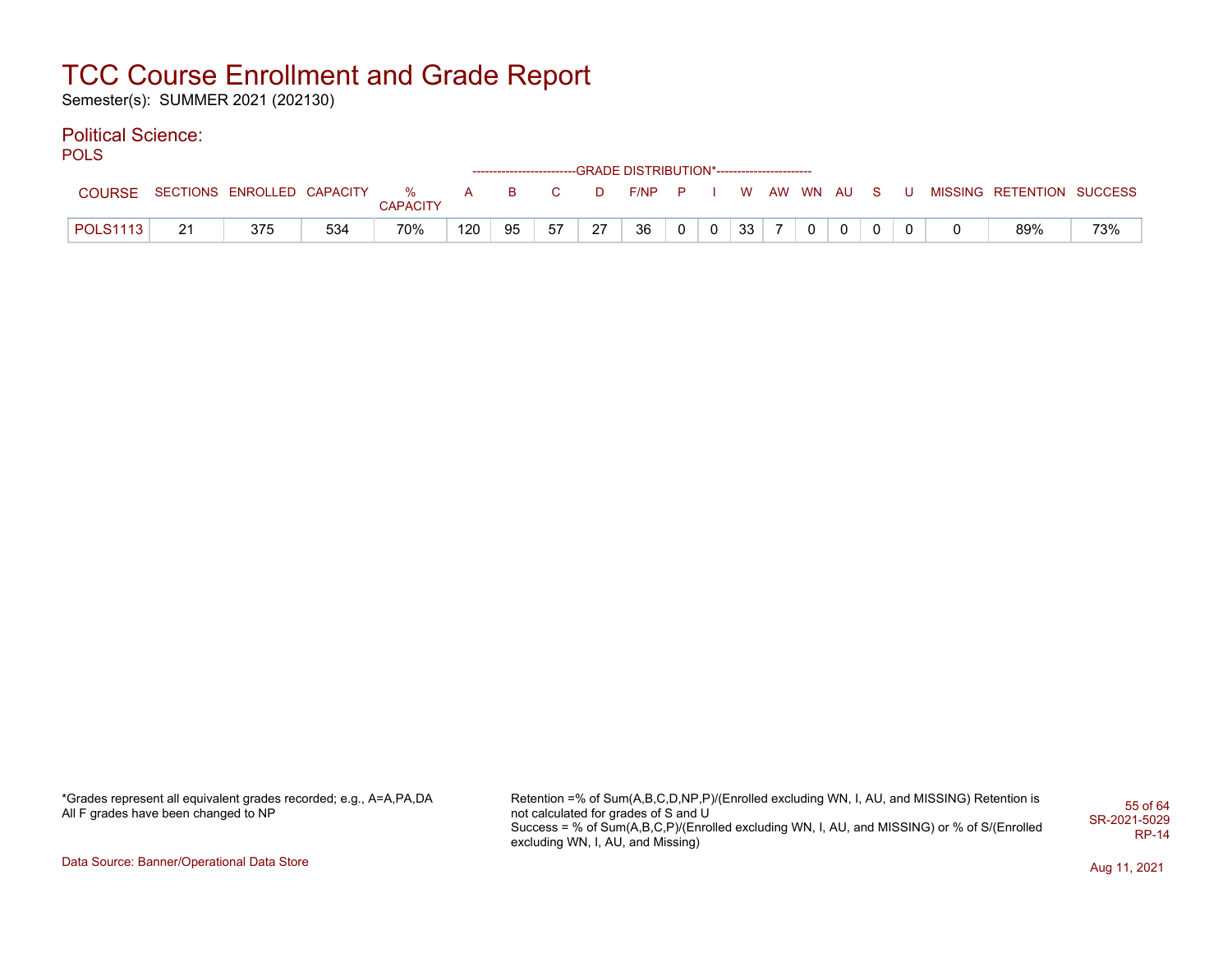Semester(s): SUMMER 2021 (202130)

### Political Science:

**POLS** 

|                 |    |                              |     |                 |     |          |    |    | ------------------------GRADE DISTRIBUTION*----------------------- |                |                |                 |                |              |  |   |                           |     |
|-----------------|----|------------------------------|-----|-----------------|-----|----------|----|----|--------------------------------------------------------------------|----------------|----------------|-----------------|----------------|--------------|--|---|---------------------------|-----|
| COURSE          |    | SECTIONS ENROLLED CAPACITY % |     | <b>CAPACITY</b> | A   | <b>B</b> | C. | D  | $F/NP$ $P$ $I$                                                     |                |                |                 |                | W AW WN AU S |  | U | MISSING RETENTION SUCCESS |     |
| <b>POLS1113</b> | 21 | 375                          | 534 | 70%             | 120 | 95       | 57 | 27 | 36                                                                 | 0 <sup>1</sup> | $\overline{0}$ | 33 <sup>1</sup> | $\overline{ }$ | $\Omega$     |  |   | 89%                       | 73% |

| *Grades represent all equivalent grades recorded; e.g., A=A,PA,DA |  |
|-------------------------------------------------------------------|--|
| All F grades have been changed to NP                              |  |

Retention =% of Sum(A,B,C,D,NP,P)/(Enrolled excluding WN, I, AU, and MISSING) Retention is not calculated for grades of S and U Success = % of Sum(A,B,C,P)/(Enrolled excluding WN, I, AU, and MISSING) or % of S/(Enrolled excluding WN, I, AU, and Missing) 55 of 64 SR-2021-5029 RP-14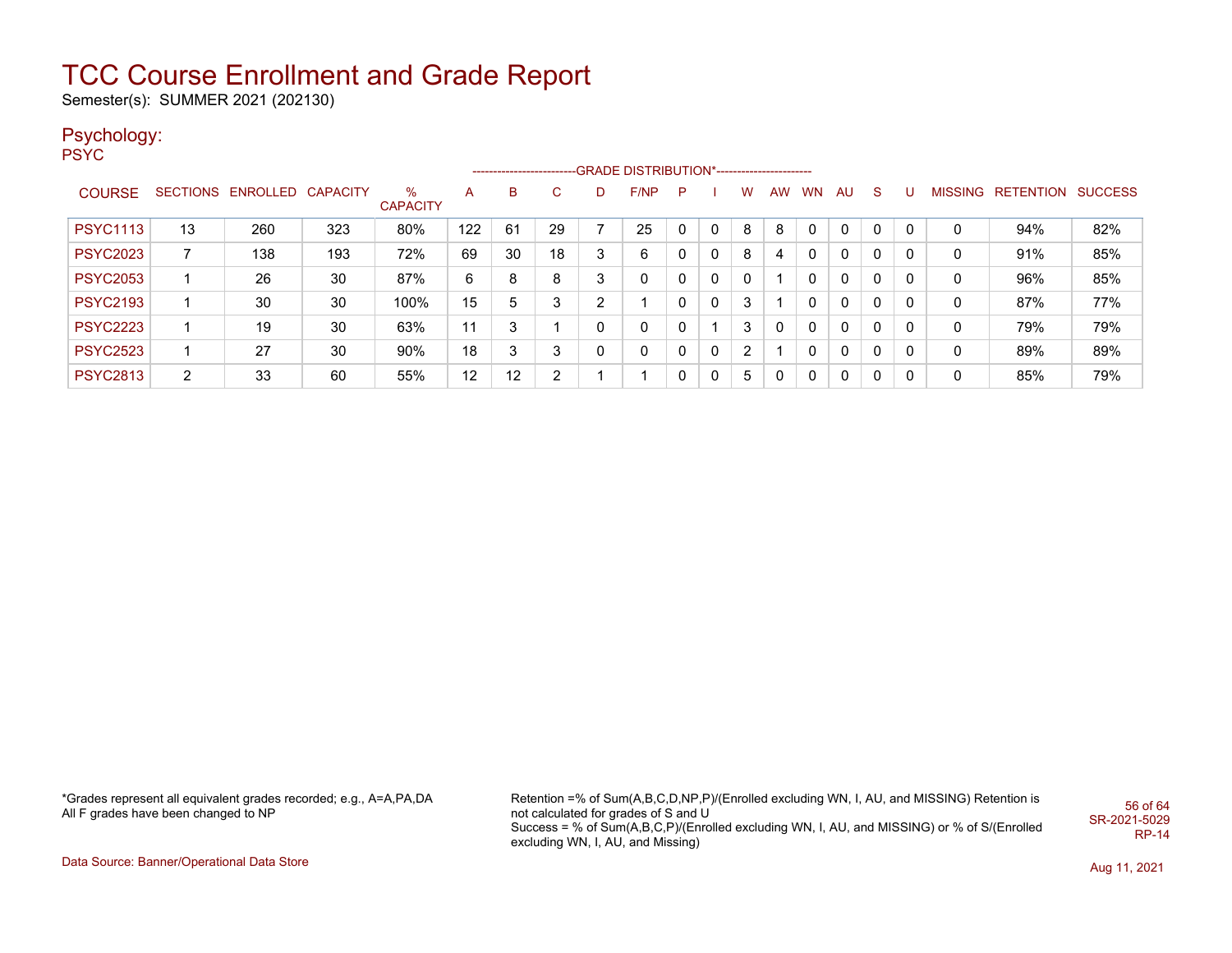Semester(s): SUMMER 2021 (202130)

### Psychology:

PSYC

|                 |    |                            |     |                      |     |    |                |              | ------------------------GRADE DISTRIBUTION*----------------------- |          |              |                |              |           |              |              |   |   |                   |                |
|-----------------|----|----------------------------|-----|----------------------|-----|----|----------------|--------------|--------------------------------------------------------------------|----------|--------------|----------------|--------------|-----------|--------------|--------------|---|---|-------------------|----------------|
| <b>COURSE</b>   |    | SECTIONS ENROLLED CAPACITY |     | ℅<br><b>CAPACITY</b> | A   | B  | C              | D            | F/NP                                                               | P        |              | w              | AW           | <b>WN</b> | AU           | <sub>S</sub> | U |   | MISSING RETENTION | <b>SUCCESS</b> |
| <b>PSYC1113</b> | 13 | 260                        | 323 | 80%                  | 122 | 61 | 29             |              | 25                                                                 | $\Omega$ | 0            | 8              | 8            | 0         | 0            | $\mathbf 0$  | 0 | 0 | 94%               | 82%            |
| <b>PSYC2023</b> |    | 138                        | 193 | 72%                  | 69  | 30 | 18             | 3            | 6                                                                  | 0        | $\mathbf{0}$ | 8              |              | 0         | 0            | 0            |   | 0 | 91%               | 85%            |
| <b>PSYC2053</b> |    | 26                         | 30  | 87%                  | 6   | 8  | 8              | 3            | 0                                                                  | 0        | $\mathbf{0}$ | 0              |              | 0         | 0            | $\mathbf 0$  | 0 | 0 | 96%               | 85%            |
| <b>PSYC2193</b> |    | 30                         | 30  | 100%                 | 15  | 5  | 3              | 2            |                                                                    | 0        | 0            | 3              |              | 0         | 0            | $\mathbf 0$  | 0 | 0 | 87%               | 77%            |
| <b>PSYC2223</b> |    | 19                         | 30  | 63%                  | 11  | 3  |                | 0            | 0                                                                  | 0        |              | 3              | 0            | 0         | $\mathbf{0}$ | $\mathbf 0$  | 0 | 0 | 79%               | 79%            |
| <b>PSYC2523</b> |    | 27                         | 30  | 90%                  | 18  | 3  | 3              | $\mathbf{0}$ | 0                                                                  | 0        | $\mathbf{0}$ | $\overline{2}$ |              | 0         | $\mathbf{0}$ | 0            | 0 | 0 | 89%               | 89%            |
| <b>PSYC2813</b> | 2  | 33                         | 60  | 55%                  | 12  | 12 | $\overline{2}$ |              |                                                                    | 0        | $\Omega$     | 5              | $\mathbf{0}$ | 0         | 0            | 0            | 0 | 0 | 85%               | 79%            |

\*Grades represent all equivalent grades recorded; e.g., A=A,PA,DA All F grades have been changed to NP

Retention =% of Sum(A,B,C,D,NP,P)/(Enrolled excluding WN, I, AU, and MISSING) Retention is not calculated for grades of S and U Success = % of Sum(A,B,C,P)/(Enrolled excluding WN, I, AU, and MISSING) or % of S/(Enrolled excluding WN, I, AU, and Missing) 56 of 64 SR-2021-5029 RP-14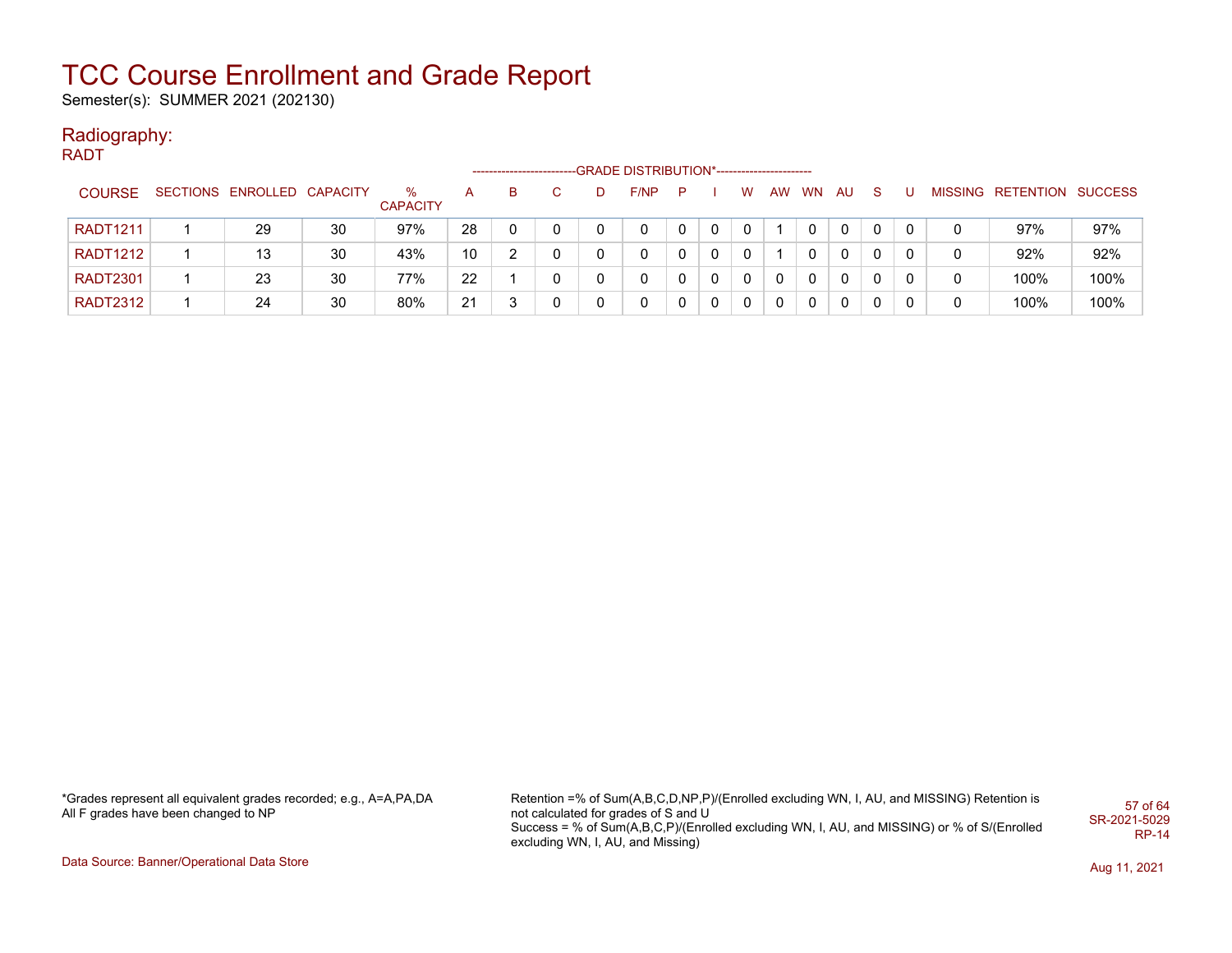Semester(s): SUMMER 2021 (202130)

#### Radiography: RADT

|                 |                            |    |                      |    | ------------------------- |   |   | --GRADE DISTRIBUTION*----------------------- |   |              |              |          |           |              |              |   |   |                           |      |
|-----------------|----------------------------|----|----------------------|----|---------------------------|---|---|----------------------------------------------|---|--------------|--------------|----------|-----------|--------------|--------------|---|---|---------------------------|------|
| <b>COURSE</b>   | SECTIONS ENROLLED CAPACITY |    | %<br><b>CAPACITY</b> | A  | в                         |   | D | F/NP                                         | P |              | W            | AW       | <b>WN</b> | <b>AU</b>    | <sub>S</sub> |   |   | MISSING RETENTION SUCCESS |      |
| <b>RADT1211</b> | 29                         | 30 | 97%                  | 28 |                           | 0 |   | 0                                            | 0 | $\mathbf{0}$ | 0            |          |           | 0            | 0            |   | 0 | 97%                       | 97%  |
| <b>RADT1212</b> | 13                         | 30 | 43%                  | 10 |                           | 0 |   | $\mathbf{0}$                                 | 0 | $\Omega$     | 0            |          | 0         | $\mathbf{0}$ | $\Omega$     | 0 | 0 | 92%                       | 92%  |
| <b>RADT2301</b> | 23                         | 30 | 77%                  | 22 |                           | 0 |   | $\mathbf{0}$                                 | 0 | $\mathbf{0}$ | $\mathbf{0}$ | $\Omega$ | $\Omega$  | 0            | 0            | 0 | 0 | 100%                      | 100% |
| <b>RADT2312</b> | 24                         | 30 | 80%                  | 21 |                           | 0 |   | 0                                            | 0 | 0            | 0            | 0        | $\Omega$  | 0            | 0            |   | 0 | 100%                      | 100% |

\*Grades represent all equivalent grades recorded; e.g., A=A,PA,DA All F grades have been changed to NP

Retention =% of Sum(A,B,C,D,NP,P)/(Enrolled excluding WN, I, AU, and MISSING) Retention is not calculated for grades of S and U Success = % of Sum(A,B,C,P)/(Enrolled excluding WN, I, AU, and MISSING) or % of S/(Enrolled excluding WN, I, AU, and Missing) 57 of 64 SR-2021-5029 RP-14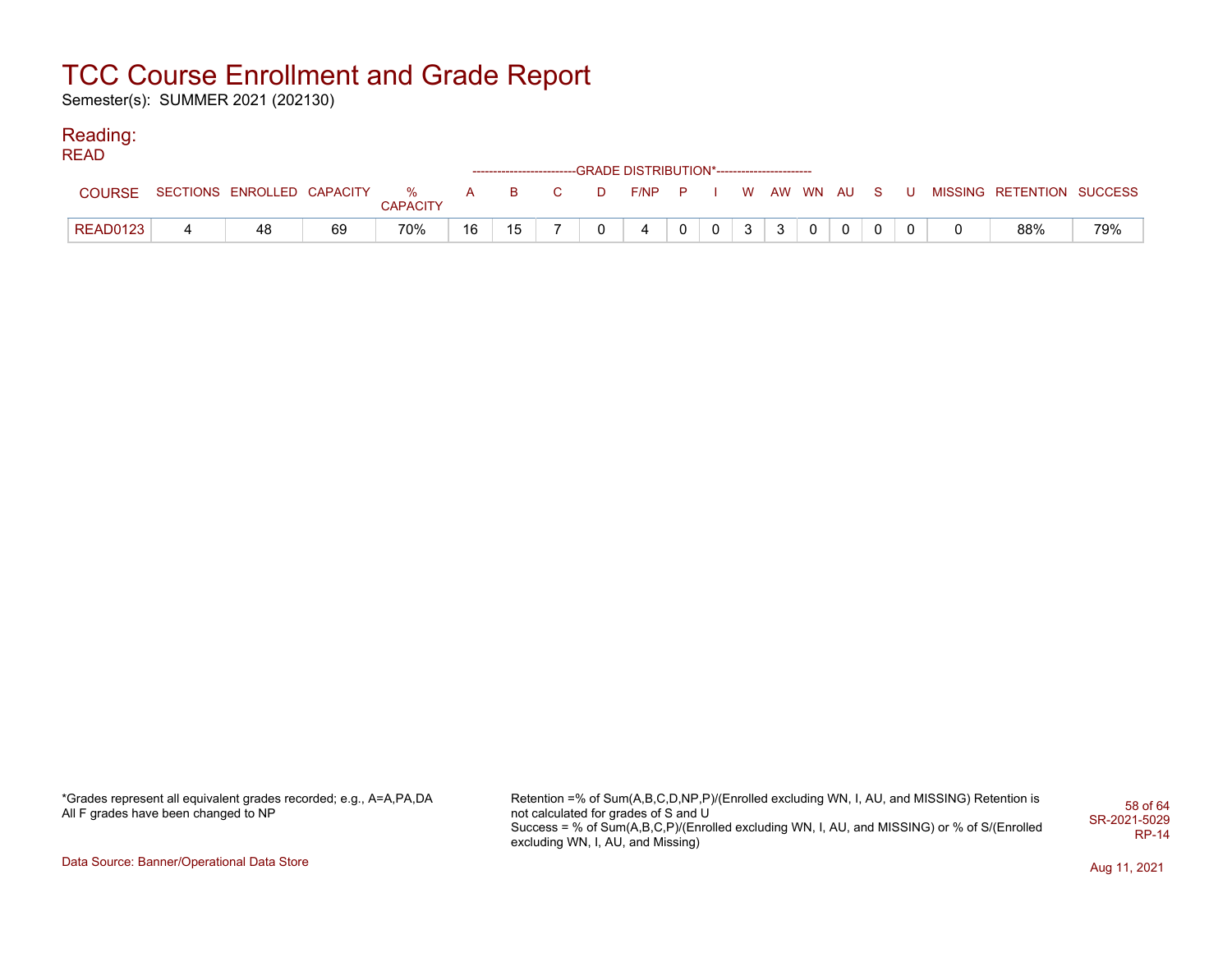Semester(s): SUMMER 2021 (202130)

### Reading:

| READ            |                                  |    |                 |    |    |                                                                                            |                                                                    |                |                |              |                |          |              |  |                                                     |     |
|-----------------|----------------------------------|----|-----------------|----|----|--------------------------------------------------------------------------------------------|--------------------------------------------------------------------|----------------|----------------|--------------|----------------|----------|--------------|--|-----------------------------------------------------|-----|
|                 |                                  |    |                 |    |    |                                                                                            | ------------------------GRADE DISTRIBUTION*----------------------- |                |                |              |                |          |              |  |                                                     |     |
| <b>COURSE</b>   | SECTIONS ENROLLED CAPACITY % A B |    | <b>CAPACITY</b> |    |    | $\overline{C}$ and $\overline{C}$ and $\overline{C}$ and $\overline{C}$ and $\overline{C}$ |                                                                    |                |                |              |                |          |              |  | D F/NP P I W AW WN AU S U MISSING RETENTION SUCCESS |     |
| <b>READ0123</b> | 48                               | 69 | 70%             | 16 | 15 |                                                                                            | 4                                                                  | $\overline{0}$ | 0 <sub>1</sub> | $\mathbf{3}$ | 3 <sup>1</sup> | $\Omega$ | $\mathbf{0}$ |  | 88%                                                 | 79% |

| *Grades represent all equivalent grades recorded; e.g., A=A,PA,DA |  |
|-------------------------------------------------------------------|--|
| All F grades have been changed to NP                              |  |

Retention =% of Sum(A,B,C,D,NP,P)/(Enrolled excluding WN, I, AU, and MISSING) Retention is not calculated for grades of S and U Success = % of Sum(A,B,C,P)/(Enrolled excluding WN, I, AU, and MISSING) or % of S/(Enrolled excluding WN, I, AU, and Missing) 58 of 64 SR-2021-5029 RP-14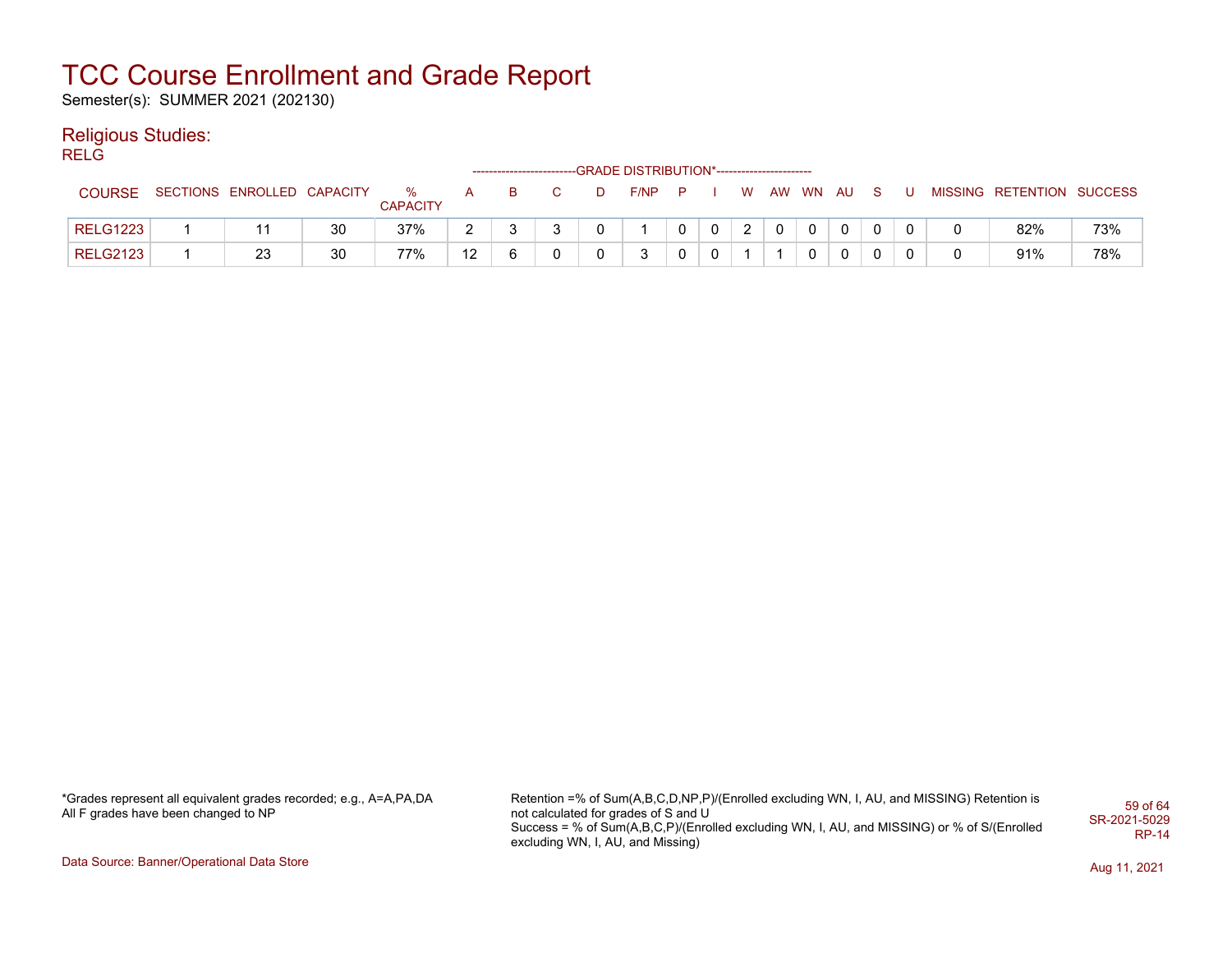Semester(s): SUMMER 2021 (202130)

### Religious Studies:

RELG

|                 |                            |    |                      |    | ------------------------- |  | -GRADE DISTRIBUTION*----------------------- |          |             |               |              |  |  |                           |     |
|-----------------|----------------------------|----|----------------------|----|---------------------------|--|---------------------------------------------|----------|-------------|---------------|--------------|--|--|---------------------------|-----|
| <b>COURSE</b>   | SECTIONS ENROLLED CAPACITY |    | %<br><b>CAPACITY</b> | A  | в                         |  | $F/NP$ $P$                                  |          |             |               | W AW WN AU S |  |  | MISSING RETENTION SUCCESS |     |
| <b>RELG1223</b> | 11                         | 30 | 37%                  |    |                           |  |                                             | $\Omega$ | $\mathbf 0$ | $\mathcal{P}$ |              |  |  | 82%                       | 73% |
| <b>RELG2123</b> | 23                         | 30 | 77%                  | 12 |                           |  | 2                                           |          | 0           |               |              |  |  | 91%                       | 78% |

\*Grades represent all equivalent grades recorded; e.g., A=A,PA,DA All F grades have been changed to NP

Retention =% of Sum(A,B,C,D,NP,P)/(Enrolled excluding WN, I, AU, and MISSING) Retention is not calculated for grades of S and U Success = % of Sum(A,B,C,P)/(Enrolled excluding WN, I, AU, and MISSING) or % of S/(Enrolled excluding WN, I, AU, and Missing) 59 of 64 SR-2021-5029 RP-14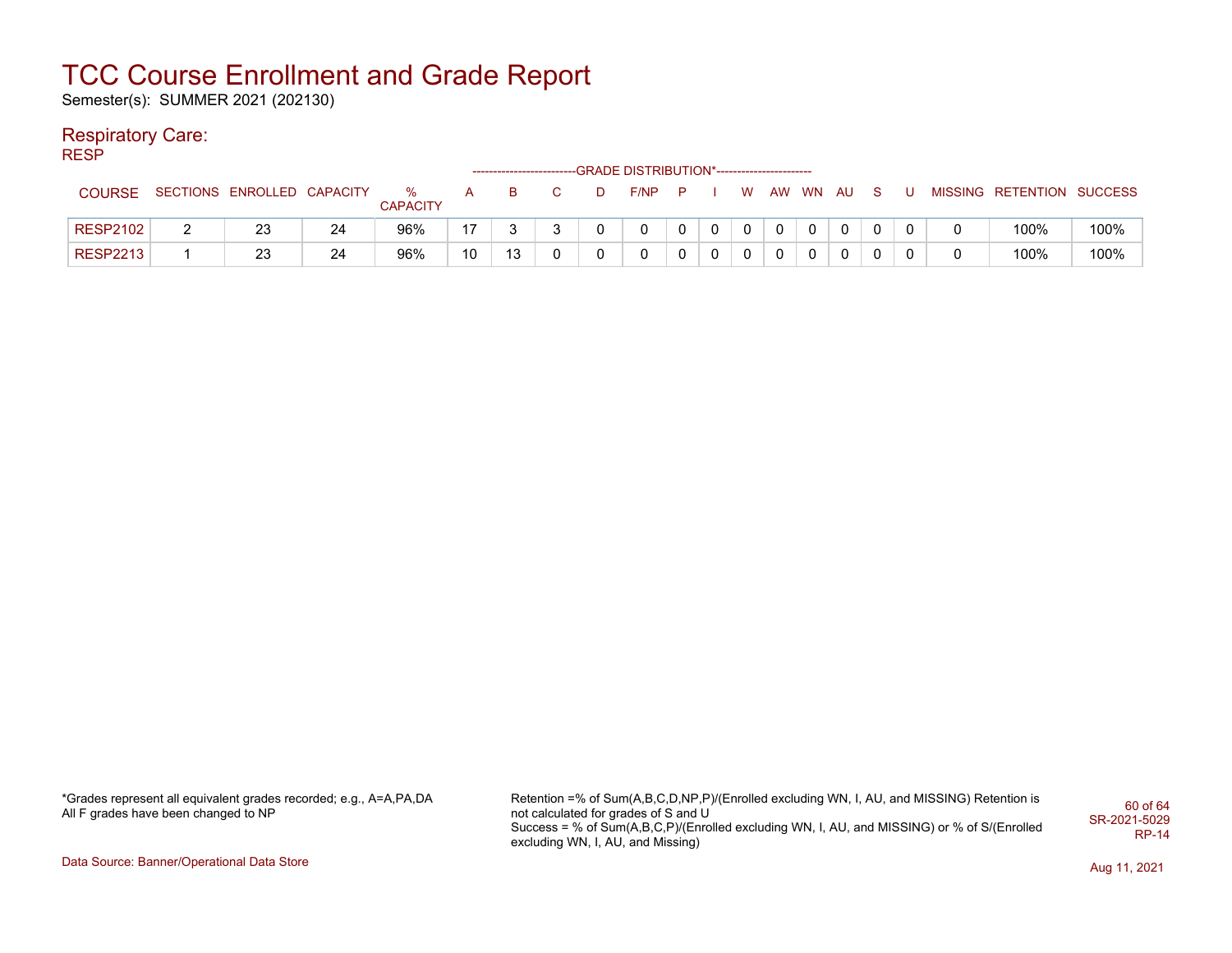Semester(s): SUMMER 2021 (202130)

#### Respiratory Care:

RESP

|                 |   |                            |    |                      |    | ----------------------- |  | -GRADE DISTRIBUTION*----------------------- |   |              |          |  |        |                           |      |
|-----------------|---|----------------------------|----|----------------------|----|-------------------------|--|---------------------------------------------|---|--------------|----------|--|--------|---------------------------|------|
| <b>COURSE</b>   |   | SECTIONS ENROLLED CAPACITY |    | %<br><b>CAPACITY</b> | A  | в                       |  | F/NP                                        |   | W            | AW WN AU |  |        | MISSING RETENTION SUCCESS |      |
| <b>RESP2102</b> | _ | 23                         | 24 | 96%                  | 17 |                         |  | 0                                           | 0 | $\mathbf{0}$ |          |  | $\sim$ | 100%                      | 100% |
| <b>RESP2213</b> |   | 23                         | 24 | 96%                  | 10 | 13                      |  | 0                                           | 0 |              |          |  |        | 100%                      | 100% |

\*Grades represent all equivalent grades recorded; e.g., A=A,PA,DA All F grades have been changed to NP

Retention =% of Sum(A,B,C,D,NP,P)/(Enrolled excluding WN, I, AU, and MISSING) Retention is not calculated for grades of S and U Success = % of Sum(A,B,C,P)/(Enrolled excluding WN, I, AU, and MISSING) or % of S/(Enrolled excluding WN, I, AU, and Missing) 60 of 64 SR-2021-5029 RP-14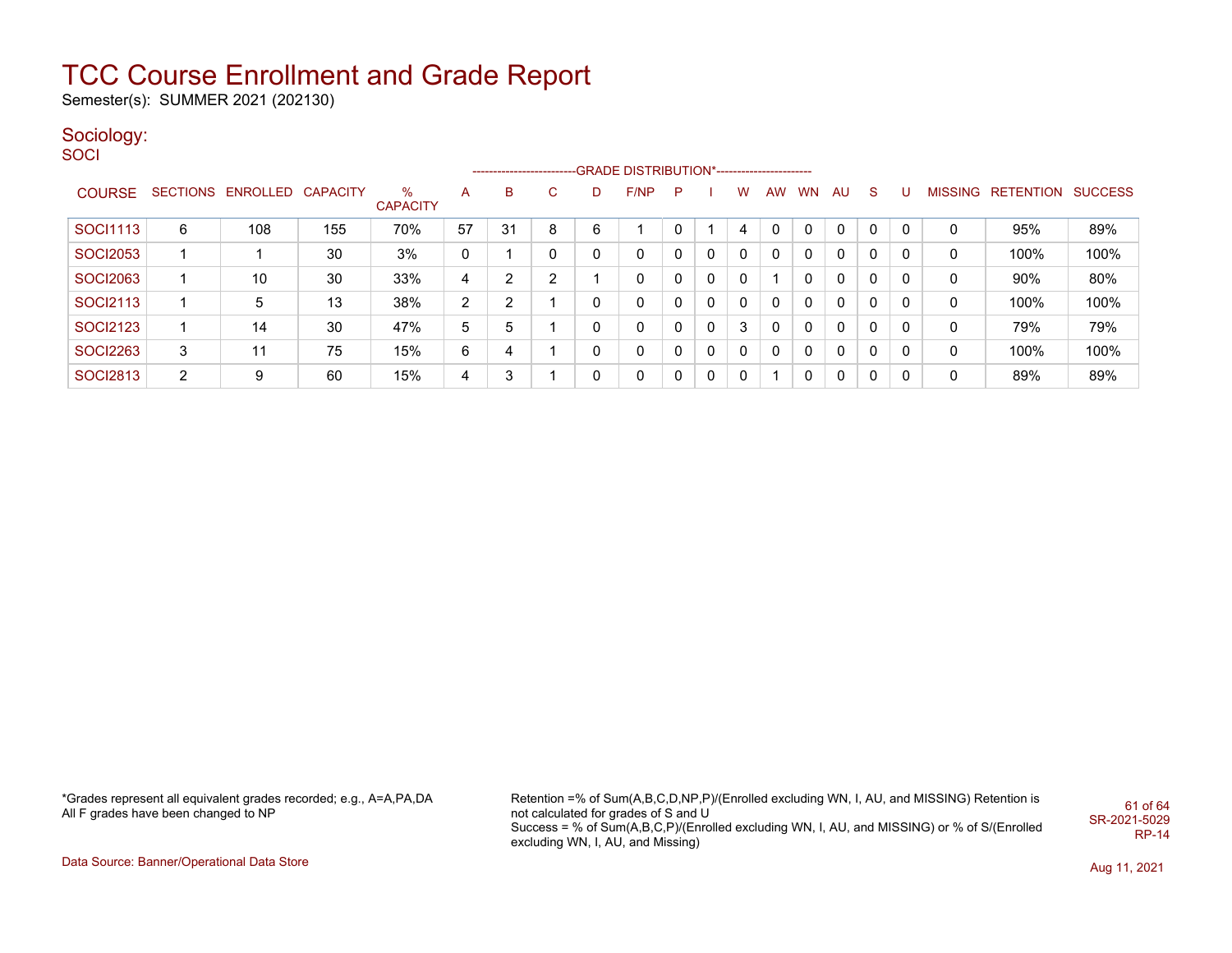Semester(s): SUMMER 2021 (202130)

### Sociology:

**SOCI** 

|                 |                |                   |                 |                      |    |    |    |   | --------------------------GRADE DISTRIBUTION*----------------------- |              |          |              |    |              |    |              |              |   |                           |      |
|-----------------|----------------|-------------------|-----------------|----------------------|----|----|----|---|----------------------------------------------------------------------|--------------|----------|--------------|----|--------------|----|--------------|--------------|---|---------------------------|------|
| <b>COURSE</b>   |                | SECTIONS ENROLLED | <b>CAPACITY</b> | %<br><b>CAPACITY</b> | A  | B. | C. | D | F/NP                                                                 | $\mathsf{P}$ |          | W            | AW | <b>WN</b>    | AU | <sub>S</sub> | U            |   | MISSING RETENTION SUCCESS |      |
| SOCI1113        | 6              | 108               | 155             | 70%                  | 57 | 31 | 8  | 6 |                                                                      |              |          | 4            | 0  | 0            | 0  | 0            | $\Omega$     | 0 | 95%                       | 89%  |
| <b>SOCI2053</b> |                |                   | 30              | 3%                   | 0  |    | 0  | 0 | $\mathbf{0}$                                                         | 0            | $\Omega$ | $\mathbf{0}$ | 0  | 0            | 0  | $\Omega$     | 0            | 0 | 100%                      | 100% |
| <b>SOCI2063</b> |                | 10                | 30              | 33%                  | 4  | ົ  | ົ  |   | 0                                                                    | 0            | $\Omega$ | $\mathbf{0}$ |    | 0            | 0  | 0            | 0            | 0 | 90%                       | 80%  |
| SOCI2113        |                | 5                 | 13              | 38%                  | 2  | ⌒  |    |   | $\mathbf{0}$                                                         | 0            | $\Omega$ | $\Omega$     | 0  | $\mathbf{0}$ | 0  | $\Omega$     | 0            | 0 | 100%                      | 100% |
| <b>SOCI2123</b> |                | 14                | 30              | 47%                  | 5. | 5  |    | 0 | $\mathbf{0}$                                                         | 0            | $\Omega$ | 3            | 0  | $\mathbf{0}$ | 0  | 0            | 0            | 0 | 79%                       | 79%  |
| <b>SOCI2263</b> | 3              | 11                | 75              | 15%                  | 6  | 4  |    | 0 | $\mathbf{0}$                                                         | 0            | $\Omega$ | $\mathbf{0}$ | 0  | $\mathbf{0}$ | 0  | $\Omega$     | 0            | 0 | 100%                      | 100% |
| <b>SOCI2813</b> | $\overline{2}$ | 9                 | 60              | 15%                  | 4  | 3  |    | 0 | $\mathbf{0}$                                                         | 0            | $\Omega$ | $\mathbf{0}$ |    |              | 0  | $\Omega$     | $\mathbf{0}$ | 0 | 89%                       | 89%  |

\*Grades represent all equivalent grades recorded; e.g., A=A,PA,DA All F grades have been changed to NP

Retention =% of Sum(A,B,C,D,NP,P)/(Enrolled excluding WN, I, AU, and MISSING) Retention is not calculated for grades of S and U Success = % of Sum(A,B,C,P)/(Enrolled excluding WN, I, AU, and MISSING) or % of S/(Enrolled excluding WN, I, AU, and Missing) 61 of 64 SR-2021-5029 RP-14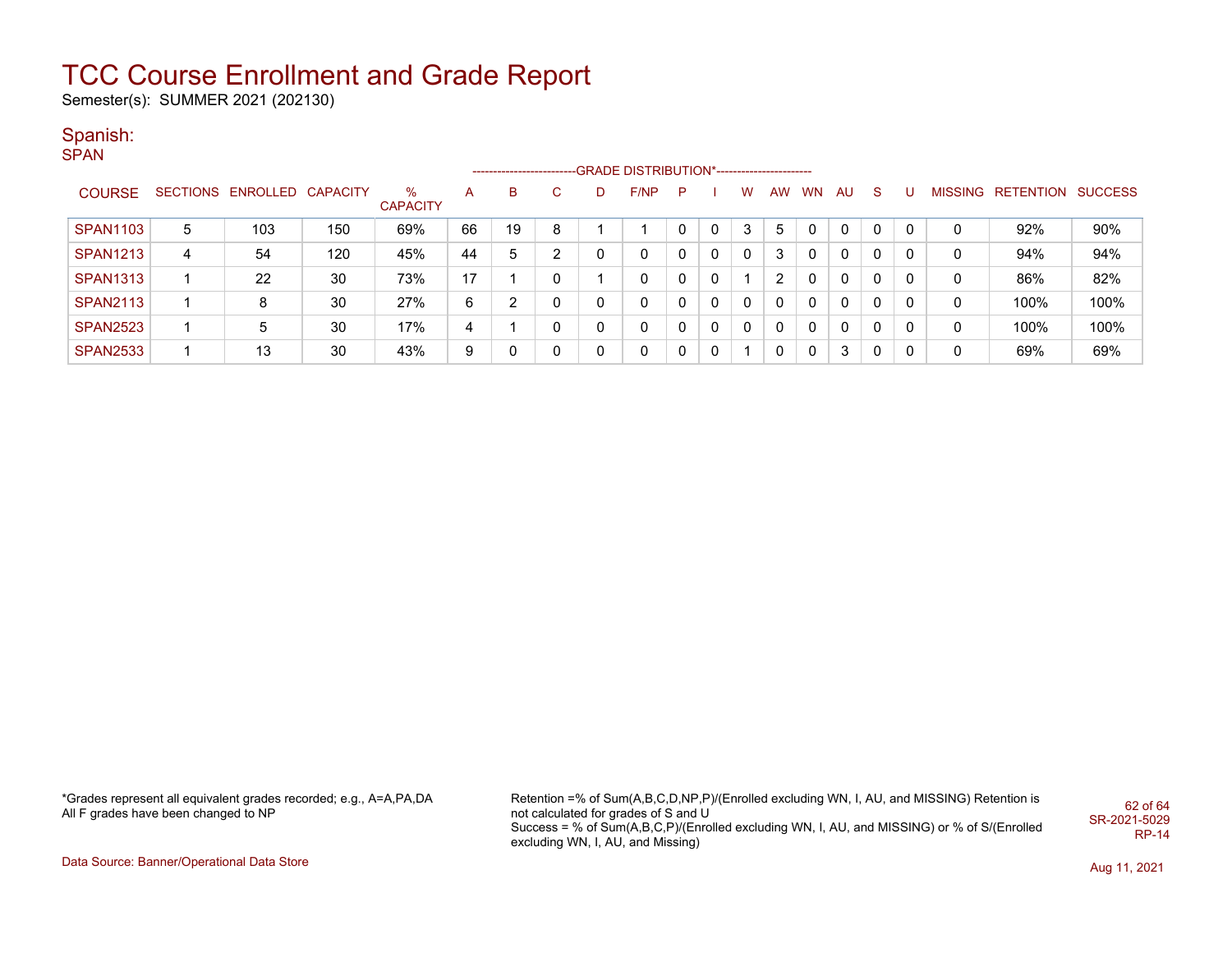Semester(s): SUMMER 2021 (202130)

### Spanish:

**SPAN** 

|                 |   |                            |     |                      |    | ------------------------ |   |   | --GRADE DISTRIBUTION*---------------------- |    |          |          |    |           |          |              |   |   |                           |      |
|-----------------|---|----------------------------|-----|----------------------|----|--------------------------|---|---|---------------------------------------------|----|----------|----------|----|-----------|----------|--------------|---|---|---------------------------|------|
| <b>COURSE</b>   |   | SECTIONS ENROLLED CAPACITY |     | ℅<br><b>CAPACITY</b> | А  | B                        |   | D | F/NP                                        | P. |          | w        | AW | <b>WN</b> | AU.      | -S           |   |   | MISSING RETENTION SUCCESS |      |
| <b>SPAN1103</b> | 5 | 103                        | 150 | 69%                  | 66 | 19                       | 8 |   |                                             |    | 0        | 3        | 5  |           | $\Omega$ | $\Omega$     |   |   | 92%                       | 90%  |
| <b>SPAN1213</b> | 4 | 54                         | 120 | 45%                  | 44 | 5                        | ົ |   | 0                                           |    | $\Omega$ | $\Omega$ | 3  |           | $\Omega$ | 0            |   |   | 94%                       | 94%  |
| <b>SPAN1313</b> |   | 22                         | 30  | 73%                  | 17 |                          |   |   | 0                                           |    | 0        |          | ◠  |           | $\Omega$ | $\Omega$     | 0 | 0 | 86%                       | 82%  |
| <b>SPAN2113</b> |   | 8                          | 30  | 27%                  | 6  | ◠                        |   |   | 0                                           |    | $\Omega$ |          |    |           | $\Omega$ | 0            |   |   | 100%                      | 100% |
| <b>SPAN2523</b> |   | 5                          | 30  | 17%                  | 4  |                          |   | 0 | 0                                           |    | 0        |          |    |           | $\Omega$ | $\mathsf{C}$ | 0 | 0 | 100%                      | 100% |
| <b>SPAN2533</b> |   | 13                         | 30  | 43%                  | 9  |                          |   |   | 0                                           |    | $\Omega$ |          |    |           | 3        | -0           |   | 0 | 69%                       | 69%  |

\*Grades represent all equivalent grades recorded; e.g., A=A,PA,DA All F grades have been changed to NP

Retention =% of Sum(A,B,C,D,NP,P)/(Enrolled excluding WN, I, AU, and MISSING) Retention is not calculated for grades of S and U Success = % of Sum(A,B,C,P)/(Enrolled excluding WN, I, AU, and MISSING) or % of S/(Enrolled excluding WN, I, AU, and Missing) 62 of 64 SR-2021-5029 RP-14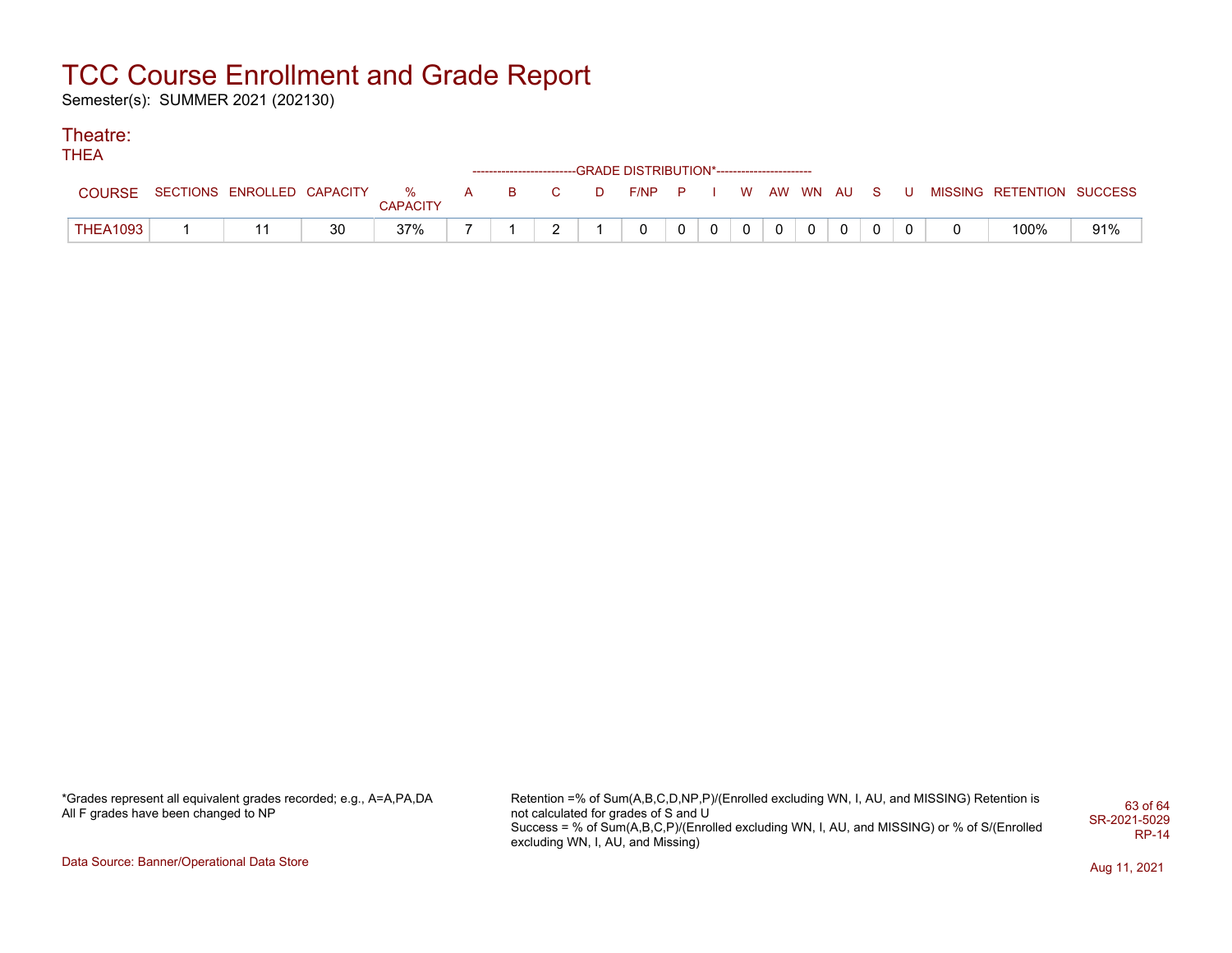Semester(s): SUMMER 2021 (202130)

### Theatre:

THEA

|                 |                            |    |                      |          |    |        |   | ------------------------GRADE DISTRIBUTION*----------------------- |              |                |             |             |                |                |     |  |                           |     |
|-----------------|----------------------------|----|----------------------|----------|----|--------|---|--------------------------------------------------------------------|--------------|----------------|-------------|-------------|----------------|----------------|-----|--|---------------------------|-----|
| <b>COURSE</b>   | SECTIONS ENROLLED CAPACITY |    | %<br><b>CAPACITY</b> | $\Delta$ | в. |        | D | F/NP                                                               | - P          |                | W           |             | AW WN AU       |                | -S. |  | MISSING RETENTION SUCCESS |     |
| <b>THEA1093</b> |                            | 30 | 37%                  |          |    | $\sim$ |   |                                                                    | $\mathbf{0}$ | $\overline{0}$ | $\mathbf 0$ | $\mathbf 0$ | 0 <sup>1</sup> | $\overline{0}$ | 0   |  | 100%                      | 91% |

\*Grades represent all equivalent grades recorded; e.g., A=A,PA,DA All F grades have been changed to NP

Retention =% of Sum(A,B,C,D,NP,P)/(Enrolled excluding WN, I, AU, and MISSING) Retention is not calculated for grades of S and U Success = % of Sum(A,B,C,P)/(Enrolled excluding WN, I, AU, and MISSING) or % of S/(Enrolled excluding WN, I, AU, and Missing) 63 of 64 SR-2021-5029 RP-14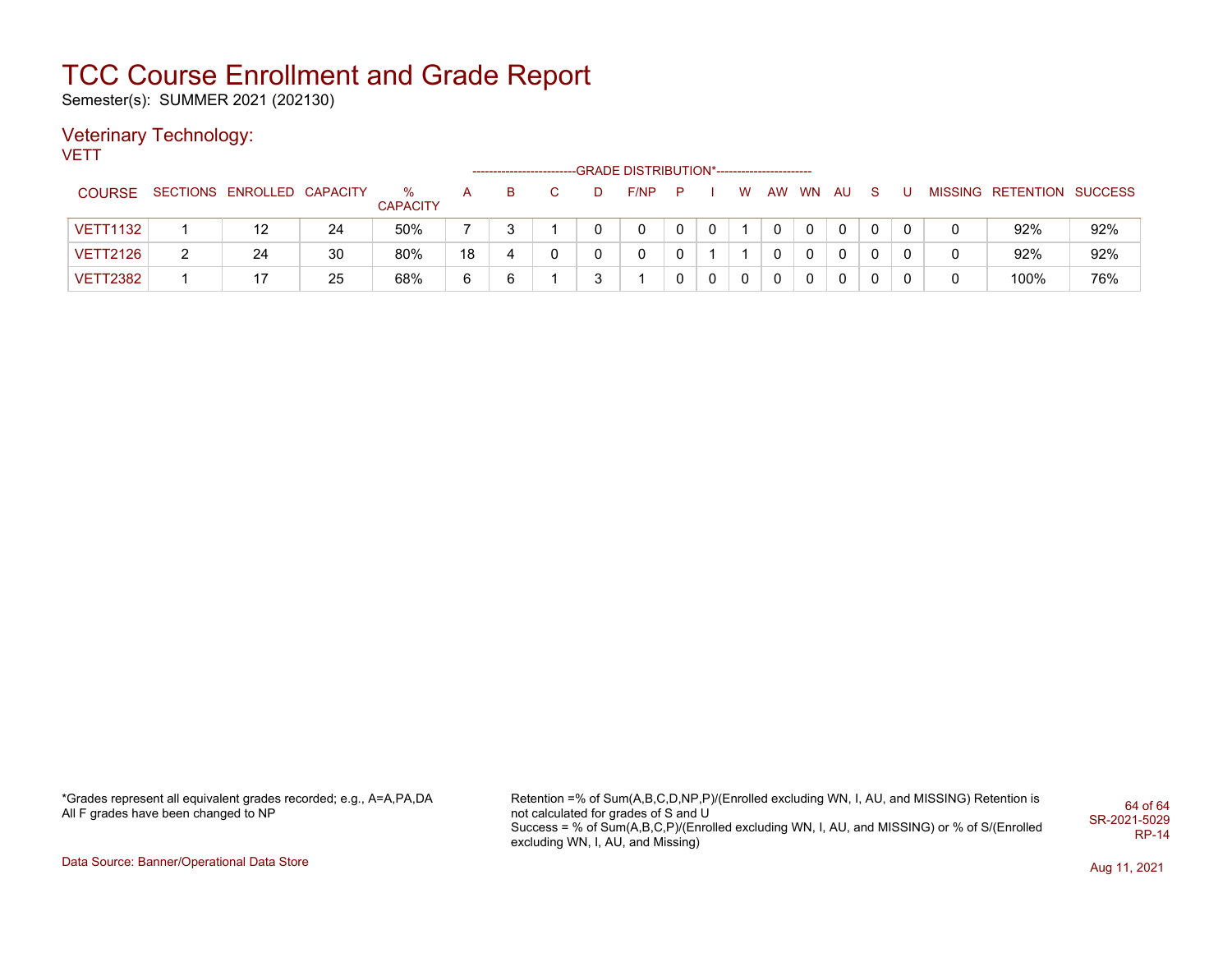Semester(s): SUMMER 2021 (202130)

### Veterinary Technology:

**VETT** 

|                 |                            |    |                      |    |   |   | --GRADE DISTRIBUTION*----------------------- |   |             |             |    |           |      |    |   |                           |     |
|-----------------|----------------------------|----|----------------------|----|---|---|----------------------------------------------|---|-------------|-------------|----|-----------|------|----|---|---------------------------|-----|
| <b>COURSE</b>   | SECTIONS ENROLLED CAPACITY |    | ℅<br><b>CAPACITY</b> | A  | в |   | F/NP                                         | P |             | W           | AW | <b>WN</b> | - AU | S. |   | MISSING RETENTION SUCCESS |     |
| <b>VETT1132</b> |                            | 24 | 50%                  |    |   |   |                                              | 0 | 0           |             |    | 0         | 0    | 0  | 0 | 92%                       | 92% |
| <b>VETT2126</b> | 24                         | 30 | 80%                  | 18 |   |   |                                              |   |             |             |    |           | 0    | 0  | 0 | 92%                       | 92% |
| <b>VETT2382</b> |                            | 25 | 68%                  | 6  | 6 | ◠ |                                              | 0 | $\mathbf 0$ | $\mathbf 0$ | 0  | 0         | 0    | 0  | 0 | 100%                      | 76% |

\*Grades represent all equivalent grades recorded; e.g., A=A,PA,DA All F grades have been changed to NP

Retention =% of Sum(A,B,C,D,NP,P)/(Enrolled excluding WN, I, AU, and MISSING) Retention is not calculated for grades of S and U Success = % of Sum(A,B,C,P)/(Enrolled excluding WN, I, AU, and MISSING) or % of S/(Enrolled excluding WN, I, AU, and Missing) 64 of 64 SR-2021-5029 RP-14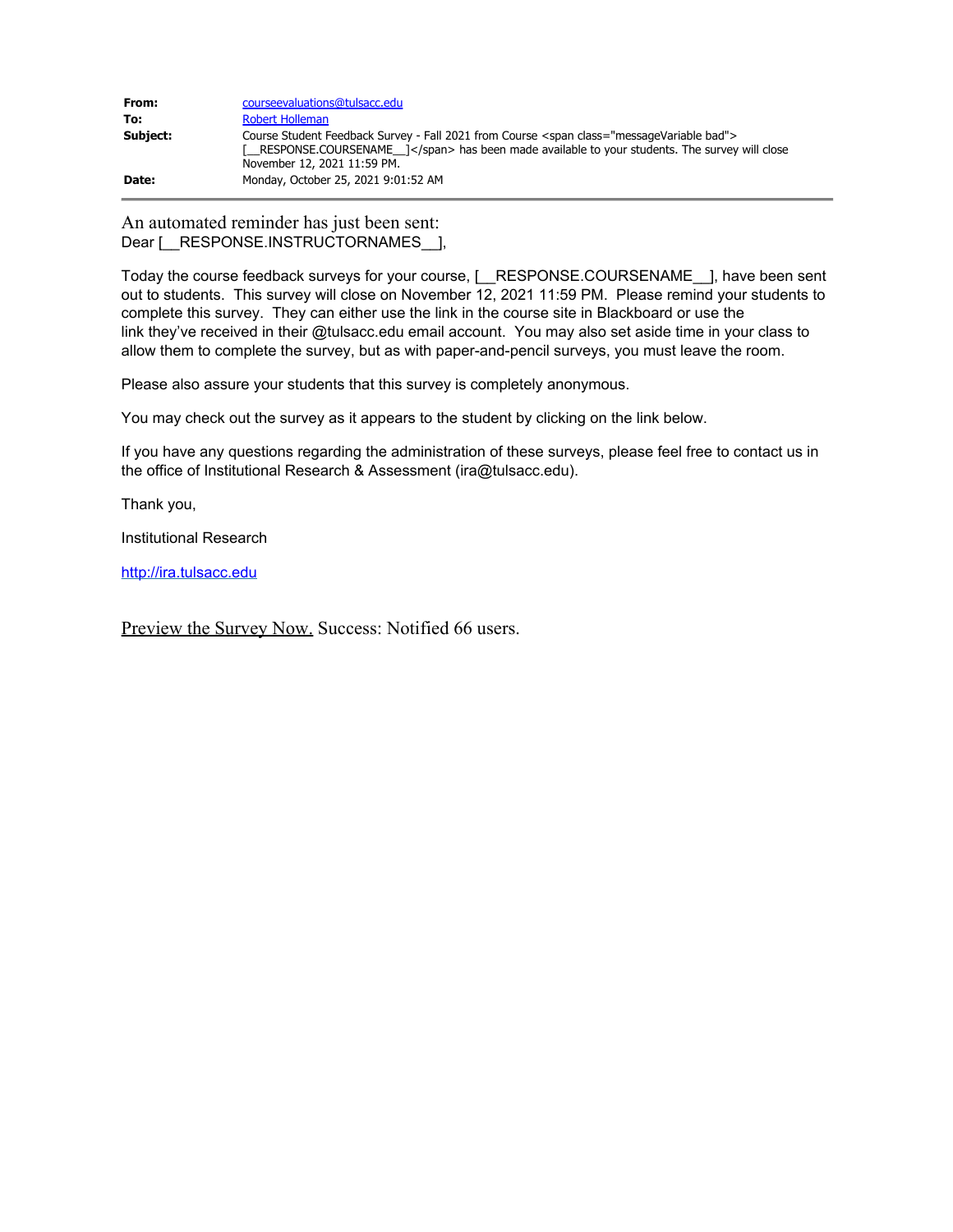| From:    | course evaluations @ tulsacc.edu                                                                                                                                                                                                                                 |
|----------|------------------------------------------------------------------------------------------------------------------------------------------------------------------------------------------------------------------------------------------------------------------|
| To:      | Robert Holleman                                                                                                                                                                                                                                                  |
| Subject: | Course Student Feedback Survey - Fall 2021 from Course <span class="messageVariable bad"><br/><math>\lceil</math> RESPONSE.COURSENAME <math>\lceil</math> </span> has been made available to your students. The survey will close<br>November 12, 2021 11:59 PM. |
| Date:    | Monday, October 25, 2021 9:01:52 AM                                                                                                                                                                                                                              |

An automated reminder has just been sent: Dear [\_\_RESPONSE.INSTRUCTORNAMES\_\_],

Today the course feedback surveys for your course, [\_\_RESPONSE.COURSENAME\_\_], have been sent out to students. This survey will close on November 12, 2021 11:59 PM. Please remind your students to complete this survey. They can either use the link in the course site in Blackboard or use the link they've received in their @tulsacc.edu email account. You may also set aside time in your class to allow them to complete the survey, but as with paper-and-pencil surveys, you must leave the room.

Please also assure your students that this survey is completely anonymous.

You may check out the survey as it appears to the student by clicking on the link below.

If you have any questions regarding the administration of these surveys, please feel free to contact us in the office of Institutional Research & Assessment (ira@tulsacc.edu).

Thank you,

Institutional Research

[http://ira.tulsacc.edu](https://nam02.safelinks.protection.outlook.com/?url=http%3A%2F%2Fira.tulsacc.edu%2F&data=04%7C01%7Crobert.holleman%40tulsacc.edu%7C1222cd04ba8846b06ed208d997bffe66%7Ceb5d9dc493c645578c2390ef7fa05b96%7C0%7C0%7C637707673122971525%7CUnknown%7CTWFpbGZsb3d8eyJWIjoiMC4wLjAwMDAiLCJQIjoiV2luMzIiLCJBTiI6Ik1haWwiLCJXVCI6Mn0%3D%7C1000&sdata=%2FrgCr2jT6uLaQ1u0Z730kcyMt1OK%2BMcgQJBVLpuvP%2Bg%3D&reserved=0)

Preview the Survey Now. Success: Notified 66 users.